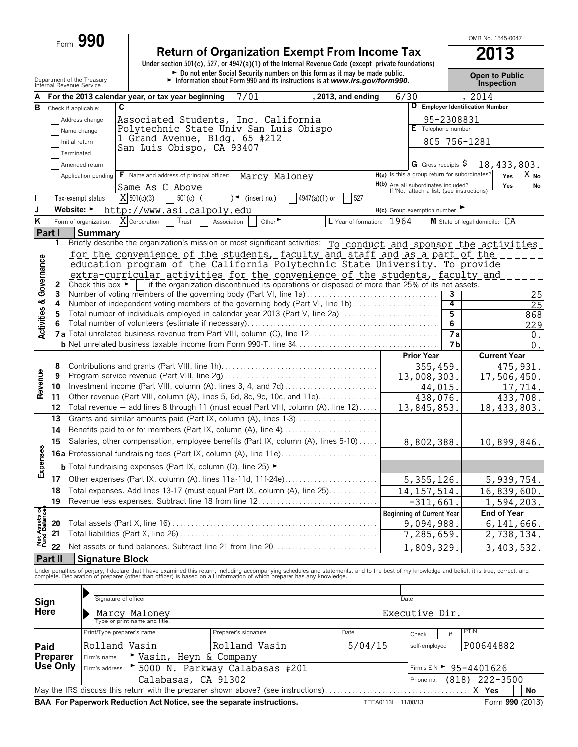| Form | 990 |
|------|-----|
|      |     |

## **Return of Organization Exempt From Income Tax 2013**

**Under section 501(c), 527, or 4947(a)(1) of the Internal Revenue Code (except private foundations)** Department of the Treasury **Department of the Treasury Control of the Treasury Properties on the Control of the Social Security numbers on this form as it may be made public.**<br>Department of the Treasury Public Lawsen and

OMB No. 1545-0047

|                               |                 | Internal Revenue Service                                                                   |                                                                                                                                        |            |                      |                                |               |                           |      |                                                                                   |            | <b>INSPECTION</b>                                                                                                                                                                                                                 |  |
|-------------------------------|-----------------|--------------------------------------------------------------------------------------------|----------------------------------------------------------------------------------------------------------------------------------------|------------|----------------------|--------------------------------|---------------|---------------------------|------|-----------------------------------------------------------------------------------|------------|-----------------------------------------------------------------------------------------------------------------------------------------------------------------------------------------------------------------------------------|--|
|                               |                 |                                                                                            | A For the 2013 calendar year, or tax year beginning                                                                                    |            |                      | 7/01                           |               | , 2013, and ending        | 6/30 |                                                                                   |            | , 2014                                                                                                                                                                                                                            |  |
| В                             |                 | Check if applicable:                                                                       | $\overline{\mathbf{c}}$                                                                                                                |            |                      |                                |               |                           |      |                                                                                   |            | D Employer Identification Number                                                                                                                                                                                                  |  |
|                               |                 | Address change                                                                             | Associated Students, Inc. California                                                                                                   |            |                      |                                |               |                           |      |                                                                                   | 95-2308831 |                                                                                                                                                                                                                                   |  |
|                               |                 | Name change                                                                                | Polytechnic State Univ San Luis Obispo                                                                                                 |            |                      |                                |               |                           |      | E Telephone number                                                                |            |                                                                                                                                                                                                                                   |  |
|                               |                 | Initial return                                                                             | 1 Grand Avenue, Bldg. 65 #212                                                                                                          |            |                      |                                |               |                           |      |                                                                                   |            | 805 756-1281                                                                                                                                                                                                                      |  |
|                               |                 | Terminated                                                                                 | San Luis Obispo, CA 93407                                                                                                              |            |                      |                                |               |                           |      |                                                                                   |            |                                                                                                                                                                                                                                   |  |
|                               |                 | Amended return                                                                             |                                                                                                                                        |            |                      |                                |               |                           |      | G Gross receipts $\$$                                                             |            | 18,433,803.                                                                                                                                                                                                                       |  |
|                               |                 | Application pending                                                                        | F Name and address of principal officer:                                                                                               |            |                      | Marcy Maloney                  |               |                           |      | H(a) Is this a group return for subordinates?                                     |            | Yes<br>X No                                                                                                                                                                                                                       |  |
|                               |                 |                                                                                            | Same As C Above                                                                                                                        |            |                      |                                |               |                           |      | H(b) Are all subordinates included?<br>If 'No,' attach a list. (see instructions) |            | Yes<br><b>No</b>                                                                                                                                                                                                                  |  |
|                               |                 | Tax-exempt status                                                                          | $X$ 501(c)(3)                                                                                                                          | $501(c)$ ( |                      | $\sqrt{\bullet}$ (insert no.)  | 4947(a)(1) or | 527                       |      |                                                                                   |            |                                                                                                                                                                                                                                   |  |
| J                             |                 | Website: $\blacktriangleright$                                                             | http://www.asi.calpoly.edu                                                                                                             |            |                      |                                |               |                           |      | H(c) Group exemption number                                                       |            |                                                                                                                                                                                                                                   |  |
| Κ                             |                 | Form of organization:                                                                      | X Corporation                                                                                                                          | Trust      | Association          | Other                          |               | L Year of formation: 1964 |      |                                                                                   |            | M State of legal domicile: CA                                                                                                                                                                                                     |  |
| Part I                        |                 |                                                                                            |                                                                                                                                        |            |                      |                                |               |                           |      |                                                                                   |            |                                                                                                                                                                                                                                   |  |
|                               | 1               | Summary                                                                                    |                                                                                                                                        |            |                      |                                |               |                           |      |                                                                                   |            | Briefly describe the organization's mission or most significant activities: To conduct and sponsor the activities                                                                                                                 |  |
|                               |                 |                                                                                            | for the convenience of the students, faculty and staff and as a part of the                                                            |            |                      |                                |               |                           |      |                                                                                   |            |                                                                                                                                                                                                                                   |  |
|                               |                 |                                                                                            | education program of the California Polytechnic State University. To provide                                                           |            |                      |                                |               |                           |      |                                                                                   |            |                                                                                                                                                                                                                                   |  |
|                               |                 |                                                                                            | extra-curricular activities for the convenience of the students, faculty and                                                           |            |                      |                                |               |                           |      |                                                                                   |            |                                                                                                                                                                                                                                   |  |
| Governance                    | 2               |                                                                                            | Check this box $\blacktriangleright$   if the organization discontinued its operations or disposed of more than 25% of its net assets. |            |                      |                                |               |                           |      |                                                                                   |            |                                                                                                                                                                                                                                   |  |
|                               | 3               |                                                                                            | Number of voting members of the governing body (Part VI, line 1a)                                                                      |            |                      |                                |               |                           |      |                                                                                   | з          | 25                                                                                                                                                                                                                                |  |
|                               | 4               |                                                                                            | Number of independent voting members of the governing body (Part VI, line 1b)                                                          |            |                      |                                |               |                           |      |                                                                                   | 4          | 25                                                                                                                                                                                                                                |  |
|                               | 5               |                                                                                            | Total number of individuals employed in calendar year 2013 (Part V, line 2a)                                                           |            |                      |                                |               |                           |      |                                                                                   | 5          | 868                                                                                                                                                                                                                               |  |
| <b>Activities &amp;</b>       | 6               |                                                                                            |                                                                                                                                        |            |                      |                                |               |                           |      |                                                                                   | 6          | 229                                                                                                                                                                                                                               |  |
|                               |                 |                                                                                            |                                                                                                                                        |            |                      |                                |               |                           |      |                                                                                   | <b>7a</b>  | 0.                                                                                                                                                                                                                                |  |
|                               |                 |                                                                                            |                                                                                                                                        |            |                      |                                |               |                           |      |                                                                                   | 7 b        | 0.                                                                                                                                                                                                                                |  |
|                               |                 |                                                                                            |                                                                                                                                        |            |                      |                                |               |                           |      | <b>Prior Year</b>                                                                 |            | <b>Current Year</b>                                                                                                                                                                                                               |  |
|                               | 8               |                                                                                            |                                                                                                                                        |            |                      |                                |               |                           |      | 355, 459.                                                                         |            | 475, 931.                                                                                                                                                                                                                         |  |
|                               | 9               | $\overline{13,008,303}$ .<br>Investment income (Part VIII, column (A), lines 3, 4, and 7d) |                                                                                                                                        |            |                      |                                |               |                           |      |                                                                                   |            | 17,506,450.                                                                                                                                                                                                                       |  |
| Revenue                       | 10              |                                                                                            | Other revenue (Part VIII, column (A), lines 5, 6d, 8c, 9c, 10c, and 11e)                                                               |            |                      |                                |               |                           |      | 44,015.                                                                           |            | 17,714.                                                                                                                                                                                                                           |  |
|                               | 11<br>12        |                                                                                            | Total revenue - add lines 8 through 11 (must equal Part VIII, column (A), line 12)                                                     |            |                      |                                |               |                           |      | 438,076.<br>13,845,853.                                                           |            | 433,708.                                                                                                                                                                                                                          |  |
|                               | 13              |                                                                                            | Grants and similar amounts paid (Part IX, column (A), lines 1-3)                                                                       |            |                      |                                |               |                           |      |                                                                                   |            | 18,433,803.                                                                                                                                                                                                                       |  |
|                               | 14              |                                                                                            | Benefits paid to or for members (Part IX, column (A), line 4)                                                                          |            |                      |                                |               |                           |      |                                                                                   |            |                                                                                                                                                                                                                                   |  |
|                               |                 |                                                                                            | Salaries, other compensation, employee benefits (Part IX, column (A), lines 5-10)                                                      |            |                      |                                |               |                           |      |                                                                                   |            |                                                                                                                                                                                                                                   |  |
|                               | 15              |                                                                                            |                                                                                                                                        |            |                      |                                |               |                           |      | 8,802,388.                                                                        |            | 10,899,846.                                                                                                                                                                                                                       |  |
| Expenses                      |                 |                                                                                            | <b>16a</b> Professional fundraising fees (Part IX, column (A), line 11e)                                                               |            |                      |                                |               |                           |      |                                                                                   |            |                                                                                                                                                                                                                                   |  |
|                               |                 |                                                                                            | <b>b</b> Total fundraising expenses (Part IX, column (D), line 25) $\blacktriangleright$                                               |            |                      |                                |               |                           |      |                                                                                   |            |                                                                                                                                                                                                                                   |  |
|                               | 17              |                                                                                            | Other expenses (Part IX, column (A), lines 11a-11d, 11f-24e)                                                                           |            |                      |                                |               |                           |      | 5, 355, 126.                                                                      |            | 5,939,754.                                                                                                                                                                                                                        |  |
|                               | 18              |                                                                                            | Total expenses. Add lines 13-17 (must equal Part IX, column (A), line 25)                                                              |            |                      |                                |               |                           |      | 14, 157, 514.                                                                     |            | 16,839,600.                                                                                                                                                                                                                       |  |
|                               | 19              |                                                                                            | Revenue less expenses. Subtract line 18 from line 12                                                                                   |            |                      |                                |               |                           |      | $-311,661$ .                                                                      |            | 1,594,203.                                                                                                                                                                                                                        |  |
| Net Assets of<br>Fund Balance |                 |                                                                                            |                                                                                                                                        |            |                      |                                |               |                           |      | <b>Beginning of Current Year</b>                                                  |            | <b>End of Year</b>                                                                                                                                                                                                                |  |
|                               | 20              |                                                                                            |                                                                                                                                        |            |                      |                                |               |                           |      | 9,094,988.                                                                        |            | 6, 141, 666.                                                                                                                                                                                                                      |  |
|                               | 21              |                                                                                            |                                                                                                                                        |            |                      |                                |               |                           |      | 7,285,659.                                                                        |            | 2,738,134.                                                                                                                                                                                                                        |  |
|                               | 22              |                                                                                            | Net assets or fund balances. Subtract line 21 from line 20                                                                             |            |                      |                                |               |                           |      | 1,809,329.                                                                        |            | 3,403,532.                                                                                                                                                                                                                        |  |
|                               | Part II         | <b>Signature Block</b>                                                                     |                                                                                                                                        |            |                      |                                |               |                           |      |                                                                                   |            |                                                                                                                                                                                                                                   |  |
|                               |                 |                                                                                            |                                                                                                                                        |            |                      |                                |               |                           |      |                                                                                   |            | Under penalties of perjury, I declare that I have examined this return, including accompanying schedules and statements, and to the best of my knowledge and belief, it is true, correct, and<br>complete. Declaration of prepare |  |
|                               |                 |                                                                                            |                                                                                                                                        |            |                      |                                |               |                           |      |                                                                                   |            |                                                                                                                                                                                                                                   |  |
|                               |                 |                                                                                            | Signature of officer                                                                                                                   |            |                      |                                |               |                           |      | Date                                                                              |            |                                                                                                                                                                                                                                   |  |
| Sign<br>Here                  |                 |                                                                                            |                                                                                                                                        |            |                      |                                |               |                           |      |                                                                                   |            |                                                                                                                                                                                                                                   |  |
|                               |                 |                                                                                            | Marcy Maloney<br>Type or print name and title.                                                                                         |            |                      |                                |               |                           |      | Executive Dir.                                                                    |            |                                                                                                                                                                                                                                   |  |
|                               |                 |                                                                                            | Print/Type preparer's name                                                                                                             |            | Preparer's signature |                                |               | Date                      |      | Check                                                                             | if         | PTIN                                                                                                                                                                                                                              |  |
|                               |                 |                                                                                            | Rolland Vasin                                                                                                                          |            |                      | Rolland Vasin                  |               | 5/04/15                   |      | self-employed                                                                     |            | P00644882                                                                                                                                                                                                                         |  |
| Paid                          | <b>Preparer</b> | Firm's name                                                                                | ► Vasin,                                                                                                                               |            | Heyn & Company       |                                |               |                           |      |                                                                                   |            |                                                                                                                                                                                                                                   |  |
|                               | Use Only        | Firm's address                                                                             |                                                                                                                                        |            |                      | 5000 N. Parkway Calabasas #201 |               |                           |      |                                                                                   |            | Firm's EIN > 95-4401626                                                                                                                                                                                                           |  |
|                               |                 |                                                                                            |                                                                                                                                        |            |                      |                                |               |                           |      |                                                                                   |            |                                                                                                                                                                                                                                   |  |

Phone no. May the IRS discuss this return with the preparer shown above? (see instructions) . . . . . . . . . . . . . . . . . . . . . . . . . . . . . . . . . . . . . . **Yes No BAA For Paperwork Reduction Act Notice, see the separate instructions.** TEEA0113L 11/08/13 Form 990 (2013) X Yes Calabasas, CA 91302 (818) 222-3500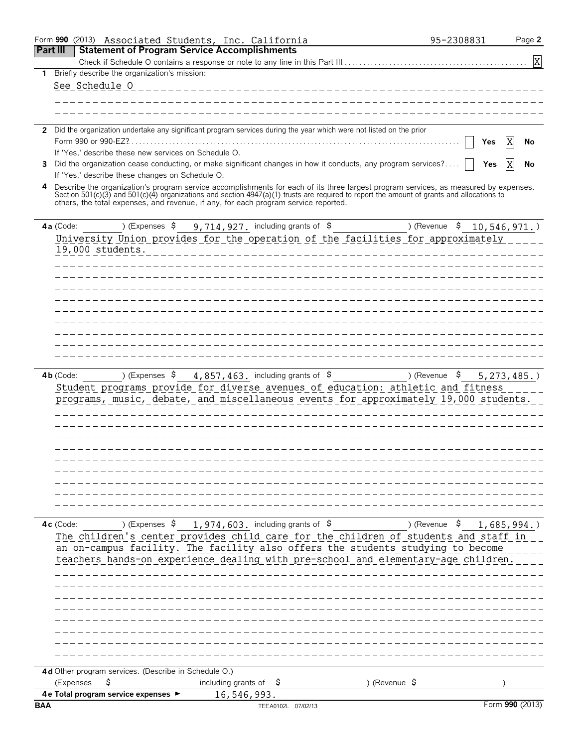|                 | Form 990 (2013) Associated Students, Inc. California                                                                                                                                                                                                                                                                                                                      |                                   |                                                                          |                                                                                                                                                                                                                                                                                                                                                                                                                                   | 95-2308831                | Page 2           |
|-----------------|---------------------------------------------------------------------------------------------------------------------------------------------------------------------------------------------------------------------------------------------------------------------------------------------------------------------------------------------------------------------------|-----------------------------------|--------------------------------------------------------------------------|-----------------------------------------------------------------------------------------------------------------------------------------------------------------------------------------------------------------------------------------------------------------------------------------------------------------------------------------------------------------------------------------------------------------------------------|---------------------------|------------------|
| <b>Part III</b> | <b>Statement of Program Service Accomplishments</b>                                                                                                                                                                                                                                                                                                                       |                                   |                                                                          |                                                                                                                                                                                                                                                                                                                                                                                                                                   |                           |                  |
|                 |                                                                                                                                                                                                                                                                                                                                                                           |                                   |                                                                          |                                                                                                                                                                                                                                                                                                                                                                                                                                   |                           | X                |
| 1               | Briefly describe the organization's mission:                                                                                                                                                                                                                                                                                                                              |                                   |                                                                          |                                                                                                                                                                                                                                                                                                                                                                                                                                   |                           |                  |
|                 | See Schedule O                                                                                                                                                                                                                                                                                                                                                            |                                   |                                                                          | ________________________                                                                                                                                                                                                                                                                                                                                                                                                          |                           |                  |
|                 |                                                                                                                                                                                                                                                                                                                                                                           |                                   |                                                                          |                                                                                                                                                                                                                                                                                                                                                                                                                                   |                           |                  |
|                 |                                                                                                                                                                                                                                                                                                                                                                           |                                   |                                                                          |                                                                                                                                                                                                                                                                                                                                                                                                                                   |                           |                  |
| $\mathbf{2}$    | Did the organization undertake any significant program services during the year which were not listed on the prior                                                                                                                                                                                                                                                        |                                   |                                                                          |                                                                                                                                                                                                                                                                                                                                                                                                                                   |                           |                  |
|                 | Form 990 or 990-EZ?.                                                                                                                                                                                                                                                                                                                                                      |                                   |                                                                          |                                                                                                                                                                                                                                                                                                                                                                                                                                   | Yes                       | Χ<br>No          |
|                 | If 'Yes,' describe these new services on Schedule O.                                                                                                                                                                                                                                                                                                                      |                                   |                                                                          |                                                                                                                                                                                                                                                                                                                                                                                                                                   |                           |                  |
| 3               | Did the organization cease conducting, or make significant changes in how it conducts, any program services?                                                                                                                                                                                                                                                              |                                   |                                                                          |                                                                                                                                                                                                                                                                                                                                                                                                                                   | Yes                       | X<br>No          |
|                 | If 'Yes,' describe these changes on Schedule O.                                                                                                                                                                                                                                                                                                                           |                                   |                                                                          |                                                                                                                                                                                                                                                                                                                                                                                                                                   |                           |                  |
| 4               | Describe the organization's program service accomplishments for each of its three largest program services, as measured by expenses.<br>Section 501(c)(3) and 501(c)(4) organizations and section 4947(a)(1) trusts are required to report the amount of grants and allocations to<br>others, the total expenses, and revenue, if any, for each program service reported. |                                   |                                                                          |                                                                                                                                                                                                                                                                                                                                                                                                                                   |                           |                  |
|                 | ) (Expenses \$<br>4a (Code:                                                                                                                                                                                                                                                                                                                                               |                                   | 9,714,927. including grants of $\,$ \$                                   | $\frac{1}{\sqrt{1-\frac{1}{\sqrt{1-\frac{1}{\sqrt{1-\frac{1}{\sqrt{1-\frac{1}{\sqrt{1-\frac{1}{\sqrt{1-\frac{1}{\sqrt{1-\frac{1}{\sqrt{1-\frac{1}{\sqrt{1-\frac{1}{\sqrt{1-\frac{1}{\sqrt{1-\frac{1}{\sqrt{1-\frac{1}{\sqrt{1-\frac{1}{\sqrt{1-\frac{1}{\sqrt{1-\frac{1}{\sqrt{1-\frac{1}{\sqrt{1-\frac{1}{\sqrt{1-\frac{1}{\sqrt{1-\frac{1}{\sqrt{1-\frac{1}{\sqrt{1-\frac{1}{\sqrt{1-\frac{1}{\sqrt{1-\frac{1}{\sqrt{1-\frac{1$ | \$                        | 10, 546, 971.    |
|                 | University Union provides for the operation of the facilities for approximately                                                                                                                                                                                                                                                                                           |                                   |                                                                          |                                                                                                                                                                                                                                                                                                                                                                                                                                   |                           |                  |
|                 | 19,000 students.                                                                                                                                                                                                                                                                                                                                                          |                                   |                                                                          |                                                                                                                                                                                                                                                                                                                                                                                                                                   |                           |                  |
|                 |                                                                                                                                                                                                                                                                                                                                                                           |                                   |                                                                          |                                                                                                                                                                                                                                                                                                                                                                                                                                   |                           |                  |
|                 |                                                                                                                                                                                                                                                                                                                                                                           |                                   |                                                                          |                                                                                                                                                                                                                                                                                                                                                                                                                                   |                           |                  |
|                 |                                                                                                                                                                                                                                                                                                                                                                           |                                   |                                                                          |                                                                                                                                                                                                                                                                                                                                                                                                                                   |                           |                  |
|                 |                                                                                                                                                                                                                                                                                                                                                                           |                                   |                                                                          |                                                                                                                                                                                                                                                                                                                                                                                                                                   |                           |                  |
|                 |                                                                                                                                                                                                                                                                                                                                                                           |                                   |                                                                          |                                                                                                                                                                                                                                                                                                                                                                                                                                   |                           |                  |
|                 |                                                                                                                                                                                                                                                                                                                                                                           |                                   |                                                                          |                                                                                                                                                                                                                                                                                                                                                                                                                                   |                           |                  |
|                 |                                                                                                                                                                                                                                                                                                                                                                           |                                   |                                                                          |                                                                                                                                                                                                                                                                                                                                                                                                                                   |                           |                  |
|                 |                                                                                                                                                                                                                                                                                                                                                                           |                                   |                                                                          |                                                                                                                                                                                                                                                                                                                                                                                                                                   |                           |                  |
|                 |                                                                                                                                                                                                                                                                                                                                                                           |                                   |                                                                          |                                                                                                                                                                                                                                                                                                                                                                                                                                   |                           |                  |
|                 | $4b$ (Code:<br>Student programs provide for diverse avenues of education: athletic and fitness<br>programs, music, debate, and miscellaneous events for approximately 19,000 students.                                                                                                                                                                                    |                                   | ) (Expenses $\frac{1}{5}$ 4, 857, 463. including grants of $\frac{1}{5}$ |                                                                                                                                                                                                                                                                                                                                                                                                                                   | ) (Revenue $\frac{1}{2}$  | $5, 273, 485.$ ) |
|                 |                                                                                                                                                                                                                                                                                                                                                                           |                                   |                                                                          |                                                                                                                                                                                                                                                                                                                                                                                                                                   |                           |                  |
|                 |                                                                                                                                                                                                                                                                                                                                                                           |                                   |                                                                          |                                                                                                                                                                                                                                                                                                                                                                                                                                   |                           |                  |
|                 | 4c (Code:<br>The children's center provides child care for the children of students and staff in<br>an on-campus facility. The facility also offers the students studying to become<br>teachers hands-on experience dealing with pre-school and elementary-age children.                                                                                                  |                                   | ) (Expenses $\frac{1}{974}$ , 603. including grants of $\frac{1}{9}$     |                                                                                                                                                                                                                                                                                                                                                                                                                                   | ) (Revenue \$ 1,685,994.) |                  |
|                 |                                                                                                                                                                                                                                                                                                                                                                           |                                   |                                                                          |                                                                                                                                                                                                                                                                                                                                                                                                                                   |                           |                  |
|                 | 4d Other program services. (Describe in Schedule O.)<br>\$<br>(Expenses                                                                                                                                                                                                                                                                                                   | including grants of $\frac{1}{2}$ |                                                                          | ) (Revenue $\sqrt{5}$                                                                                                                                                                                                                                                                                                                                                                                                             |                           |                  |
|                 | 4 e Total program service expenses ▶                                                                                                                                                                                                                                                                                                                                      |                                   | 16,546,993.                                                              |                                                                                                                                                                                                                                                                                                                                                                                                                                   |                           |                  |
| <b>BAA</b>      |                                                                                                                                                                                                                                                                                                                                                                           |                                   | TEEA0102L 07/02/13                                                       |                                                                                                                                                                                                                                                                                                                                                                                                                                   |                           | Form 990 (2013)  |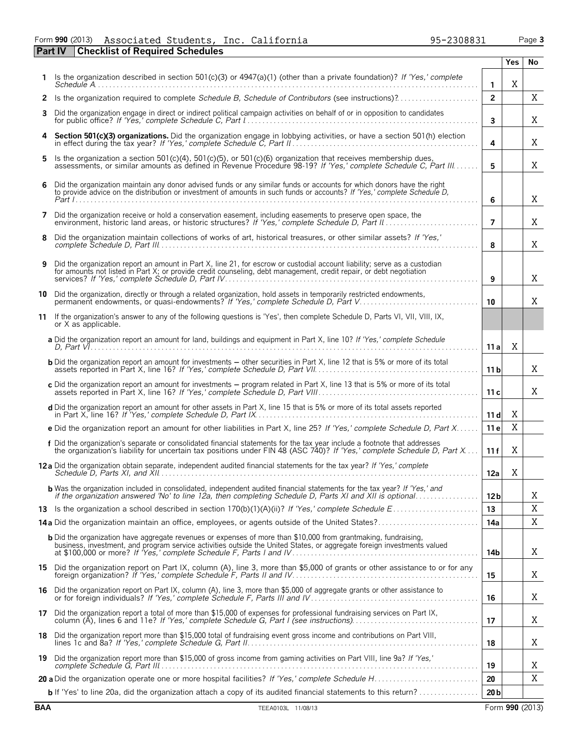#### Form **990** (2013) Page **3 Part IV Checklist of Required Schedules** Associated Students, Inc. California 95-2308831

|    |                                                                                                                                                                                                                                                     |                         | Yes | No          |
|----|-----------------------------------------------------------------------------------------------------------------------------------------------------------------------------------------------------------------------------------------------------|-------------------------|-----|-------------|
|    | Is the organization described in section 501(c)(3) or $4947(a)(1)$ (other than a private foundation)? If 'Yes,' complete                                                                                                                            | $\mathbf{1}$            | Χ   |             |
|    | 2 Is the organization required to complete Schedule B, Schedule of Contributors (see instructions)?                                                                                                                                                 | $\overline{2}$          |     | $\mathbf X$ |
| 3. | Did the organization engage in direct or indirect political campaign activities on behalf of or in opposition to candidates                                                                                                                         | $\overline{\mathbf{3}}$ |     | X           |
| 4  | Section 501(c)(3) organizations. Did the organization engage in lobbying activities, or have a section 501(h) election                                                                                                                              | 4                       |     | X           |
| 5. | Is the organization a section 501(c)(4), 501(c)(5), or 501(c)(6) organization that receives membership dues,<br>assessments, or similar amounts as defined in Revenue Procedure 98-19? If 'Yes,' complete Schedule C, Part III                      | 5                       |     | Χ           |
| 6  | Did the organization maintain any donor advised funds or any similar funds or accounts for which donors have the right<br>to provide advice on the distribution or investment of amounts in such funds or accounts? If 'Yes,' complete Schedule D,  | 6                       |     | X           |
| 7  | Did the organization receive or hold a conservation easement, including easements to preserve open space, the                                                                                                                                       | $\overline{7}$          |     | X           |
| 8  | Did the organization maintain collections of works of art, historical treasures, or other similar assets? If 'Yes,'                                                                                                                                 | 8                       |     | X           |
| 9  | Did the organization report an amount in Part X, line 21, for escrow or custodial account liability; serve as a custodian<br>for amounts not listed in Part X; or provide credit counseling, debt management, credit repair, or debt negotiation    | 9                       |     | X           |
| 10 | Did the organization, directly or through a related organization, hold assets in temporarily restricted endowments,<br>permanent endowments, or quasi-endowments? If 'Yes,' complete Schedule D, Part V                                             | 10                      |     | Χ           |
| 11 | If the organization's answer to any of the following questions is 'Yes', then complete Schedule D, Parts VI, VII, VIII, IX,<br>or X as applicable.                                                                                                  |                         |     |             |
|    | a Did the organization report an amount for land, buildings and equipment in Part X, line 10? If 'Yes,' complete Schedule                                                                                                                           | 11a                     | X   |             |
|    | <b>b</b> Did the organization report an amount for investments - other securities in Part X, line 12 that is 5% or more of its total                                                                                                                | 11 <sub>b</sub>         |     | Χ           |
|    | c Did the organization report an amount for investments - program related in Part X, line 13 that is 5% or more of its total                                                                                                                        | 11c                     |     | Χ           |
|    | d Did the organization report an amount for other assets in Part X, line 15 that is 5% or more of its total assets reported                                                                                                                         | 11d                     | X   |             |
|    | e Did the organization report an amount for other liabilities in Part X, line 25? If 'Yes,' complete Schedule D, Part X                                                                                                                             | 11 e                    | X   |             |
|    | f Did the organization's separate or consolidated financial statements for the tax year include a footnote that addresses<br>the organization's liability for uncertain tax positions under FIN 48 (ASC 740)? If 'Yes,' complete Schedule D, Part X | 11f                     | X   |             |
|    | 12 a Did the organization obtain separate, independent audited financial statements for the tax year? If 'Yes,' complete                                                                                                                            | 12a                     | X   |             |
|    | <b>b</b> Was the organization included in consolidated, independent audited financial statements for the tax year? If 'Yes,' and if the organization answered 'No' to line 12a, then completing Schedule D, Parts XI and XII is opt                 | 12 <sub>b</sub>         |     | X           |
|    |                                                                                                                                                                                                                                                     | 13                      |     | Χ           |
|    |                                                                                                                                                                                                                                                     | 14a                     |     | X           |
|    | <b>b</b> Did the organization have aggregate revenues or expenses of more than \$10,000 from grantmaking, fundraising,<br>business, investment, and program service activities outside the United States, or aggregate foreign investments valued   | 14b                     |     | X           |
|    | 15 Did the organization report on Part IX, column (A), line 3, more than \$5,000 of grants or other assistance to or for any                                                                                                                        | 15                      |     | X           |
|    | 16 Did the organization report on Part IX, column (A), line 3, more than \$5,000 of aggregate grants or other assistance to                                                                                                                         | 16                      |     | X           |
|    | 17 Did the organization report a total of more than \$15,000 of expenses for professional fundraising services on Part IX,                                                                                                                          | 17                      |     | X           |
|    | 18 Did the organization report more than \$15,000 total of fundraising event gross income and contributions on Part VIII,                                                                                                                           | 18                      |     | X           |
|    | 19 Did the organization report more than \$15,000 of gross income from gaming activities on Part VIII, line 9a? If 'Yes,'                                                                                                                           | 19                      |     | X           |
|    |                                                                                                                                                                                                                                                     | 20                      |     | Χ           |
|    | <b>b</b> If 'Yes' to line 20a, did the organization attach a copy of its audited financial statements to this return?                                                                                                                               | 20 <sub>b</sub>         |     |             |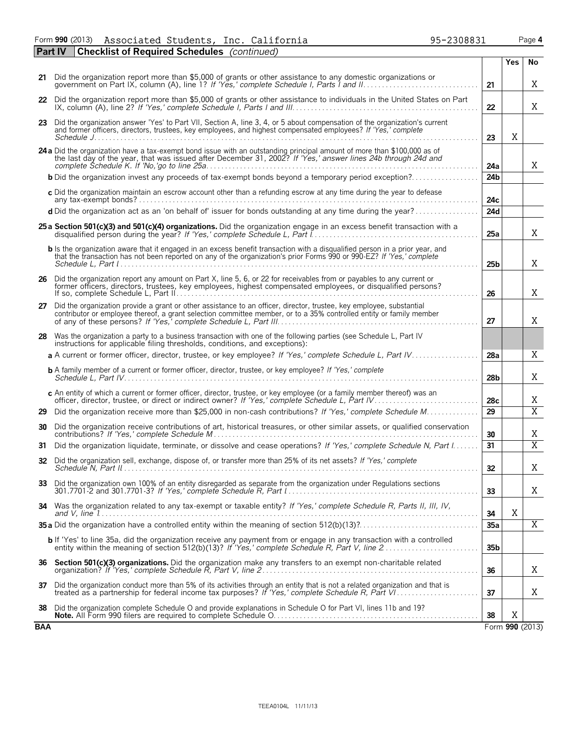Form **990** (2013) Associated Students, Inc. California 95-2308831 Page **4** Associated Students, Inc. California 95-2308831

|            | <b>Checklist of Required Schedules</b> (continued)<br><b>Part IV</b>                                                                                                                                                                                  |                 |            |                 |
|------------|-------------------------------------------------------------------------------------------------------------------------------------------------------------------------------------------------------------------------------------------------------|-----------------|------------|-----------------|
|            |                                                                                                                                                                                                                                                       |                 | <b>Yes</b> | No              |
|            | 21 Did the organization report more than \$5,000 of grants or other assistance to any domestic organizations or<br>government on Part IX, column (A), line 1? If 'Yes,' complete Schedule I, Parts I and II                                           | 21              |            | X               |
|            | 22 Did the organization report more than \$5,000 of grants or other assistance to individuals in the United States on Part                                                                                                                            | 22              |            | Χ               |
|            | 23 Did the organization answer 'Yes' to Part VII, Section A, line 3, 4, or 5 about compensation of the organization's current<br>and former officers, directors, trustees, key employees, and highest compensated employees? If 'Yes,' complete       |                 | Χ          |                 |
|            |                                                                                                                                                                                                                                                       | 23              |            |                 |
|            | 24 a Did the organization have a tax-exempt bond issue with an outstanding principal amount of more than \$100,000 as of<br>the last day of the year, that was issued after December 31, 2002? If 'Yes,' answer lines 24b through 24d and             | 24a             |            | X               |
|            | <b>b</b> Did the organization invest any proceeds of tax-exempt bonds beyond a temporary period exception?                                                                                                                                            | 24 <sub>b</sub> |            |                 |
|            | c Did the organization maintain an escrow account other than a refunding escrow at any time during the year to defease                                                                                                                                | 24c             |            |                 |
|            | d Did the organization act as an 'on behalf of' issuer for bonds outstanding at any time during the year?                                                                                                                                             | 24d             |            |                 |
|            | 25 a Section 501(c)(3) and 501(c)(4) organizations. Did the organization engage in an excess benefit transaction with a                                                                                                                               | 25a             |            | X               |
|            | b Is the organization aware that it engaged in an excess benefit transaction with a disqualified person in a prior year, and<br>that the transaction has not been reported on any of the organization's prior Forms 990 or 990-EZ? If 'Yes,' complete | 25 <sub>b</sub> |            | X               |
|            | 26 Did the organization report any amount on Part X, line 5, 6, or 22 for receivables from or payables to any current or<br>former officers, directors, trustees, key employees, highest compensated employees, or disqualified persons?              | 26              |            | X               |
| 27         | Did the organization provide a grant or other assistance to an officer, director, trustee, key employee, substantial<br>contributor or employee thereof, a grant selection committee member, or to a 35% controlled entity or family member           | 27              |            | Χ               |
|            | 28 Was the organization a party to a business transaction with one of the following parties (see Schedule L, Part IV<br>instructions for applicable filing thresholds, conditions, and exceptions):                                                   |                 |            |                 |
|            | a A current or former officer, director, trustee, or key employee? If 'Yes,' complete Schedule L, Part IV                                                                                                                                             | 28a             |            | X               |
|            | <b>b</b> A family member of a current or former officer, director, trustee, or key employee? If 'Yes,' complete                                                                                                                                       | 28 <sub>b</sub> |            | Χ               |
|            | c An entity of which a current or former officer, director, trustee, or key employee (or a family member thereof) was an                                                                                                                              | 28c             |            | Χ               |
| 29         | Did the organization receive more than \$25,000 in non-cash contributions? If 'Yes,' complete Schedule M                                                                                                                                              | $\overline{29}$ |            | $\overline{X}$  |
| 30         | Did the organization receive contributions of art, historical treasures, or other similar assets, or qualified conservation                                                                                                                           | 30              |            | Χ               |
| 31         | Did the organization liquidate, terminate, or dissolve and cease operations? If 'Yes,' complete Schedule N, Part I                                                                                                                                    | 31              |            | $\overline{X}$  |
| 32         | Did the organization sell, exchange, dispose of, or transfer more than 25% of its net assets? If 'Yes,' complete                                                                                                                                      | 32              |            | Χ               |
| 33         | Did the organization own 100% of an entity disregarded as separate from the organization under Regulations sections                                                                                                                                   | 33              |            | Χ               |
|            | 34 Was the organization related to any tax-exempt or taxable entity? If 'Yes,' complete Schedule R, Parts II, III, IV,                                                                                                                                | 34              | X          |                 |
|            |                                                                                                                                                                                                                                                       | 35a             |            | $\overline{X}$  |
|            | <b>b</b> If 'Yes' to line 35a, did the organization receive any payment from or engage in any transaction with a controlled                                                                                                                           | 35 <sub>b</sub> |            |                 |
| 36         | Section 501(c)(3) organizations. Did the organization make any transfers to an exempt non-charitable related                                                                                                                                          | 36              |            | Χ               |
| 37         | Did the organization conduct more than 5% of its activities through an entity that is not a related organization and that is                                                                                                                          | 37              |            | Χ               |
| 38         | Did the organization complete Schedule O and provide explanations in Schedule O for Part VI, lines 11b and 19?                                                                                                                                        | 38              | Χ          |                 |
| <b>BAA</b> |                                                                                                                                                                                                                                                       |                 |            | Form 990 (2013) |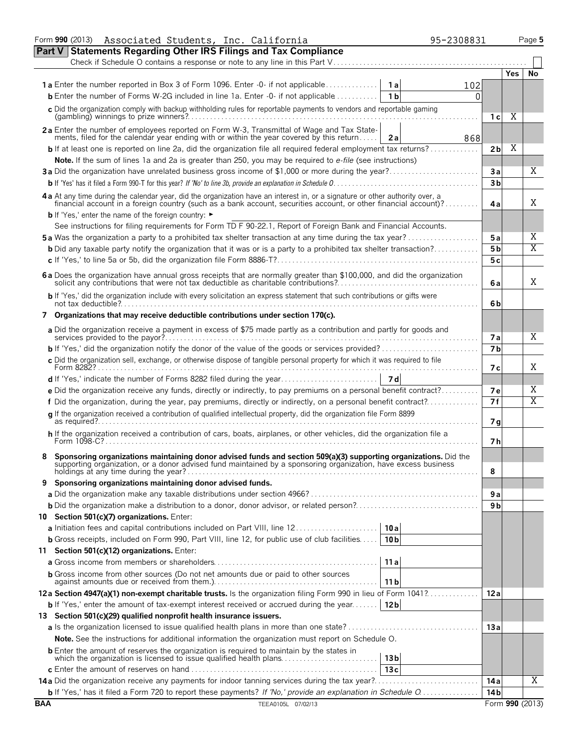|                                                                                                                                                                                                                                                   | Associated Students, Inc. California<br>Form 990 (2013)                                                                                                                                                                            |                 | 95-2308831 |                   |      | Page 5          |  |  |  |  |
|---------------------------------------------------------------------------------------------------------------------------------------------------------------------------------------------------------------------------------------------------|------------------------------------------------------------------------------------------------------------------------------------------------------------------------------------------------------------------------------------|-----------------|------------|-------------------|------|-----------------|--|--|--|--|
| <b>Part V</b>                                                                                                                                                                                                                                     | <b>Statements Regarding Other IRS Filings and Tax Compliance</b>                                                                                                                                                                   |                 |            |                   |      |                 |  |  |  |  |
|                                                                                                                                                                                                                                                   | Check if Schedule O contains a response or note to any line in this Part V                                                                                                                                                         |                 |            |                   |      |                 |  |  |  |  |
|                                                                                                                                                                                                                                                   |                                                                                                                                                                                                                                    |                 |            |                   | Yes. | No              |  |  |  |  |
|                                                                                                                                                                                                                                                   |                                                                                                                                                                                                                                    |                 | 102        |                   |      |                 |  |  |  |  |
|                                                                                                                                                                                                                                                   | <b>b</b> Enter the number of Forms W-2G included in line 1a. Enter $-0$ - if not applicable $\ldots$                                                                                                                               | 1 <sub>b</sub>  | 0          |                   |      |                 |  |  |  |  |
|                                                                                                                                                                                                                                                   | c Did the organization comply with backup withholding rules for reportable payments to vendors and reportable gaming                                                                                                               |                 |            |                   |      |                 |  |  |  |  |
|                                                                                                                                                                                                                                                   |                                                                                                                                                                                                                                    |                 |            | 1 <sub>c</sub>    | Χ    |                 |  |  |  |  |
|                                                                                                                                                                                                                                                   | 2a Enter the number of employees reported on Form W-3, Transmittal of Wage and Tax State-                                                                                                                                          |                 |            |                   |      |                 |  |  |  |  |
|                                                                                                                                                                                                                                                   | ments, filed for the calendar year ending with or within the year covered by this return                                                                                                                                           | 2a              | 868        |                   | Χ    |                 |  |  |  |  |
|                                                                                                                                                                                                                                                   | <b>b</b> If at least one is reported on line 2a, did the organization file all required federal employment tax returns?                                                                                                            |                 |            | 2b                |      |                 |  |  |  |  |
|                                                                                                                                                                                                                                                   | Note. If the sum of lines 1a and 2a is greater than 250, you may be required to e-file (see instructions)                                                                                                                          |                 |            |                   |      |                 |  |  |  |  |
|                                                                                                                                                                                                                                                   | 3a Did the organization have unrelated business gross income of \$1,000 or more during the year?                                                                                                                                   |                 |            | 3a                |      | Χ               |  |  |  |  |
|                                                                                                                                                                                                                                                   |                                                                                                                                                                                                                                    |                 |            | 3 <sub>b</sub>    |      |                 |  |  |  |  |
| 4 a At any time during the calendar year, did the organization have an interest in, or a signature or other authority over, a<br>financial account in a foreign country (such as a bank account, securities account, or other financial account)? |                                                                                                                                                                                                                                    |                 |            |                   |      |                 |  |  |  |  |
|                                                                                                                                                                                                                                                   | <b>b</b> If 'Yes,' enter the name of the foreign country: ►                                                                                                                                                                        |                 |            |                   |      |                 |  |  |  |  |
|                                                                                                                                                                                                                                                   | See instructions for filing requirements for Form TD F 90-22.1, Report of Foreign Bank and Financial Accounts.                                                                                                                     |                 |            |                   |      |                 |  |  |  |  |
|                                                                                                                                                                                                                                                   | <b>5a</b> Was the organization a party to a prohibited tax shelter transaction at any time during the tax year?                                                                                                                    |                 |            | 5a                |      | Χ               |  |  |  |  |
|                                                                                                                                                                                                                                                   | <b>b</b> Did any taxable party notify the organization that it was or is a party to a prohibited tax shelter transaction?                                                                                                          |                 |            | 5 <sub>b</sub>    |      | X               |  |  |  |  |
|                                                                                                                                                                                                                                                   |                                                                                                                                                                                                                                    |                 |            | 5c                |      |                 |  |  |  |  |
|                                                                                                                                                                                                                                                   | 6 a Does the organization have annual gross receipts that are normally greater than \$100,000, and did the organization                                                                                                            |                 |            | 6а                |      | Χ               |  |  |  |  |
|                                                                                                                                                                                                                                                   | b If 'Yes,' did the organization include with every solicitation an express statement that such contributions or gifts were                                                                                                        |                 |            | 6b                |      |                 |  |  |  |  |
|                                                                                                                                                                                                                                                   | 7 Organizations that may receive deductible contributions under section 170(c).                                                                                                                                                    |                 |            |                   |      |                 |  |  |  |  |
|                                                                                                                                                                                                                                                   | a Did the organization receive a payment in excess of \$75 made partly as a contribution and partly for goods and                                                                                                                  |                 |            |                   |      | X               |  |  |  |  |
|                                                                                                                                                                                                                                                   |                                                                                                                                                                                                                                    |                 |            | 7 a<br>7 <b>b</b> |      |                 |  |  |  |  |
|                                                                                                                                                                                                                                                   | c Did the organization sell, exchange, or otherwise dispose of tangible personal property for which it was required to file                                                                                                        |                 |            |                   |      |                 |  |  |  |  |
|                                                                                                                                                                                                                                                   |                                                                                                                                                                                                                                    |                 |            | 7 с               |      | Χ               |  |  |  |  |
|                                                                                                                                                                                                                                                   |                                                                                                                                                                                                                                    |                 |            |                   |      |                 |  |  |  |  |
|                                                                                                                                                                                                                                                   | e Did the organization receive any funds, directly or indirectly, to pay premiums on a personal benefit contract?                                                                                                                  |                 |            | <b>7e</b>         |      | Χ               |  |  |  |  |
|                                                                                                                                                                                                                                                   | f Did the organization, during the year, pay premiums, directly or indirectly, on a personal benefit contract?                                                                                                                     |                 |            | 7f                |      | X               |  |  |  |  |
|                                                                                                                                                                                                                                                   | q If the organization received a contribution of qualified intellectual property, did the organization file Form 8899                                                                                                              |                 |            | 7g                |      |                 |  |  |  |  |
|                                                                                                                                                                                                                                                   | h If the organization received a contribution of cars, boats, airplanes, or other vehicles, did the organization file a                                                                                                            |                 |            | 7 h               |      |                 |  |  |  |  |
|                                                                                                                                                                                                                                                   | Sponsoring organizations maintaining donor advised funds and section 509(a)(3) supporting organizations. Did the<br>supporting organization, or a donor advised fund maintained by a sponsoring organization, have excess business |                 |            | 8                 |      |                 |  |  |  |  |
| 9                                                                                                                                                                                                                                                 | Sponsoring organizations maintaining donor advised funds.                                                                                                                                                                          |                 |            |                   |      |                 |  |  |  |  |
|                                                                                                                                                                                                                                                   |                                                                                                                                                                                                                                    |                 |            | 9а                |      |                 |  |  |  |  |
|                                                                                                                                                                                                                                                   |                                                                                                                                                                                                                                    |                 |            | 9 <sub>b</sub>    |      |                 |  |  |  |  |
|                                                                                                                                                                                                                                                   | 10 Section 501(c)(7) organizations. Enter:                                                                                                                                                                                         |                 |            |                   |      |                 |  |  |  |  |
|                                                                                                                                                                                                                                                   |                                                                                                                                                                                                                                    | 10a             |            |                   |      |                 |  |  |  |  |
|                                                                                                                                                                                                                                                   | <b>b</b> Gross receipts, included on Form 990, Part VIII, line 12, for public use of club facilities                                                                                                                               | 10 <sub>b</sub> |            |                   |      |                 |  |  |  |  |
|                                                                                                                                                                                                                                                   | 11 Section 501(c)(12) organizations. Enter:                                                                                                                                                                                        |                 |            |                   |      |                 |  |  |  |  |
|                                                                                                                                                                                                                                                   |                                                                                                                                                                                                                                    | 11a             |            |                   |      |                 |  |  |  |  |
|                                                                                                                                                                                                                                                   | <b>b</b> Gross income from other sources (Do not net amounts due or paid to other sources                                                                                                                                          | 11 b            |            |                   |      |                 |  |  |  |  |
|                                                                                                                                                                                                                                                   | 12a Section 4947(a)(1) non-exempt charitable trusts. Is the organization filing Form 990 in lieu of Form 1041?                                                                                                                     |                 |            | 12 a              |      |                 |  |  |  |  |
|                                                                                                                                                                                                                                                   | <b>b</b> If 'Yes,' enter the amount of tax-exempt interest received or accrued during the year                                                                                                                                     | 12 <sub>b</sub> |            |                   |      |                 |  |  |  |  |
|                                                                                                                                                                                                                                                   | 13 Section 501(c)(29) qualified nonprofit health insurance issuers.                                                                                                                                                                |                 |            |                   |      |                 |  |  |  |  |
|                                                                                                                                                                                                                                                   |                                                                                                                                                                                                                                    |                 |            | 13 a              |      |                 |  |  |  |  |
|                                                                                                                                                                                                                                                   | <b>Note.</b> See the instructions for additional information the organization must report on Schedule O.                                                                                                                           |                 |            |                   |      |                 |  |  |  |  |
|                                                                                                                                                                                                                                                   | <b>b</b> Enter the amount of reserves the organization is required to maintain by the states in                                                                                                                                    |                 |            |                   |      |                 |  |  |  |  |
|                                                                                                                                                                                                                                                   |                                                                                                                                                                                                                                    | 13 <sub>b</sub> |            |                   |      |                 |  |  |  |  |
|                                                                                                                                                                                                                                                   |                                                                                                                                                                                                                                    | 13c             |            |                   |      |                 |  |  |  |  |
|                                                                                                                                                                                                                                                   | 14a Did the organization receive any payments for indoor tanning services during the tax year?                                                                                                                                     |                 |            | 14 a              |      | Χ               |  |  |  |  |
|                                                                                                                                                                                                                                                   | <b>b</b> If 'Yes,' has it filed a Form 720 to report these payments? If 'No,' provide an explanation in Schedule $0$                                                                                                               |                 |            | 14 <sub>b</sub>   |      |                 |  |  |  |  |
| <b>BAA</b>                                                                                                                                                                                                                                        | TEEA0105L 07/02/13                                                                                                                                                                                                                 |                 |            |                   |      | Form 990 (2013) |  |  |  |  |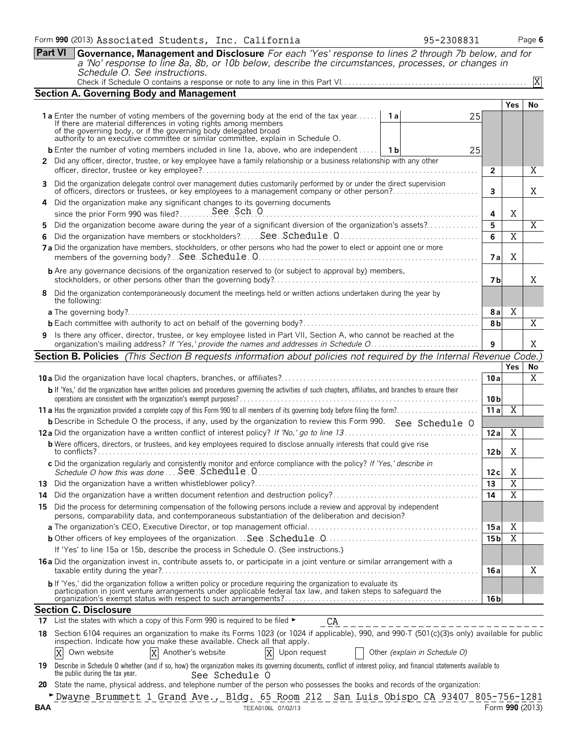|     | <b>Part VI</b><br>Governance, Management and Disclosure For each 'Yes' response to lines 2 through 7b below, and for<br>a 'No' response to line 8a, 8b, or 10b below, describe the circumstances, processes, or changes in                                                                                                      |                 |                 |    |  |  |  |  |  |  |
|-----|---------------------------------------------------------------------------------------------------------------------------------------------------------------------------------------------------------------------------------------------------------------------------------------------------------------------------------|-----------------|-----------------|----|--|--|--|--|--|--|
|     | Schedule O. See instructions.                                                                                                                                                                                                                                                                                                   |                 |                 |    |  |  |  |  |  |  |
|     |                                                                                                                                                                                                                                                                                                                                 |                 |                 | IX |  |  |  |  |  |  |
|     | <b>Section A. Governing Body and Management</b>                                                                                                                                                                                                                                                                                 |                 | <b>Yes</b>      | No |  |  |  |  |  |  |
|     | <b>1a</b> Enter the number of voting members of the governing body at the end of the tax year<br>1al<br>If there are material differences in voting rights among members<br>of the governing body, or if the governing body delegated broad<br>authority to an executive committee or similar committee, explain in Schedule O. | 25              |                 |    |  |  |  |  |  |  |
|     | <b>b</b> Enter the number of voting members included in line 1a, above, who are independent<br>1 b                                                                                                                                                                                                                              | 25              |                 |    |  |  |  |  |  |  |
|     | 2 Did any officer, director, trustee, or key employee have a family relationship or a business relationship with any other                                                                                                                                                                                                      | $\mathbf{2}$    |                 | Χ  |  |  |  |  |  |  |
|     | 3 Did the organization delegate control over management duties customarily performed by or under the direct supervision<br>of officers, directors or trustees, or key employees to a management company or other person?                                                                                                        | 3               |                 | Χ  |  |  |  |  |  |  |
|     | 4 Did the organization make any significant changes to its governing documents<br>since the prior Form 990 was filed? See Sch O                                                                                                                                                                                                 |                 |                 |    |  |  |  |  |  |  |
| 5.  | Did the organization become aware during the year of a significant diversion of the organization's assets?                                                                                                                                                                                                                      |                 |                 |    |  |  |  |  |  |  |
|     | 7a Did the organization have members, stockholders, or other persons who had the power to elect or appoint one or more                                                                                                                                                                                                          |                 |                 |    |  |  |  |  |  |  |
|     | <b>b</b> Are any governance decisions of the organization reserved to (or subject to approval by) members,                                                                                                                                                                                                                      | 7 <sub>b</sub>  |                 | X  |  |  |  |  |  |  |
|     | 8 Did the organization contemporaneously document the meetings held or written actions undertaken during the year by<br>the following:                                                                                                                                                                                          |                 |                 |    |  |  |  |  |  |  |
|     |                                                                                                                                                                                                                                                                                                                                 | 8a<br>8b        | Χ               | Χ  |  |  |  |  |  |  |
|     | 9 Is there any officer, director, trustee, or key employee listed in Part VII, Section A, who cannot be reached at the                                                                                                                                                                                                          |                 |                 |    |  |  |  |  |  |  |
|     | organization's mailing address? If 'Yes,' provide the names and addresses in Schedule O                                                                                                                                                                                                                                         | 9               |                 | X  |  |  |  |  |  |  |
|     | <b>Section B. Policies</b> (This Section B requests information about policies not required by the Internal Revenue Code.)                                                                                                                                                                                                      |                 |                 |    |  |  |  |  |  |  |
|     |                                                                                                                                                                                                                                                                                                                                 |                 | Yes             | No |  |  |  |  |  |  |
|     |                                                                                                                                                                                                                                                                                                                                 | 10a             |                 | X  |  |  |  |  |  |  |
|     | b If 'Yes,' did the organization have written policies and procedures governing the activities of such chapters, affiliates, and branches to ensure their                                                                                                                                                                       | 10 <sub>b</sub> |                 |    |  |  |  |  |  |  |
|     |                                                                                                                                                                                                                                                                                                                                 | 11a             | $\overline{X}$  |    |  |  |  |  |  |  |
|     | <b>b</b> Describe in Schedule O the process, if any, used by the organization to review this Form 990. See Schedule O                                                                                                                                                                                                           | 12a             | $\overline{X}$  |    |  |  |  |  |  |  |
|     | <b>b</b> Were officers, directors, or trustees, and key employees required to disclose annually interests that could give rise                                                                                                                                                                                                  | 12 <sub>b</sub> | Χ               |    |  |  |  |  |  |  |
|     | c Did the organization regularly and consistently monitor and enforce compliance with the policy? If 'Yes,' describe in<br>Schedule O how this was done  See Schedule 0                                                                                                                                                         | 12c             | Χ               |    |  |  |  |  |  |  |
| 13  |                                                                                                                                                                                                                                                                                                                                 | 13              | $\overline{X}$  |    |  |  |  |  |  |  |
| 14  |                                                                                                                                                                                                                                                                                                                                 | 14              | Χ               |    |  |  |  |  |  |  |
|     | 15 Did the process for determining compensation of the following persons include a review and approval by independent<br>persons, comparability data, and contemporaneous substantiation of the deliberation and decision?                                                                                                      |                 |                 |    |  |  |  |  |  |  |
|     |                                                                                                                                                                                                                                                                                                                                 | 15 a            | Χ               |    |  |  |  |  |  |  |
|     |                                                                                                                                                                                                                                                                                                                                 | 15 <sub>b</sub> | Χ               |    |  |  |  |  |  |  |
|     | If 'Yes' to line 15a or 15b, describe the process in Schedule O. (See instructions.)<br><b>16a</b> Did the organization invest in, contribute assets to, or participate in a joint venture or similar arrangement with a                                                                                                        | 16 a            |                 | Χ  |  |  |  |  |  |  |
|     | b If 'Yes,' did the organization follow a written policy or procedure requiring the organization to evaluate its<br>participation in joint venture arrangements under applicable federal tax law, and taken steps to safeguard the                                                                                              | 16 b            |                 |    |  |  |  |  |  |  |
|     | <b>Section C. Disclosure</b>                                                                                                                                                                                                                                                                                                    |                 |                 |    |  |  |  |  |  |  |
|     | 17 List the states with which a copy of this Form 990 is required to be filed $\blacktriangleright$<br>СA<br>_____________________                                                                                                                                                                                              |                 |                 |    |  |  |  |  |  |  |
|     | 18 Section 6104 requires an organization to make its Forms 1023 (or 1024 if applicable), 990, and 990-T (501(c)(3)s only) available for public<br>inspection. Indicate how you make these available. Check all that apply.                                                                                                      |                 |                 |    |  |  |  |  |  |  |
|     | X Another's website<br>X<br>Own website<br>Upon request<br>Other (explain in Schedule O)<br>X                                                                                                                                                                                                                                   |                 |                 |    |  |  |  |  |  |  |
| 19  | Describe in Schedule O whether (and if so, how) the organization makes its governing documents, conflict of interest policy, and financial statements available to<br>the public during the tax year.<br>See Schedule O                                                                                                         |                 |                 |    |  |  |  |  |  |  |
| 20  | State the name, physical address, and telephone number of the person who possesses the books and records of the organization:                                                                                                                                                                                                   |                 |                 |    |  |  |  |  |  |  |
| BAA | > Dwayne Brummett 1 Grand Ave., Bldg. 65 Room 212 San Luis Obispo CA 93407 805-756-1281<br>TEEA0106L 07/02/13                                                                                                                                                                                                                   |                 | Form 990 (2013) |    |  |  |  |  |  |  |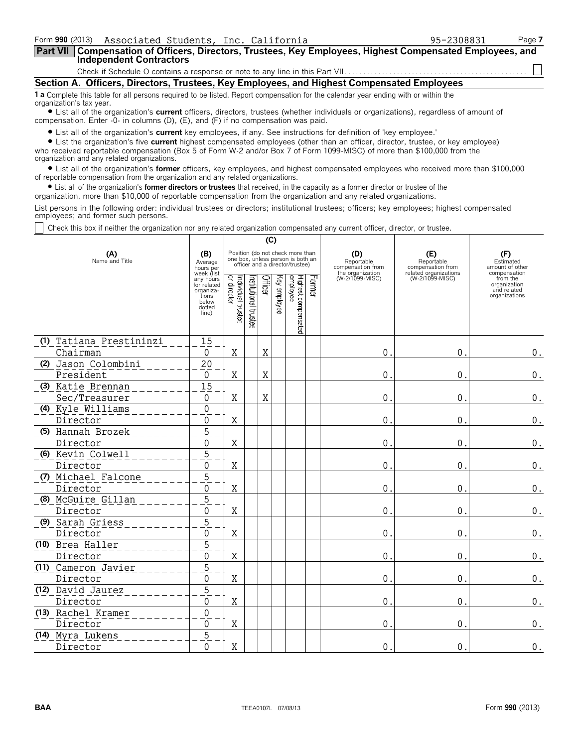| Form 990 (2013) Associated Students, Inc. California                                                                                                                                                                        | 95-2308831 | Page 7 |  |  |  |  |  |  |  |
|-----------------------------------------------------------------------------------------------------------------------------------------------------------------------------------------------------------------------------|------------|--------|--|--|--|--|--|--|--|
| Part VII   Compensation of Officers, Directors, Trustees, Key Employees, Highest Compensated Employees, and<br>Lindependent Contractors                                                                                     |            |        |  |  |  |  |  |  |  |
|                                                                                                                                                                                                                             |            |        |  |  |  |  |  |  |  |
| Section A. Officers, Directors, Trustees, Key Employees, and Highest Compensated Employees                                                                                                                                  |            |        |  |  |  |  |  |  |  |
| 1 a Complete this table for all persons required to be listed. Report compensation for the calendar year ending with or within the<br>organization's tax year.                                                              |            |        |  |  |  |  |  |  |  |
| • List all of the organization's current officers, directors, trustees (whether individuals or organizations), regardless of amount of<br>compensation. Enter -0- in columns (D), (E), and (F) if no compensation was paid. |            |        |  |  |  |  |  |  |  |

? List all of the organization's **current** key employees, if any. See instructions for definition of 'key employee.'

? List the organization's five **current** highest compensated employees (other than an officer, director, trustee, or key employee) who received reportable compensation (Box 5 of Form W-2 and/or Box 7 of Form 1099-MISC) of more than \$100,000 from the organization and any related organizations.

? List all of the organization's **former** officers, key employees, and highest compensated employees who received more than \$100,000 of reportable compensation from the organization and any related organizations.

? List all of the organization's **former directors or trustees** that received, in the capacity as a former director or trustee of the

organization, more than \$10,000 of reportable compensation from the organization and any related organizations.

List persons in the following order: individual trustees or directors; institutional trustees; officers; key employees; highest compensated employees; and former such persons.

Check this box if neither the organization nor any related organization compensated any current officer, director, or trustee.

|                         |                                                                                          | (C)                               |                      |         |                 |                                                                                                          |        |                                                            |                                          |                                                                          |
|-------------------------|------------------------------------------------------------------------------------------|-----------------------------------|----------------------|---------|-----------------|----------------------------------------------------------------------------------------------------------|--------|------------------------------------------------------------|------------------------------------------|--------------------------------------------------------------------------|
| (A)<br>Name and Title   | (B)<br>Average<br>hours per                                                              |                                   |                      |         |                 | Position (do not check more than<br>one box, unless person is both an<br>officer and a director/trustee) |        | (D)<br>Reportable<br>compensation from<br>the organization | (E)<br>Reportable<br>compensation from   | (F)<br>Estimated<br>amount of other                                      |
|                         | week (list<br>any hours<br>for related<br>organiza-<br>tions<br>below<br>dotted<br>line) | Individual trustee<br>or director | nstitutional trustee | Officer | kay<br>aubloyee | Highest compensated<br>employee                                                                          | Former | (W-2/1099-MISC)                                            | related organizations<br>(W-2/1099-MISC) | compensation<br>from the<br>organization<br>and related<br>organizations |
| (1) Tatiana Prestininzi | 15                                                                                       |                                   |                      |         |                 |                                                                                                          |        |                                                            |                                          |                                                                          |
| Chairman                | $\mathbf{0}$                                                                             | X                                 |                      | X       |                 |                                                                                                          |        | $\mathbf 0$ .                                              | 0.                                       | $\boldsymbol{0}$ .                                                       |
| (2) Jason Colombini     | 20                                                                                       |                                   |                      |         |                 |                                                                                                          |        |                                                            |                                          |                                                                          |
| President               | $\boldsymbol{0}$                                                                         | X                                 |                      | X       |                 |                                                                                                          |        | $\mathbf 0$ .                                              | $\mathbf 0$ .                            | $\boldsymbol{0}$ .                                                       |
| (3) Katie Brennan       | 15                                                                                       |                                   |                      |         |                 |                                                                                                          |        |                                                            |                                          |                                                                          |
| Sec/Treasurer           | $\boldsymbol{0}$                                                                         | Χ                                 |                      | X       |                 |                                                                                                          |        | 0.                                                         | $\mathbf 0$ .                            | $\boldsymbol{0}$ .                                                       |
| (4) Kyle Williams       | $\mathbf 0$                                                                              |                                   |                      |         |                 |                                                                                                          |        |                                                            |                                          |                                                                          |
| Director                | 0                                                                                        | Χ                                 |                      |         |                 |                                                                                                          |        | $\theta$ .                                                 | $\mathbf{0}$ .                           | $\mathbf 0$ .                                                            |
| (5) Hannah Brozek       | 5                                                                                        |                                   |                      |         |                 |                                                                                                          |        |                                                            |                                          |                                                                          |
| Director                | 0                                                                                        | Χ                                 |                      |         |                 |                                                                                                          |        | 0.                                                         | $\mathbf 0$ .                            | $\boldsymbol{0}$ .                                                       |
| (6) Kevin Colwell       | 5                                                                                        |                                   |                      |         |                 |                                                                                                          |        |                                                            |                                          |                                                                          |
| Director                | 0                                                                                        | X                                 |                      |         |                 |                                                                                                          |        | 0.                                                         | 0.                                       | 0.                                                                       |
| (7) Michael Falcone     | $\overline{5}$                                                                           |                                   |                      |         |                 |                                                                                                          |        |                                                            |                                          |                                                                          |
| Director                | 0                                                                                        | Χ                                 |                      |         |                 |                                                                                                          |        | 0.                                                         | $\mathbf 0$ .                            | $0$ .                                                                    |
| (8) McGuire Gillan      | $\overline{5}$                                                                           |                                   |                      |         |                 |                                                                                                          |        |                                                            |                                          |                                                                          |
| Director                | 0                                                                                        | Χ                                 |                      |         |                 |                                                                                                          |        | $\overline{0}$ .                                           | $\mathbf 0$ .                            | 0.                                                                       |
| (9) Sarah Griess        | 5                                                                                        |                                   |                      |         |                 |                                                                                                          |        |                                                            |                                          |                                                                          |
| Director                | 0                                                                                        | Χ                                 |                      |         |                 |                                                                                                          |        | 0.                                                         | $\mathbf 0$ .                            | 0.                                                                       |
| (10) Brea Haller        | $\overline{5}$                                                                           |                                   |                      |         |                 |                                                                                                          |        |                                                            |                                          |                                                                          |
| Director                | 0                                                                                        | X                                 |                      |         |                 |                                                                                                          |        | 0.                                                         | 0.                                       | $\boldsymbol{0}$ .                                                       |
| (11) Cameron Javier     | 5                                                                                        |                                   |                      |         |                 |                                                                                                          |        |                                                            |                                          |                                                                          |
| Director                | 0                                                                                        | X                                 |                      |         |                 |                                                                                                          |        | 0.                                                         | 0.                                       | $\boldsymbol{0}$ .                                                       |
| (12) David Jaurez       | 5                                                                                        |                                   |                      |         |                 |                                                                                                          |        |                                                            |                                          |                                                                          |
| Director                | $\Omega$                                                                                 | Χ                                 |                      |         |                 |                                                                                                          |        | 0.                                                         | 0.                                       | 0.                                                                       |
| (13) Rachel Kramer      | $\mathbf 0$                                                                              |                                   |                      |         |                 |                                                                                                          |        |                                                            |                                          |                                                                          |
| Director                | 0                                                                                        | X                                 |                      |         |                 |                                                                                                          |        | 0.                                                         | $\mathbf 0$ .                            | $\boldsymbol{0}$ .                                                       |
| (14) Myra Lukens        | 5                                                                                        |                                   |                      |         |                 |                                                                                                          |        |                                                            |                                          |                                                                          |
| Director                | 0                                                                                        | X                                 |                      |         |                 |                                                                                                          |        | 0.                                                         | 0.                                       | $\boldsymbol{0}$ .                                                       |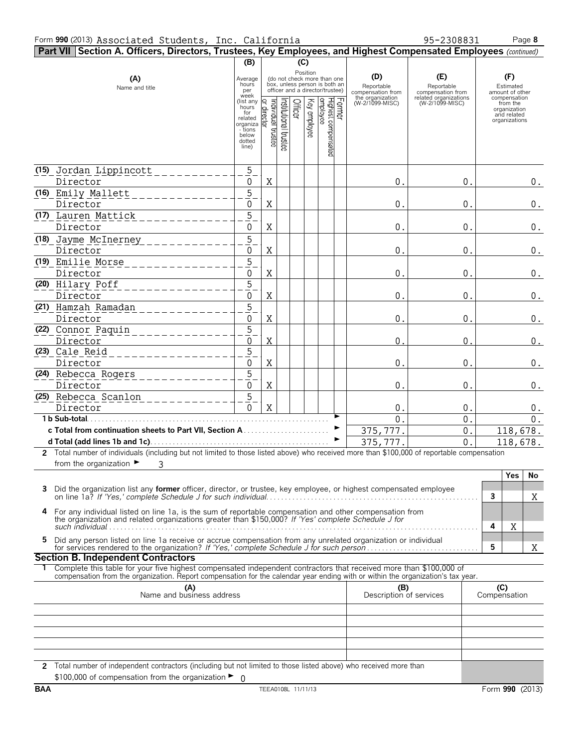| Part VII Section A. Officers, Directors, Trustees, Key Employees, and Highest Compensated Employees (continued)                                                                                                                                              |                                                                                                         |                                     |                      |         |              |                                                                                                                                                          |                                                                               |                                                                                    |                                                                                                                 |  |  |
|--------------------------------------------------------------------------------------------------------------------------------------------------------------------------------------------------------------------------------------------------------------|---------------------------------------------------------------------------------------------------------|-------------------------------------|----------------------|---------|--------------|----------------------------------------------------------------------------------------------------------------------------------------------------------|-------------------------------------------------------------------------------|------------------------------------------------------------------------------------|-----------------------------------------------------------------------------------------------------------------|--|--|
|                                                                                                                                                                                                                                                              | (B)<br>(C)                                                                                              |                                     |                      |         |              |                                                                                                                                                          |                                                                               |                                                                                    |                                                                                                                 |  |  |
| (A)<br>Name and title                                                                                                                                                                                                                                        | Average<br>hours<br>per<br>week<br>(list any<br>hours<br>for<br>related<br>organiza<br>- tions<br>below | Individual trustee<br>  or director | nstitutional trustee | Officer | Key employee | Position<br>(do not check more than one<br>box, unless person is both an<br>officer and a director/trustee)<br>Former<br>Highest compensated<br>employee | (D)<br>Reportable<br>compensation from<br>the organization<br>(W-2/1099-MISC) | (E)<br>Reportable<br>compensation from<br>related organizations<br>(W-2/1099-MISC) | (F)<br>Estimated<br>amount of other<br>compensation<br>from the<br>organization<br>and related<br>organizations |  |  |
|                                                                                                                                                                                                                                                              | dotted<br>line)                                                                                         |                                     |                      |         |              |                                                                                                                                                          |                                                                               |                                                                                    |                                                                                                                 |  |  |
| (15) Jordan Lippincott<br>Director                                                                                                                                                                                                                           | 5<br>0                                                                                                  | X                                   |                      |         |              |                                                                                                                                                          | 0.                                                                            | 0.                                                                                 | 0.                                                                                                              |  |  |
| (16) Emily Mallett                                                                                                                                                                                                                                           | 5                                                                                                       | X                                   |                      |         |              |                                                                                                                                                          |                                                                               |                                                                                    |                                                                                                                 |  |  |
| Director<br>(17) Lauren Mattick                                                                                                                                                                                                                              | 0<br>5                                                                                                  |                                     |                      |         |              |                                                                                                                                                          | 0.                                                                            | 0.                                                                                 | $0_{\cdot}$                                                                                                     |  |  |
| Director                                                                                                                                                                                                                                                     | 0                                                                                                       | X                                   |                      |         |              |                                                                                                                                                          | 0.                                                                            | 0.                                                                                 | $0$ .                                                                                                           |  |  |
| (18) Jayme McInerney<br>Director                                                                                                                                                                                                                             | 5<br>$\boldsymbol{0}$                                                                                   | X                                   |                      |         |              |                                                                                                                                                          | 0.                                                                            | 0.                                                                                 | $0$ .                                                                                                           |  |  |
| (19) Emilie Morse<br>Director                                                                                                                                                                                                                                | 5<br>$\boldsymbol{0}$                                                                                   | X                                   |                      |         |              |                                                                                                                                                          | 0.                                                                            | 0.                                                                                 | $0$ .                                                                                                           |  |  |
| (20) Hilary Poff                                                                                                                                                                                                                                             | $\overline{5}$                                                                                          |                                     |                      |         |              |                                                                                                                                                          |                                                                               |                                                                                    |                                                                                                                 |  |  |
| Director<br>(21) Hamzah Ramadan                                                                                                                                                                                                                              | $\boldsymbol{0}$<br>5                                                                                   | X                                   |                      |         |              |                                                                                                                                                          | 0.                                                                            | 0.                                                                                 | $0$ .                                                                                                           |  |  |
| Director                                                                                                                                                                                                                                                     | $\boldsymbol{0}$                                                                                        | X                                   |                      |         |              |                                                                                                                                                          | 0.                                                                            | 0.                                                                                 | $0$ .                                                                                                           |  |  |
| (22) Connor Paquin                                                                                                                                                                                                                                           | 5                                                                                                       |                                     |                      |         |              |                                                                                                                                                          |                                                                               |                                                                                    |                                                                                                                 |  |  |
| Director                                                                                                                                                                                                                                                     | $\mathbf 0$                                                                                             | $\mathbf X$                         |                      |         |              |                                                                                                                                                          | $\overline{0}$                                                                | $\mathbf{0}$                                                                       | 0.                                                                                                              |  |  |
| (23) Cale_Reid<br>Director                                                                                                                                                                                                                                   | 5<br>0                                                                                                  | X                                   |                      |         |              |                                                                                                                                                          | 0.                                                                            | 0.                                                                                 | $0$ .                                                                                                           |  |  |
| (24) Rebecca Rogers                                                                                                                                                                                                                                          | 5                                                                                                       |                                     |                      |         |              |                                                                                                                                                          |                                                                               |                                                                                    |                                                                                                                 |  |  |
| Director                                                                                                                                                                                                                                                     | 0                                                                                                       | X                                   |                      |         |              |                                                                                                                                                          | 0.                                                                            | 0.                                                                                 | 0.                                                                                                              |  |  |
| (25) Rebecca Scanlon<br>Director                                                                                                                                                                                                                             | 5<br>$\Omega$                                                                                           | X                                   |                      |         |              |                                                                                                                                                          | 0.                                                                            | 0.                                                                                 | 0.                                                                                                              |  |  |
|                                                                                                                                                                                                                                                              |                                                                                                         |                                     |                      |         |              |                                                                                                                                                          | $\Omega$                                                                      | 0.                                                                                 | 0.                                                                                                              |  |  |
|                                                                                                                                                                                                                                                              |                                                                                                         |                                     |                      |         |              |                                                                                                                                                          | 375,777.                                                                      | $0$ .                                                                              | 118,678.                                                                                                        |  |  |
|                                                                                                                                                                                                                                                              |                                                                                                         |                                     |                      |         |              |                                                                                                                                                          | 375,777.                                                                      | 0.                                                                                 | 118,678.                                                                                                        |  |  |
| 2 Total number of individuals (including but not limited to those listed above) who received more than \$100,000 of reportable compensation                                                                                                                  |                                                                                                         |                                     |                      |         |              |                                                                                                                                                          |                                                                               |                                                                                    |                                                                                                                 |  |  |
| from the organization $\blacktriangleright$<br>3                                                                                                                                                                                                             |                                                                                                         |                                     |                      |         |              |                                                                                                                                                          |                                                                               |                                                                                    |                                                                                                                 |  |  |
| Did the organization list any <b>former</b> officer, director, or trustee, key employee, or highest compensated employee<br>3                                                                                                                                |                                                                                                         |                                     |                      |         |              |                                                                                                                                                          |                                                                               |                                                                                    | Yes<br>No<br>3<br>Χ                                                                                             |  |  |
| 4 For any individual listed on line 1a, is the sum of reportable compensation and other compensation from<br>the organization and related organizations greater than \$150,000? If 'Yes' complete Schedule J for                                             |                                                                                                         |                                     |                      |         |              |                                                                                                                                                          |                                                                               |                                                                                    | 4<br>Χ                                                                                                          |  |  |
| Did any person listed on line 1a receive or accrue compensation from any unrelated organization or individual<br>5.                                                                                                                                          |                                                                                                         |                                     |                      |         |              |                                                                                                                                                          |                                                                               |                                                                                    | 5<br>X                                                                                                          |  |  |
| <b>Section B. Independent Contractors</b>                                                                                                                                                                                                                    |                                                                                                         |                                     |                      |         |              |                                                                                                                                                          |                                                                               |                                                                                    |                                                                                                                 |  |  |
| Complete this table for your five highest compensated independent contractors that received more than \$100,000 of<br>1.<br>compensation from the organization. Report compensation for the calendar year ending with or within the organization's tax year. |                                                                                                         |                                     |                      |         |              |                                                                                                                                                          |                                                                               |                                                                                    |                                                                                                                 |  |  |
| (A)<br>Name and business address                                                                                                                                                                                                                             |                                                                                                         |                                     |                      |         |              |                                                                                                                                                          | (B)<br>Description of services                                                |                                                                                    | (C)<br>Compensation                                                                                             |  |  |
|                                                                                                                                                                                                                                                              |                                                                                                         |                                     |                      |         |              |                                                                                                                                                          |                                                                               |                                                                                    |                                                                                                                 |  |  |
|                                                                                                                                                                                                                                                              |                                                                                                         |                                     |                      |         |              |                                                                                                                                                          |                                                                               |                                                                                    |                                                                                                                 |  |  |
|                                                                                                                                                                                                                                                              |                                                                                                         |                                     |                      |         |              |                                                                                                                                                          |                                                                               |                                                                                    |                                                                                                                 |  |  |

**2** Total number of independent contractors (including but not limited to those listed above) who received more than \$100,000 of compensation from the organization ► 0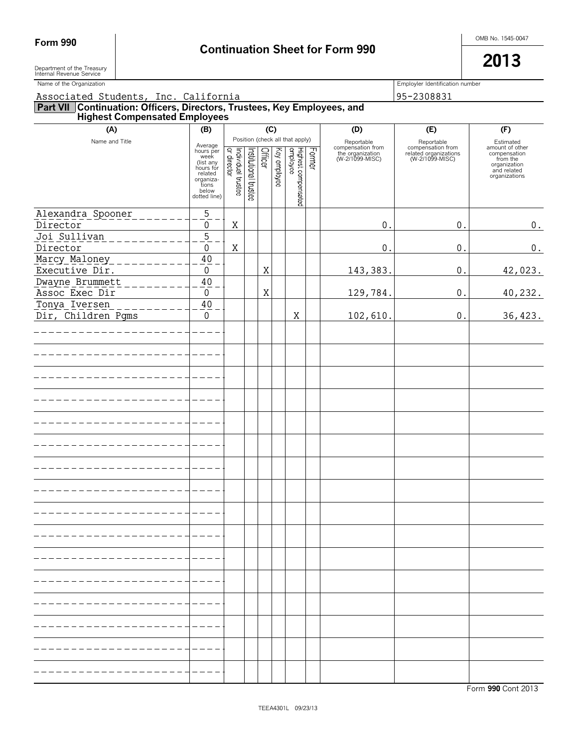# Form 990 **Continuation Sheet for Form 990 Continuation Sheet for Form 990**

Department of the Treasury  $\vert$ Department of the Treasury<br>Internal Revenue Service

| Name of the Organization                                                                                      |                                                        |                                   |                       |         |              |                                 |        |                                                                        | Employler Identification number                                             |                                                                          |  |  |
|---------------------------------------------------------------------------------------------------------------|--------------------------------------------------------|-----------------------------------|-----------------------|---------|--------------|---------------------------------|--------|------------------------------------------------------------------------|-----------------------------------------------------------------------------|--------------------------------------------------------------------------|--|--|
| Associated Students, Inc. California                                                                          |                                                        |                                   |                       |         |              |                                 |        | 95-2308831                                                             |                                                                             |                                                                          |  |  |
| <b>Part VII Continuation: Officers, Directors, Trustees, Key Employees, and Highest Compensated Employees</b> |                                                        |                                   |                       |         |              |                                 |        |                                                                        |                                                                             |                                                                          |  |  |
| (A)                                                                                                           | (B)                                                    |                                   |                       | (C)     |              |                                 |        | (D)                                                                    | (E)                                                                         | (F)                                                                      |  |  |
| Name and Title                                                                                                | Average<br>hours per<br>week<br>(list any<br>hours for |                                   |                       | Officer |              | Position (check all that apply) | Former | Reportable<br>compensation from<br>the organization<br>(W-2/1099-MISC) | Reportable<br>compensation from<br>related organizations<br>(W-2/1099-MISC) | Estimated<br>amount of other<br>compensation<br>from the<br>organization |  |  |
|                                                                                                               | related<br>organiza-<br>tions<br>below<br>dotted line) | Individual trustee<br>or director | Institutional trustee |         | Key employee | Highest compensated<br>employee |        |                                                                        |                                                                             | and related<br>organizations                                             |  |  |
| Alexandra Spooner<br>Director                                                                                 | $\sqrt{5}$<br>0                                        | Χ                                 |                       |         |              |                                 |        | 0.                                                                     | $\mathbf 0$ .                                                               | 0.                                                                       |  |  |
| Joi Sullivan<br>__________<br>Director                                                                        | $\overline{5}$<br>$\boldsymbol{0}$                     | X                                 |                       |         |              |                                 |        | 0.                                                                     | $\boldsymbol{0}$ .                                                          | 0.                                                                       |  |  |
| Marcy Maloney<br>$-$ --------<br>Executive Dir.                                                               | 40<br>$\pmb{0}$                                        |                                   |                       | X       |              |                                 |        | 143,383.                                                               | $0$ .                                                                       | 42,023.                                                                  |  |  |
| Dwayne Brummett<br>_______<br>Assoc Exec Dir                                                                  | 40<br>0                                                |                                   |                       | Χ       |              |                                 |        | 129,784.                                                               | $0$ .                                                                       | 40,232.                                                                  |  |  |
| Tonya Iversen<br>Dir, Children Pgms                                                                           | 40<br>0                                                |                                   |                       |         |              | Χ                               |        | 102,610.                                                               | $0$ .                                                                       | 36, 423.                                                                 |  |  |
| --------------                                                                                                |                                                        |                                   |                       |         |              |                                 |        |                                                                        |                                                                             |                                                                          |  |  |
|                                                                                                               |                                                        |                                   |                       |         |              |                                 |        |                                                                        |                                                                             |                                                                          |  |  |
|                                                                                                               |                                                        |                                   |                       |         |              |                                 |        |                                                                        |                                                                             |                                                                          |  |  |
|                                                                                                               |                                                        |                                   |                       |         |              |                                 |        |                                                                        |                                                                             |                                                                          |  |  |
|                                                                                                               |                                                        |                                   |                       |         |              |                                 |        |                                                                        |                                                                             |                                                                          |  |  |
|                                                                                                               |                                                        |                                   |                       |         |              |                                 |        |                                                                        |                                                                             |                                                                          |  |  |
|                                                                                                               |                                                        |                                   |                       |         |              |                                 |        |                                                                        |                                                                             |                                                                          |  |  |
|                                                                                                               |                                                        |                                   |                       |         |              |                                 |        |                                                                        |                                                                             |                                                                          |  |  |
|                                                                                                               |                                                        |                                   |                       |         |              |                                 |        |                                                                        |                                                                             |                                                                          |  |  |
|                                                                                                               |                                                        |                                   |                       |         |              |                                 |        |                                                                        |                                                                             |                                                                          |  |  |
|                                                                                                               |                                                        |                                   |                       |         |              |                                 |        |                                                                        |                                                                             |                                                                          |  |  |
|                                                                                                               |                                                        |                                   |                       |         |              |                                 |        |                                                                        |                                                                             |                                                                          |  |  |
|                                                                                                               |                                                        |                                   |                       |         |              |                                 |        |                                                                        |                                                                             |                                                                          |  |  |
|                                                                                                               |                                                        |                                   |                       |         |              |                                 |        |                                                                        |                                                                             |                                                                          |  |  |
|                                                                                                               |                                                        |                                   |                       |         |              |                                 |        |                                                                        |                                                                             |                                                                          |  |  |
|                                                                                                               |                                                        |                                   |                       |         |              |                                 |        |                                                                        |                                                                             |                                                                          |  |  |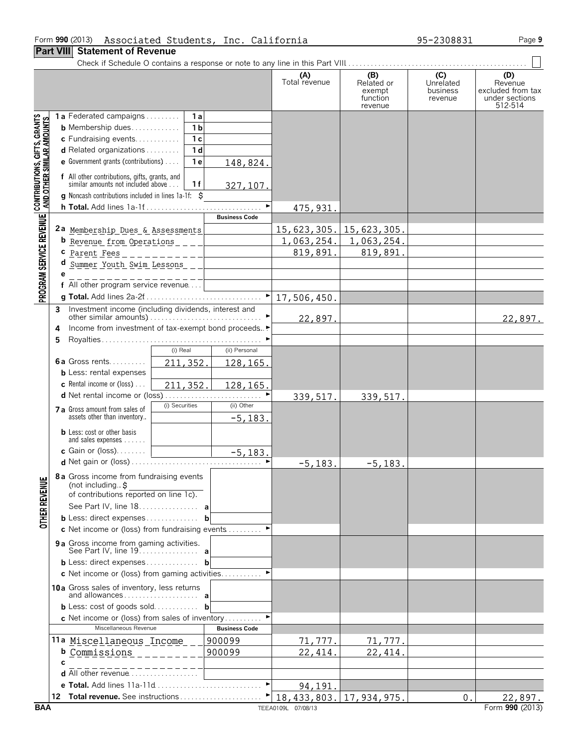#### **Part VIII Statement of Revenue**

|                                                                                                               |   |                                                                                                                                                                                                                                  | (A)<br>Total revenue | (B)<br>Related or<br>exempt<br>function<br>revenue | $\overline{C}$<br>Unrelated<br>business<br>revenue | (D)<br>Revenue<br>excluded from tax<br>under sections<br>512-514 |
|---------------------------------------------------------------------------------------------------------------|---|----------------------------------------------------------------------------------------------------------------------------------------------------------------------------------------------------------------------------------|----------------------|----------------------------------------------------|----------------------------------------------------|------------------------------------------------------------------|
| PROGRAM SERVICE REVENUE   CONTRIBUTIONS, GIFTS, GRANTS<br>PROGRAM SERVICE REVENUE   AND OTHER SIMILAR AMOUNTS |   | 1a Federated campaigns<br>1 a<br>1 <sub>b</sub><br><b>b</b> Membership dues<br>$\overline{1}c$<br>c Fundraising events<br>1d<br>d Related organizations<br><b>e</b> Government grants (contributions) $\ldots$<br>1e<br>148,824. |                      |                                                    |                                                    |                                                                  |
|                                                                                                               |   | f All other contributions, gifts, grants, and<br>similar amounts not included above<br>1f<br>327, 107.<br><b>g</b> Noncash contributions included in lines 1a-1f: \$                                                             |                      |                                                    |                                                    |                                                                  |
|                                                                                                               |   |                                                                                                                                                                                                                                  | ►<br>475, 931.       |                                                    |                                                    |                                                                  |
|                                                                                                               |   | <b>Business Code</b>                                                                                                                                                                                                             |                      |                                                    |                                                    |                                                                  |
|                                                                                                               |   | 2a Membership Dues & Assessments                                                                                                                                                                                                 |                      | <u>15,623,305. 15,623,305.</u>                     |                                                    |                                                                  |
|                                                                                                               |   |                                                                                                                                                                                                                                  | 1,063,254.           | 1,063,254.                                         |                                                    |                                                                  |
|                                                                                                               |   | C <u>Parent Fees</u> _ _ _ _ _ _ _ _ _ _ _ _ _ _ _                                                                                                                                                                               | 819,891.             | 819,891.                                           |                                                    |                                                                  |
|                                                                                                               | d |                                                                                                                                                                                                                                  |                      |                                                    |                                                    |                                                                  |
|                                                                                                               | e | f All other program service revenue $\begin{bmatrix} 1 & 1 & 1 \\ 1 & 1 & 1 \\ 1 & 1 & 1 \end{bmatrix}$                                                                                                                          |                      |                                                    |                                                    |                                                                  |
|                                                                                                               |   |                                                                                                                                                                                                                                  | 17,506,450.          |                                                    |                                                    |                                                                  |
|                                                                                                               | 3 | Investment income (including dividends, interest and                                                                                                                                                                             |                      |                                                    |                                                    |                                                                  |
|                                                                                                               |   |                                                                                                                                                                                                                                  | 22,897.              |                                                    |                                                    | 22,897.                                                          |
|                                                                                                               | 4 | Income from investment of tax-exempt bond proceeds▶                                                                                                                                                                              |                      |                                                    |                                                    |                                                                  |
|                                                                                                               | 5 |                                                                                                                                                                                                                                  |                      |                                                    |                                                    |                                                                  |
|                                                                                                               |   | (i) Real<br>(ii) Personal<br><b>6a</b> Gross rents                                                                                                                                                                               |                      |                                                    |                                                    |                                                                  |
|                                                                                                               |   | 211, 352.<br>128, 165.<br><b>b</b> Less: rental expenses                                                                                                                                                                         |                      |                                                    |                                                    |                                                                  |
|                                                                                                               |   | <b>c</b> Rental income or (loss) $\ldots$<br>211,352.<br>128,165.                                                                                                                                                                |                      |                                                    |                                                    |                                                                  |
|                                                                                                               |   |                                                                                                                                                                                                                                  | ►<br>339, 517.       | 339, 517.                                          |                                                    |                                                                  |
|                                                                                                               |   | (i) Securities<br>(ii) Other<br>7 a Gross amount from sales of                                                                                                                                                                   |                      |                                                    |                                                    |                                                                  |
|                                                                                                               |   | assets other than inventory<br>$-5,183.$                                                                                                                                                                                         |                      |                                                    |                                                    |                                                                  |
|                                                                                                               |   | <b>b</b> Less: cost or other basis<br>and sales expenses                                                                                                                                                                         |                      |                                                    |                                                    |                                                                  |
|                                                                                                               |   | $-5,183.$<br>c Gain or (loss)                                                                                                                                                                                                    |                      |                                                    |                                                    |                                                                  |
|                                                                                                               |   |                                                                                                                                                                                                                                  | $-5, 183.$           | $-5, 183.$                                         |                                                    |                                                                  |
| <b>OTHER REVENUE</b>                                                                                          |   | 8 a Gross income from fundraising events<br>(not including. $\ddot{s}$<br>of contributions reported on line 1c).                                                                                                                 |                      |                                                    |                                                    |                                                                  |
|                                                                                                               |   | See Part IV, line 18. a                                                                                                                                                                                                          |                      |                                                    |                                                    |                                                                  |
|                                                                                                               |   | <b>b</b> Less: direct expenses <b>b</b>                                                                                                                                                                                          |                      |                                                    |                                                    |                                                                  |
|                                                                                                               |   | <b>c</b> Net income or (loss) from fundraising events $\ldots \ldots$                                                                                                                                                            |                      |                                                    |                                                    |                                                                  |
|                                                                                                               |   | <b>9a</b> Gross income from gaming activities.<br>See Part IV, line 19. <b>a</b>                                                                                                                                                 |                      |                                                    |                                                    |                                                                  |
|                                                                                                               |   |                                                                                                                                                                                                                                  |                      |                                                    |                                                    |                                                                  |
|                                                                                                               |   | <b>c</b> Net income or (loss) from gaming activities                                                                                                                                                                             |                      |                                                    |                                                    |                                                                  |
|                                                                                                               |   | 10a Gross sales of inventory, less returns                                                                                                                                                                                       |                      |                                                    |                                                    |                                                                  |
|                                                                                                               |   | <b>b</b> Less: cost of goods sold <b>b</b>                                                                                                                                                                                       |                      |                                                    |                                                    |                                                                  |
|                                                                                                               |   | <b>c</b> Net income or (loss) from sales of inventory<br>Miscellaneous Revenue<br><b>Business Code</b>                                                                                                                           |                      |                                                    |                                                    |                                                                  |
|                                                                                                               |   | 11a Miscellaneous Income<br>900099                                                                                                                                                                                               | 71,777.              | 71,777.                                            |                                                    |                                                                  |
|                                                                                                               |   | 900099<br><b>b</b> Commissions                                                                                                                                                                                                   | 22,414               | 22,414.                                            |                                                    |                                                                  |
|                                                                                                               | C |                                                                                                                                                                                                                                  |                      |                                                    |                                                    |                                                                  |
|                                                                                                               |   | d All other revenue                                                                                                                                                                                                              |                      |                                                    |                                                    |                                                                  |
|                                                                                                               |   |                                                                                                                                                                                                                                  | 94,191               |                                                    |                                                    |                                                                  |
|                                                                                                               |   |                                                                                                                                                                                                                                  |                      | 18, 433, 803. 17, 934, 975.                        | 0.                                                 | 22,897.                                                          |
| <b>BAA</b>                                                                                                    |   |                                                                                                                                                                                                                                  | TEEA0109L 07/08/13   |                                                    |                                                    | Form 990 (2013)                                                  |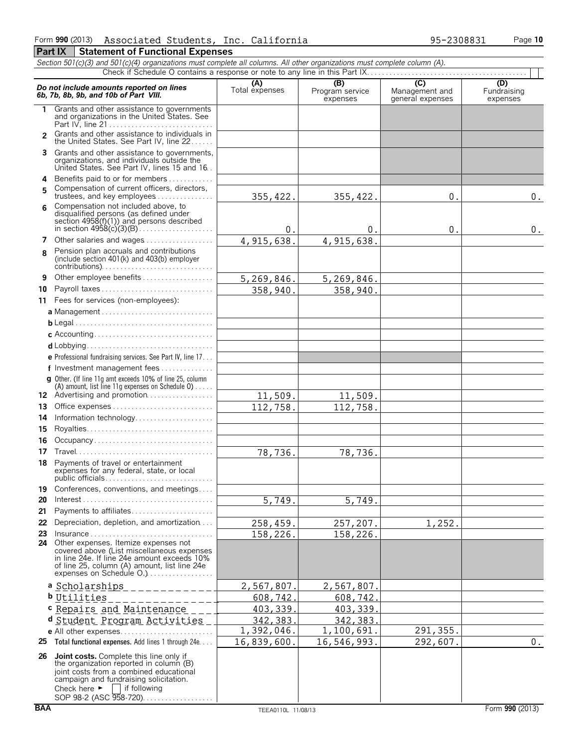|               | Section 501(c)(3) and 501(c)(4) organizations must complete all columns. All other organizations must complete column (A).                                                                                                                                   |                       |                                    |                                                      |                                |
|---------------|--------------------------------------------------------------------------------------------------------------------------------------------------------------------------------------------------------------------------------------------------------------|-----------------------|------------------------------------|------------------------------------------------------|--------------------------------|
|               |                                                                                                                                                                                                                                                              |                       |                                    |                                                      |                                |
|               | Do not include amounts reported on lines<br>6b, 7b, 8b, 9b, and 10b of Part VIII.                                                                                                                                                                            | (A)<br>Total expenses | (B)<br>Program service<br>expenses | $\overline{C}$<br>Management and<br>general expenses | (D)<br>Fundraising<br>expenses |
|               | Grants and other assistance to governments<br>and organizations in the United States. See                                                                                                                                                                    |                       |                                    |                                                      |                                |
| $\mathcal{P}$ | Grants and other assistance to individuals in<br>the United States. See Part IV, line 22                                                                                                                                                                     |                       |                                    |                                                      |                                |
|               | 3 Grants and other assistance to governments,<br>organizations, and individuals outside the<br>United States. See Part IV, lines 15 and 16.                                                                                                                  |                       |                                    |                                                      |                                |
|               | 4 Benefits paid to or for members                                                                                                                                                                                                                            |                       |                                    |                                                      |                                |
| 5             | Compensation of current officers, directors,<br>trustees, and key employees                                                                                                                                                                                  | 355, 422.             | 355, 422.                          | 0.                                                   | 0.                             |
| 6             | Compensation not included above, to<br>disqualified persons (as defined under<br>section $4958(f)(1)$ and persons described                                                                                                                                  | 0.                    | 0.                                 | 0.                                                   | 0.                             |
| 7             | Other salaries and wages                                                                                                                                                                                                                                     | 4, 915, 638.          | 4, 915, 638.                       |                                                      |                                |
| 8             | Pension plan accruals and contributions<br>(include section 401(k) and 403(b) employer                                                                                                                                                                       |                       |                                    |                                                      |                                |
| 9             | Other employee benefits                                                                                                                                                                                                                                      | 5,269,846.            | 5, 269, 846.                       |                                                      |                                |
| 10            | Payroll taxes                                                                                                                                                                                                                                                | 358,940.              | 358,940.                           |                                                      |                                |
|               | 11 Fees for services (non-employees):                                                                                                                                                                                                                        |                       |                                    |                                                      |                                |
|               | a Management                                                                                                                                                                                                                                                 |                       |                                    |                                                      |                                |
|               |                                                                                                                                                                                                                                                              |                       |                                    |                                                      |                                |
|               |                                                                                                                                                                                                                                                              |                       |                                    |                                                      |                                |
|               |                                                                                                                                                                                                                                                              |                       |                                    |                                                      |                                |
|               | e Professional fundraising services. See Part IV, line 17                                                                                                                                                                                                    |                       |                                    |                                                      |                                |
|               | f Investment management fees<br><b>g</b> Other. (If line 11g amt exceeds 10% of line 25, column                                                                                                                                                              |                       |                                    |                                                      |                                |
|               | (A) amount, list line 11g expenses on Schedule $0$ )                                                                                                                                                                                                         |                       |                                    |                                                      |                                |
|               | 12 Advertising and promotion                                                                                                                                                                                                                                 | 11,509.               | 11,509.                            |                                                      |                                |
| 13            |                                                                                                                                                                                                                                                              | 112,758.              | 112,758.                           |                                                      |                                |
| 14            | Information technology                                                                                                                                                                                                                                       |                       |                                    |                                                      |                                |
| 15            |                                                                                                                                                                                                                                                              |                       |                                    |                                                      |                                |
| 16            | Occupancy                                                                                                                                                                                                                                                    |                       |                                    |                                                      |                                |
| 17<br>18      | Payments of travel or entertainment                                                                                                                                                                                                                          | 78,736.               | 78,736.                            |                                                      |                                |
|               | expenses for any federal, state, or local<br>public officials                                                                                                                                                                                                |                       |                                    |                                                      |                                |
| 19            | Conferences, conventions, and meetings                                                                                                                                                                                                                       |                       |                                    |                                                      |                                |
| 20<br>21      | $Interest \dots \dots \dots \dots \dots \dots \dots \dots \dots \dots \dots \dots \dots \dots$<br>Payments to affiliates                                                                                                                                     | 5,749.                | 5,749.                             |                                                      |                                |
| 22            | Depreciation, depletion, and amortization                                                                                                                                                                                                                    | 258,459.              | 257,207.                           | 1,252.                                               |                                |
| 23            | $Insurance \ldots \ldots \ldots \ldots \ldots \ldots \ldots \ldots \ldots$                                                                                                                                                                                   | 158,226.              | 158,226.                           |                                                      |                                |
|               | 24 Other expenses. Itemize expenses not<br>covered above (List miscellaneous expenses<br>in line 24e. If line 24e amount exceeds 10%<br>of line 25, column (A) amount, list line 24e<br>expenses on Schedule O.)                                             |                       |                                    |                                                      |                                |
|               | a Scholarships                                                                                                                                                                                                                                               | 2,567,807             | 2,567,807.                         |                                                      |                                |
|               | <b>b</b> Utilities                                                                                                                                                                                                                                           | 608,742.              | 608,742.                           |                                                      |                                |
|               | c Repairs and Maintenance ___                                                                                                                                                                                                                                | 403, 339.             | 403,339.                           |                                                      |                                |
|               | d Student Program Activities                                                                                                                                                                                                                                 | 342,383.              | 342, 383.                          |                                                      |                                |
|               | e All other expenses                                                                                                                                                                                                                                         | 1,392,046.            | 1,100,691.                         | 291, 355.                                            |                                |
| 25            | Total functional expenses. Add lines 1 through 24e                                                                                                                                                                                                           | 16,839,600.           | 16,546,993.                        | 292,607.                                             | 0.                             |
| 26            | <b>Joint costs.</b> Complete this line only if<br>the organization reported in column (B)<br>joint costs from a combined educational<br>campaign and fundraising solicitation.<br>if following<br>Check here $\blacktriangleright$<br>SOP 98-2 (ASC 958-720) |                       |                                    |                                                      |                                |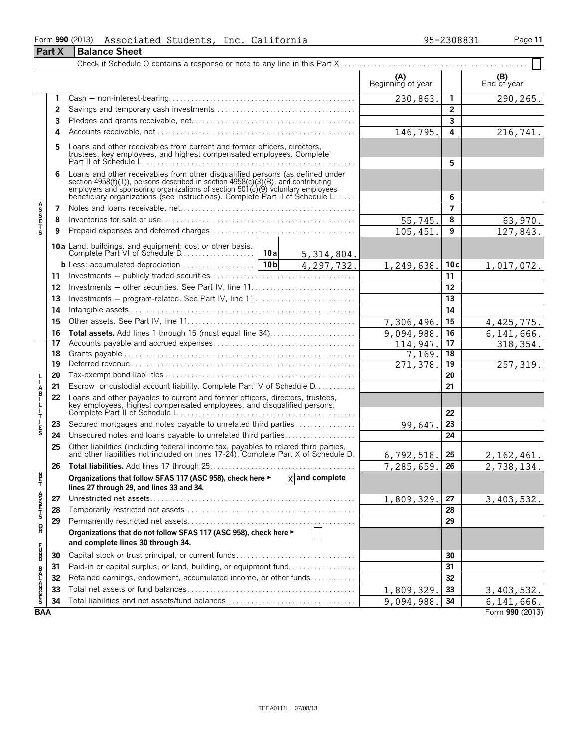#### Form **990** (2013) Associated Students, Inc. California 95–2308831 Page 11

|                                                                                                                                                                 | <b>Part X</b> | <b>Balance Sheet</b>                                                                                                                                                                                                                                                                                                 |  |                             |                          |                 |                    |
|-----------------------------------------------------------------------------------------------------------------------------------------------------------------|---------------|----------------------------------------------------------------------------------------------------------------------------------------------------------------------------------------------------------------------------------------------------------------------------------------------------------------------|--|-----------------------------|--------------------------|-----------------|--------------------|
|                                                                                                                                                                 |               |                                                                                                                                                                                                                                                                                                                      |  |                             |                          |                 |                    |
|                                                                                                                                                                 |               |                                                                                                                                                                                                                                                                                                                      |  |                             | (A)<br>Beginning of year |                 | (B)<br>End of year |
|                                                                                                                                                                 | 1             |                                                                                                                                                                                                                                                                                                                      |  |                             | 230,863.                 | 1               | 290,265.           |
|                                                                                                                                                                 | 2             |                                                                                                                                                                                                                                                                                                                      |  |                             |                          | $\overline{2}$  |                    |
|                                                                                                                                                                 | 3             |                                                                                                                                                                                                                                                                                                                      |  |                             |                          | 3               |                    |
|                                                                                                                                                                 | 4             |                                                                                                                                                                                                                                                                                                                      |  |                             | 146,795.                 | 4               | 216,741.           |
|                                                                                                                                                                 | 5             | Loans and other receivables from current and former officers, directors,<br>trustees, key employees, and highest compensated employees. Complete                                                                                                                                                                     |  |                             |                          | 5               |                    |
|                                                                                                                                                                 | 6             | Loans and other receivables from other disqualified persons (as defined under<br>section 4958(f)(1)), persons described in section 4958(c)(3)(B), and contributing<br>employers and sponsoring organizations of section 501(c)(9) voluntary employees<br>beneficiary organizations (see instructions). Complete Part |  |                             |                          | 6               |                    |
| <b>ASSETS</b>                                                                                                                                                   | 7             |                                                                                                                                                                                                                                                                                                                      |  |                             |                          | $\overline{7}$  |                    |
|                                                                                                                                                                 | 8             |                                                                                                                                                                                                                                                                                                                      |  |                             | 55,745.                  | 8               | 63,970.            |
|                                                                                                                                                                 | 9             |                                                                                                                                                                                                                                                                                                                      |  |                             | 105, 451.                | 9               | 127,843.           |
|                                                                                                                                                                 |               |                                                                                                                                                                                                                                                                                                                      |  | 5, 314, 804.                |                          |                 |                    |
|                                                                                                                                                                 |               |                                                                                                                                                                                                                                                                                                                      |  | 4,297,732.                  | 1,249,638.               | 10c             | 1,017,072.         |
|                                                                                                                                                                 | 11            |                                                                                                                                                                                                                                                                                                                      |  |                             |                          | 11              |                    |
|                                                                                                                                                                 | 12            |                                                                                                                                                                                                                                                                                                                      |  |                             |                          | 12              |                    |
|                                                                                                                                                                 | 13            | Investments – program-related. See Part IV, line 11                                                                                                                                                                                                                                                                  |  |                             | 13                       |                 |                    |
|                                                                                                                                                                 | 14            |                                                                                                                                                                                                                                                                                                                      |  |                             | 14                       |                 |                    |
|                                                                                                                                                                 | 15            |                                                                                                                                                                                                                                                                                                                      |  |                             | 7,306,496.               | 15              | 4, 425, 775.       |
|                                                                                                                                                                 | 16            |                                                                                                                                                                                                                                                                                                                      |  |                             | 9,094,988.               | 16              | 6, 141, 666.       |
|                                                                                                                                                                 | 17            |                                                                                                                                                                                                                                                                                                                      |  |                             | 114,947.                 | 17              | 318, 354.          |
|                                                                                                                                                                 | 18            |                                                                                                                                                                                                                                                                                                                      |  |                             | 7,169.                   | 18              |                    |
|                                                                                                                                                                 | 19            |                                                                                                                                                                                                                                                                                                                      |  |                             | 271,378.                 | $\overline{19}$ | 257, 319.          |
|                                                                                                                                                                 | 20            |                                                                                                                                                                                                                                                                                                                      |  |                             |                          | 20              |                    |
| L                                                                                                                                                               | 21            | Escrow or custodial account liability. Complete Part IV of Schedule D.                                                                                                                                                                                                                                               |  |                             |                          | 21              |                    |
| $\mathbf{B}$<br>$\overline{L}$<br>T                                                                                                                             | 22            | Loans and other payables to current and former officers, directors, trustees,<br>key employees, highest compensated employees, and disqualified persons.                                                                                                                                                             |  |                             |                          | 22              |                    |
|                                                                                                                                                                 | 23            | Secured mortgages and notes payable to unrelated third parties                                                                                                                                                                                                                                                       |  |                             | 99,647.                  | 23              |                    |
| $_{\rm S}^{\rm E}$                                                                                                                                              | 24            | Unsecured notes and loans payable to unrelated third parties                                                                                                                                                                                                                                                         |  |                             |                          | 24              |                    |
|                                                                                                                                                                 | 25            |                                                                                                                                                                                                                                                                                                                      |  |                             |                          |                 |                    |
|                                                                                                                                                                 |               | Other liabilities (including federal income tax, payables to related third parties, and other liabilities not included on lines 17-24). Complete Part X of Schedule D.                                                                                                                                               |  |                             | 6,792,518.               | 25              | 2, 162, 461.       |
|                                                                                                                                                                 | 26            |                                                                                                                                                                                                                                                                                                                      |  |                             | 7,285,659.               | 26              | 2,738,134.         |
| $\frac{N}{T}$                                                                                                                                                   |               | Organizations that follow SFAS 117 (ASC 958), check here ►<br>lines 27 through 29, and lines 33 and 34.                                                                                                                                                                                                              |  | $\overline{X}$ and complete |                          |                 |                    |
| A<br>S<br>S<br>T<br>S<br>S<br>S<br>S<br>S<br>S<br>S<br><br><br><br><br><br><br><br><br><br><br><br><br><br><br><br><br><br><br><br><br><br><br><br><br><br><br> | 27            |                                                                                                                                                                                                                                                                                                                      |  |                             | 1,809,329.               | 27              | 3,403,532.         |
|                                                                                                                                                                 | 28            |                                                                                                                                                                                                                                                                                                                      |  |                             |                          | 28              |                    |
|                                                                                                                                                                 | 29            |                                                                                                                                                                                                                                                                                                                      |  |                             |                          | 29              |                    |
| ខ្ព                                                                                                                                                             |               | Organizations that do not follow SFAS 117 (ASC 958), check here ►<br>and complete lines 30 through 34.                                                                                                                                                                                                               |  |                             |                          |                 |                    |
| 5<br>22                                                                                                                                                         | 30            |                                                                                                                                                                                                                                                                                                                      |  |                             |                          | 30              |                    |
|                                                                                                                                                                 | 31            | Paid-in or capital surplus, or land, building, or equipment fund                                                                                                                                                                                                                                                     |  |                             |                          | 31              |                    |
|                                                                                                                                                                 | 32            | Retained earnings, endowment, accumulated income, or other funds                                                                                                                                                                                                                                                     |  |                             |                          | 32              |                    |
| <b>BALANCES</b>                                                                                                                                                 | 33            |                                                                                                                                                                                                                                                                                                                      |  |                             | 1,809,329.               | 33              | 3,403,532.         |
|                                                                                                                                                                 | 34            |                                                                                                                                                                                                                                                                                                                      |  |                             | 9,094,988.               | 34              | 6, 141, 666.       |
| <b>BAA</b>                                                                                                                                                      |               |                                                                                                                                                                                                                                                                                                                      |  |                             |                          |                 | Form 990 (2013)    |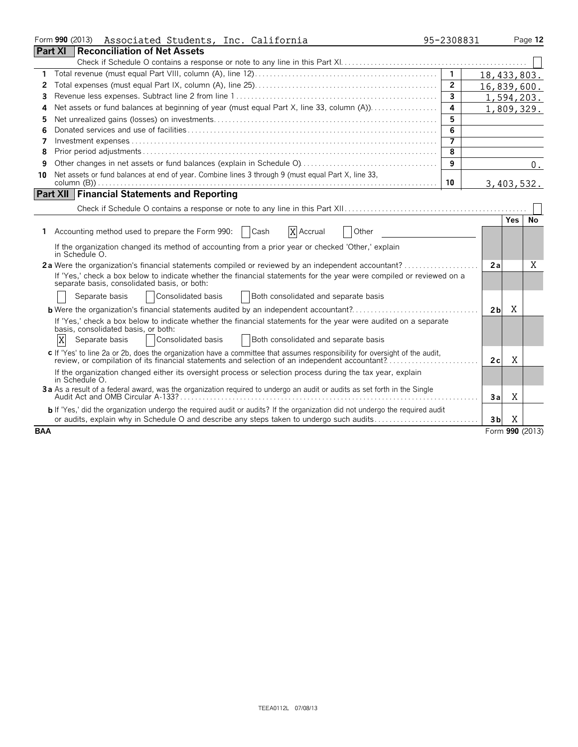|                | Form 990 (2013)<br>Associated Students, Inc. California                                                                                                                                                                       | 95-2308831              |                |            | Page 12         |
|----------------|-------------------------------------------------------------------------------------------------------------------------------------------------------------------------------------------------------------------------------|-------------------------|----------------|------------|-----------------|
| <b>Part XI</b> | Reconciliation of Net Assets                                                                                                                                                                                                  |                         |                |            |                 |
|                |                                                                                                                                                                                                                               |                         |                |            |                 |
| 1              |                                                                                                                                                                                                                               | $\overline{1}$          | 18,433,803.    |            |                 |
| 2              |                                                                                                                                                                                                                               | $\overline{2}$          | 16,839,600.    |            |                 |
| 3              |                                                                                                                                                                                                                               | $\mathbf{3}$            |                | 1,594,203. |                 |
| 4              | Net assets or fund balances at beginning of year (must equal Part X, line 33, column (A))                                                                                                                                     | $\overline{\mathbf{4}}$ |                | 1,809,329. |                 |
| 5              |                                                                                                                                                                                                                               | 5                       |                |            |                 |
| 6              |                                                                                                                                                                                                                               | 6                       |                |            |                 |
| 7              |                                                                                                                                                                                                                               | $\overline{7}$          |                |            |                 |
| 8              |                                                                                                                                                                                                                               | 8                       |                |            |                 |
| 9              |                                                                                                                                                                                                                               | 9                       |                |            | 0.              |
| 10             | Net assets or fund balances at end of year. Combine lines 3 through 9 (must equal Part X, line 33,                                                                                                                            |                         |                |            |                 |
|                |                                                                                                                                                                                                                               | 10                      |                | 3,403,532. |                 |
|                | <b>Part XII Financial Statements and Reporting</b>                                                                                                                                                                            |                         |                |            |                 |
|                |                                                                                                                                                                                                                               |                         |                |            |                 |
|                |                                                                                                                                                                                                                               |                         |                | Yes        | No.             |
|                | X Accrual<br>1 Accounting method used to prepare the Form 990:<br>  Cash<br>Other                                                                                                                                             |                         |                |            |                 |
|                | If the organization changed its method of accounting from a prior year or checked 'Other,' explain<br>in Schedule O.                                                                                                          |                         |                |            |                 |
|                |                                                                                                                                                                                                                               |                         | 2a             |            | X               |
|                | If 'Yes,' check a box below to indicate whether the financial statements for the year were compiled or reviewed on a<br>separate basis, consolidated basis, or both:                                                          |                         |                |            |                 |
|                | Consolidated basis<br>Separate basis<br>Both consolidated and separate basis                                                                                                                                                  |                         |                |            |                 |
|                | <b>b</b> Were the organization's financial statements audited by an independent accountant?                                                                                                                                   |                         | 2 <sub>b</sub> | Χ          |                 |
|                | If 'Yes,' check a box below to indicate whether the financial statements for the year were audited on a separate                                                                                                              |                         |                |            |                 |
|                | basis, consolidated basis, or both:                                                                                                                                                                                           |                         |                |            |                 |
|                | X<br>Consolidated basis<br>Both consolidated and separate basis<br>Separate basis                                                                                                                                             |                         |                |            |                 |
|                | c If 'Yes' to line 2a or 2b, does the organization have a committee that assumes responsibility for oversight of the audit,<br>review, or compilation of its financial statements and selection of an independent accountant? |                         | 2c             | Χ          |                 |
|                | If the organization changed either its oversight process or selection process during the tax year, explain<br>in Schedule O.                                                                                                  |                         |                |            |                 |
|                | 3a As a result of a federal award, was the organization required to undergo an audit or audits as set forth in the Single                                                                                                     |                         | 3a             | X          |                 |
|                | <b>b</b> If 'Yes,' did the organization undergo the required audit or audits? If the organization did not undergo the required audit                                                                                          |                         |                |            |                 |
|                | or audits, explain why in Schedule O and describe any steps taken to undergo such audits                                                                                                                                      |                         | 3 <sub>b</sub> | Χ          |                 |
| <b>BAA</b>     |                                                                                                                                                                                                                               |                         |                |            | Form 990 (2013) |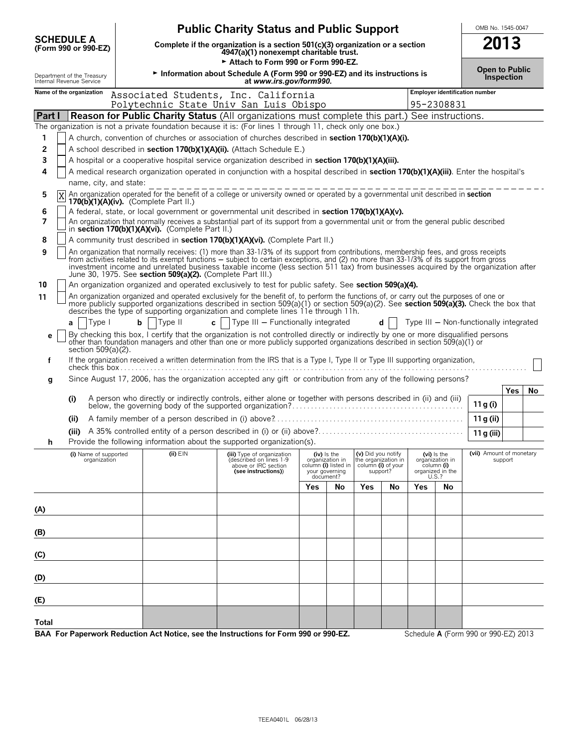|                                                        |                                                                                                                           |                                                            | <b>Public Charity Status and Public Support</b>                                                                                                                                                                                                                                                                                                                                                                      |     |                                                                                         |                                                                             |     |     |                                                                             | OMB No. 1545-0047                      |                   |    |
|--------------------------------------------------------|---------------------------------------------------------------------------------------------------------------------------|------------------------------------------------------------|----------------------------------------------------------------------------------------------------------------------------------------------------------------------------------------------------------------------------------------------------------------------------------------------------------------------------------------------------------------------------------------------------------------------|-----|-----------------------------------------------------------------------------------------|-----------------------------------------------------------------------------|-----|-----|-----------------------------------------------------------------------------|----------------------------------------|-------------------|----|
| <b>SCHEDULE A</b><br>(Form 990 or 990-EZ)              | Complete if the organization is a section $501(c)(3)$ organization or a section<br>4947(a)(1) nonexempt charitable trust. |                                                            |                                                                                                                                                                                                                                                                                                                                                                                                                      |     |                                                                                         |                                                                             |     |     |                                                                             |                                        | 2013              |    |
| Department of the Treasury<br>Internal Revenue Service |                                                                                                                           |                                                            | Attach to Form 990 or Form 990-EZ.<br>Information about Schedule A (Form 990 or 990-EZ) and its instructions is<br>at www.irs.gov/form990.                                                                                                                                                                                                                                                                           |     |                                                                                         |                                                                             |     |     |                                                                             | <b>Open to Public</b>                  | <b>Inspection</b> |    |
| Name of the organization                               |                                                                                                                           |                                                            | Associated Students, Inc. California                                                                                                                                                                                                                                                                                                                                                                                 |     |                                                                                         |                                                                             |     |     |                                                                             | <b>Employer identification number</b>  |                   |    |
| Part I                                                 |                                                                                                                           |                                                            | Polytechnic State Univ San Luis Obispo<br><b>Reason for Public Charity Status</b> (All organizations must complete this part.) See instructions.                                                                                                                                                                                                                                                                     |     |                                                                                         |                                                                             |     |     | 95-2308831                                                                  |                                        |                   |    |
|                                                        |                                                                                                                           |                                                            | The organization is not a private foundation because it is: (For lines 1 through 11, check only one box.)                                                                                                                                                                                                                                                                                                            |     |                                                                                         |                                                                             |     |     |                                                                             |                                        |                   |    |
| 1                                                      |                                                                                                                           |                                                            | A church, convention of churches or association of churches described in <b>section 170(b)(1)(A)(i).</b>                                                                                                                                                                                                                                                                                                             |     |                                                                                         |                                                                             |     |     |                                                                             |                                        |                   |    |
| 2                                                      |                                                                                                                           |                                                            | A school described in section 170(b)(1)(A)(ii). (Attach Schedule E.)                                                                                                                                                                                                                                                                                                                                                 |     |                                                                                         |                                                                             |     |     |                                                                             |                                        |                   |    |
| 3                                                      |                                                                                                                           |                                                            | A hospital or a cooperative hospital service organization described in section 170(b)(1)(A)(iii).                                                                                                                                                                                                                                                                                                                    |     |                                                                                         |                                                                             |     |     |                                                                             |                                        |                   |    |
| 4<br>name, city, and state:                            |                                                                                                                           |                                                            | A medical research organization operated in conjunction with a hospital described in section 170(b)(1)(A)(iii). Enter the hospital's                                                                                                                                                                                                                                                                                 |     |                                                                                         |                                                                             |     |     |                                                                             |                                        |                   |    |
| 5<br>6                                                 |                                                                                                                           | $170(b)(1)(A)(iv)$ . (Complete Part II.)                   | An organization operated for the benefit of a college or university owned or operated by a governmental unit described in section<br>A federal, state, or local government or governmental unit described in section 170(b)(1)(A)(v).                                                                                                                                                                                |     |                                                                                         |                                                                             |     |     |                                                                             |                                        |                   |    |
| 7                                                      |                                                                                                                           | in section 170(b)(1)(A)(vi). (Complete Part II.)           | An organization that normally receives a substantial part of its support from a governmental unit or from the general public described                                                                                                                                                                                                                                                                               |     |                                                                                         |                                                                             |     |     |                                                                             |                                        |                   |    |
| 8                                                      |                                                                                                                           |                                                            | A community trust described in section 170(b)(1)(A)(vi). (Complete Part II.)                                                                                                                                                                                                                                                                                                                                         |     |                                                                                         |                                                                             |     |     |                                                                             |                                        |                   |    |
| 9                                                      |                                                                                                                           | June 30, 1975. See section 509(a)(2). (Complete Part III.) | An organization that normally receives: (1) more than 33-1/3% of its support from contributions, membership fees, and gross receipts<br>from activities related to its exempt functions - subject to certain exceptions, and (2) no more than 33-1/3% of its support from gross<br>investment income and unrelated business taxable income (less section 511 tax) from businesses acquired by the organization after |     |                                                                                         |                                                                             |     |     |                                                                             |                                        |                   |    |
| 10                                                     |                                                                                                                           |                                                            | An organization organized and operated exclusively to test for public safety. See section 509(a)(4).                                                                                                                                                                                                                                                                                                                 |     |                                                                                         |                                                                             |     |     |                                                                             |                                        |                   |    |
| 11                                                     |                                                                                                                           |                                                            | An organization organized and operated exclusively for the benefit of, to perform the functions of, or carry out the purposes of one or<br>more publicly supported organizations described in section 509(a)(1) or section 509(a)(2). See section 509(a)(3). Check the box that<br>describes the type of supporting organization and complete lines 11e through 11h.                                                 |     |                                                                                         |                                                                             |     |     |                                                                             |                                        |                   |    |
| Type I<br>a                                            | $\mathbf b$                                                                                                               | Type II<br>$\mathbf{c}$                                    | Type III - Functionally integrated                                                                                                                                                                                                                                                                                                                                                                                   |     |                                                                                         |                                                                             | $d$ |     |                                                                             | Type III - Non-functionally integrated |                   |    |
| е<br>section 509(a)(2).                                |                                                                                                                           |                                                            | By checking this box, I certify that the organization is not controlled directly or indirectly by one or more disqualified persons<br>other than foundation managers and other than one or more publicly supported organizations described in section 509(a)(1) or                                                                                                                                                   |     |                                                                                         |                                                                             |     |     |                                                                             |                                        |                   |    |
| f                                                      |                                                                                                                           |                                                            | If the organization received a written determination from the IRS that is a Type I, Type II or Type III supporting organization,                                                                                                                                                                                                                                                                                     |     |                                                                                         |                                                                             |     |     |                                                                             |                                        |                   |    |
| g                                                      |                                                                                                                           |                                                            | Since August 17, 2006, has the organization accepted any gift or contribution from any of the following persons?                                                                                                                                                                                                                                                                                                     |     |                                                                                         |                                                                             |     |     |                                                                             |                                        |                   |    |
| (i)                                                    |                                                                                                                           |                                                            | A person who directly or indirectly controls, either alone or together with persons described in (ii) and (iii)                                                                                                                                                                                                                                                                                                      |     |                                                                                         |                                                                             |     |     |                                                                             | 11 g (i)                               | Yes               | No |
| (ii)                                                   |                                                                                                                           |                                                            |                                                                                                                                                                                                                                                                                                                                                                                                                      |     |                                                                                         |                                                                             |     |     |                                                                             | 11 g (ii)                              |                   |    |
| n                                                      |                                                                                                                           |                                                            | Provide the following information about the supported organization(s).                                                                                                                                                                                                                                                                                                                                               |     |                                                                                         |                                                                             |     |     |                                                                             | 11 g (iii)                             |                   |    |
| (i) Name of supported<br>organization                  |                                                                                                                           | $(ii)$ EIN                                                 | (iii) Type of organization<br>(described on lines 1-9<br>above or IRC section<br>(see instructions))                                                                                                                                                                                                                                                                                                                 |     | $(iv)$ is the<br>organization in<br>column (i) listed in<br>your governing<br>document? | (v) Did you notify<br>the organization in<br>column (i) of your<br>support? |     |     | $(vi)$ is the<br>organization in<br>column (i)<br>organized in the<br>U.S.? | (vii) Amount of monetary               | support           |    |
|                                                        |                                                                                                                           |                                                            |                                                                                                                                                                                                                                                                                                                                                                                                                      | Yes | No                                                                                      | Yes                                                                         | No  | Yes | No                                                                          |                                        |                   |    |
| (A)                                                    |                                                                                                                           |                                                            |                                                                                                                                                                                                                                                                                                                                                                                                                      |     |                                                                                         |                                                                             |     |     |                                                                             |                                        |                   |    |
| (B)                                                    |                                                                                                                           |                                                            |                                                                                                                                                                                                                                                                                                                                                                                                                      |     |                                                                                         |                                                                             |     |     |                                                                             |                                        |                   |    |
| (C)                                                    |                                                                                                                           |                                                            |                                                                                                                                                                                                                                                                                                                                                                                                                      |     |                                                                                         |                                                                             |     |     |                                                                             |                                        |                   |    |
| (D)                                                    |                                                                                                                           |                                                            |                                                                                                                                                                                                                                                                                                                                                                                                                      |     |                                                                                         |                                                                             |     |     |                                                                             |                                        |                   |    |
| (E)                                                    |                                                                                                                           |                                                            |                                                                                                                                                                                                                                                                                                                                                                                                                      |     |                                                                                         |                                                                             |     |     |                                                                             |                                        |                   |    |
| Total                                                  |                                                                                                                           |                                                            |                                                                                                                                                                                                                                                                                                                                                                                                                      |     |                                                                                         |                                                                             |     |     |                                                                             |                                        |                   |    |

**BAA For Paperwork Reduction Act Notice, see the Instructions for Form 990 or 990-EZ.** Schedule A (Form 990 or 990-EZ) 2013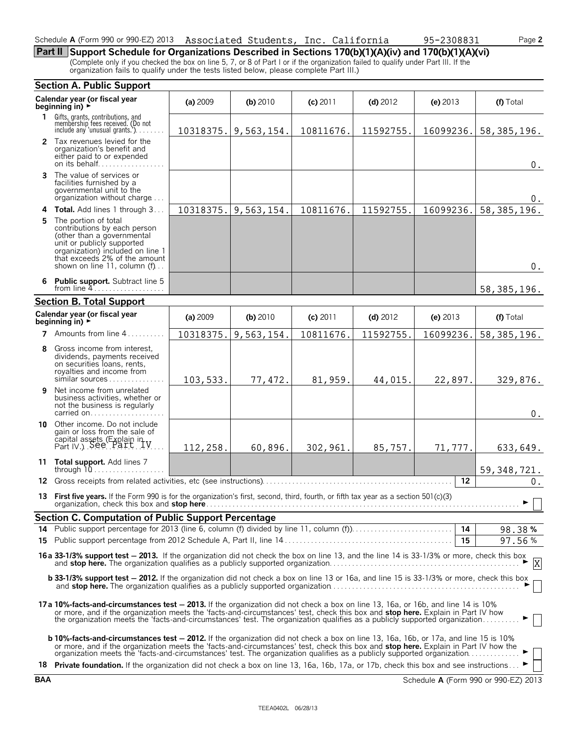#### Schedule **A** (Form 990 or 990-EZ) 2013 Associated Students, Inc. California 95-2308831 Page 2

**Part II Support Schedule for Organizations Described in Sections 170(b)(1)(A)(iv) and 170(b)(1)(A)(vi)** (Complete only if you checked the box on line 5, 7, or 8 of Part I or if the organization failed to qualify under Part III. If the organization fails to qualify under the tests listed below, please complete Part III.)

|    | <b>Section A. Public Support</b>                                                                                                                                                                                                                                                                                                                                                                  |           |            |            |            |            |               |  |  |  |  |  |
|----|---------------------------------------------------------------------------------------------------------------------------------------------------------------------------------------------------------------------------------------------------------------------------------------------------------------------------------------------------------------------------------------------------|-----------|------------|------------|------------|------------|---------------|--|--|--|--|--|
|    | Calendar year (or fiscal year<br>beginning in) ▶                                                                                                                                                                                                                                                                                                                                                  | (a) 2009  | $(b)$ 2010 | $(c)$ 2011 | $(d)$ 2012 | (e) $2013$ | (f) Total     |  |  |  |  |  |
| 1. | Gifts, grants, contributions, and<br>membership fees received. (Do not<br>include any 'unusual grants.')                                                                                                                                                                                                                                                                                          | 10318375. | 9,563,154. | 10811676.  | 11592755.  | 16099236.  | 58, 385, 196. |  |  |  |  |  |
|    | 2 Tax revenues levied for the<br>organization's benefit and<br>either paid to or expended<br>on its behalf                                                                                                                                                                                                                                                                                        |           |            |            |            |            | 0.            |  |  |  |  |  |
|    | <b>3</b> The value of services or<br>facilities furnished by a<br>governmental unit to the<br>organization without charge                                                                                                                                                                                                                                                                         |           |            |            |            |            | 0.            |  |  |  |  |  |
|    | 4 Total. Add lines 1 through 3                                                                                                                                                                                                                                                                                                                                                                    | 10318375. | 9,563,154. | 10811676.  | 11592755.  | 16099236.  | 58, 385, 196. |  |  |  |  |  |
| 5  | The portion of total<br>contributions by each person<br>(other than a governmental<br>unit or publicly supported<br>organization) included on line 1<br>that exceeds 2% of the amount<br>shown on line 11, column (f)                                                                                                                                                                             |           |            |            |            |            | $0$ .         |  |  |  |  |  |
|    | 6 Public support. Subtract line 5<br>from line $4$<br>58, 385, 196.                                                                                                                                                                                                                                                                                                                               |           |            |            |            |            |               |  |  |  |  |  |
|    | <b>Section B. Total Support</b>                                                                                                                                                                                                                                                                                                                                                                   |           |            |            |            |            |               |  |  |  |  |  |
|    | Calendar year (or fiscal year<br>beginning in) $\rightarrow$                                                                                                                                                                                                                                                                                                                                      | (a) 2009  | (b) 2010   | $(c)$ 2011 | $(d)$ 2012 | (e) $2013$ | (f) Total     |  |  |  |  |  |
| 7  | Amounts from line 4                                                                                                                                                                                                                                                                                                                                                                               | 10318375. | 9,563,154. | 10811676.  | 11592755.  | 16099236.  | 58, 385, 196. |  |  |  |  |  |
| 8  | Gross income from interest,<br>dividends, payments received<br>on securities loans, rents,<br>royalties and income from<br>similar sources                                                                                                                                                                                                                                                        | 103,533.  | 77,472.    | 81,959.    | 44,015.    | 22,897.    | 329,876.      |  |  |  |  |  |
| 9  | Net income from unrelated<br>business activities, whether or<br>not the business is regularly<br>carried on                                                                                                                                                                                                                                                                                       |           |            |            |            |            | $0$ .         |  |  |  |  |  |
|    | 10 Other income. Do not include<br>gain or loss from the sale of<br>capital assets (Explain in V.)<br>Part IV.) See Part                                                                                                                                                                                                                                                                          | 112,258.  | 60,896.    | 302,961.   | 85,757.    | 71,777.    | 633,649.      |  |  |  |  |  |
|    | 11 Total support. Add lines 7<br>through $10$                                                                                                                                                                                                                                                                                                                                                     |           |            |            |            |            | 59, 348, 721. |  |  |  |  |  |
| 12 |                                                                                                                                                                                                                                                                                                                                                                                                   |           |            |            |            | 12         | $0$ .         |  |  |  |  |  |
|    | 13 First five years. If the Form 990 is for the organization's first, second, third, fourth, or fifth tax year as a section 501(c)(3)<br>organization, check this box and stop here                                                                                                                                                                                                               |           |            |            |            |            | ► ∣∣          |  |  |  |  |  |
|    | Section C. Computation of Public Support Percentage                                                                                                                                                                                                                                                                                                                                               |           |            |            |            |            |               |  |  |  |  |  |
|    | 14 Public support percentage for 2013 (line 6, column (f) divided by line 11, column (f)).                                                                                                                                                                                                                                                                                                        |           |            |            |            |            | 98.38%        |  |  |  |  |  |
|    |                                                                                                                                                                                                                                                                                                                                                                                                   |           |            |            |            | 15         | 97.56%        |  |  |  |  |  |
|    | 16a 33-1/3% support test - 2013. If the organization did not check the box on line 13, and the line 14 is 33-1/3% or more, check this box<br>$\frac{33-13}{10}$ support test – 2013. If the organization did not check the box of line 15, and the line 14 is 33-11370 of more, check this box and stop here. The organization qualifies as a publicly supported organization.                    |           |            |            |            |            |               |  |  |  |  |  |
|    | <b>b 33-1/3% support test - 2012.</b> If the organization did not check a box on line 13 or 16a, and line 15 is 33-1/3% or more, check this box                                                                                                                                                                                                                                                   |           |            |            |            |            |               |  |  |  |  |  |
|    | 17a 10%-facts-and-circumstances test - 2013. If the organization did not check a box on line 13, 16a, or 16b, and line 14 is 10%<br>or more, and if the organization meets the 'facts-and-circumstances' test, check this box and stop here. Explain in Part IV how<br>the organization meets the 'facts-and-circumstances' test. The organization qualifies as a publicly supported organization |           |            |            |            |            |               |  |  |  |  |  |
|    | <b>b 10%-facts-and-circumstances test - 2012.</b> If the organization did not check a box on line 13, 16a, 16b, or 17a, and line 15 is 10%<br>or more, and if the organization meets the 'facts-and-circumstances' test, check this box and <b>stop here.</b> Explain in Part IV how the organization meets the 'facts-and-circumstances' test. The organization qualifies as a p                 |           |            |            |            |            |               |  |  |  |  |  |
|    | 18 Private foundation. If the organization did not check a box on line 13, 16a, 16b, 17a, or 17b, check this box and see instructions                                                                                                                                                                                                                                                             |           |            |            |            |            |               |  |  |  |  |  |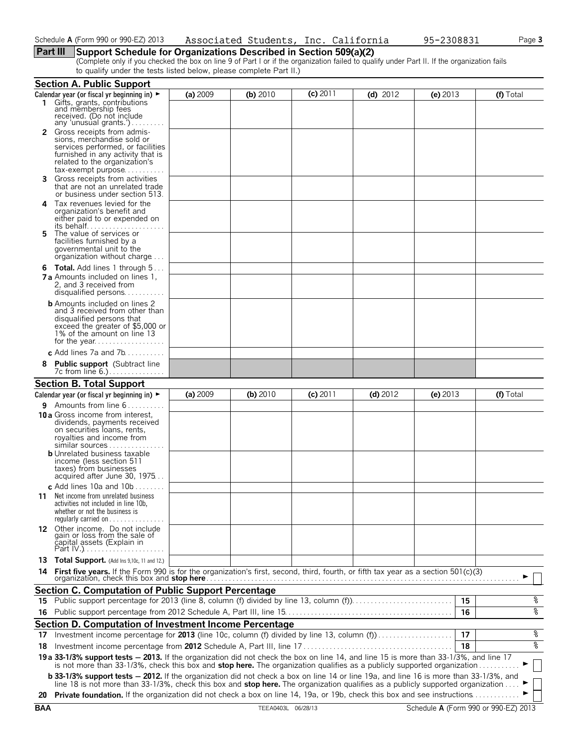#### **Part III Support Schedule for Organizations Described in Section 509(a)(2)**

(Complete only if you checked the box on line 9 of Part I or if the organization failed to qualify under Part II. If the organization fails to qualify under the tests listed below, please complete Part II.)

|    | <b>Section A. Public Support</b>                                                                                                                                                                                                                                                                                                                               |          |          |            |            |            |           |
|----|----------------------------------------------------------------------------------------------------------------------------------------------------------------------------------------------------------------------------------------------------------------------------------------------------------------------------------------------------------------|----------|----------|------------|------------|------------|-----------|
|    | Calendar year (or fiscal yr beginning in) $\blacktriangleright$                                                                                                                                                                                                                                                                                                | (a) 2009 | (b) 2010 | $(c)$ 2011 | (d) $2012$ | (e) $2013$ | (f) Total |
|    | Gifts, grants, contributions<br>and membership fees<br>received. (Do not include<br>any 'unusual grants.')                                                                                                                                                                                                                                                     |          |          |            |            |            |           |
|    | <b>2</b> Gross receipts from admis-<br>sions, merchandise sold or<br>services performed, or facilities<br>furnished in any activity that is<br>related to the organization's<br>tax-exempt purpose                                                                                                                                                             |          |          |            |            |            |           |
|    | Gross receipts from activities<br>that are not an unrelated trade<br>or business under section 513.                                                                                                                                                                                                                                                            |          |          |            |            |            |           |
| 4  | Tax revenues levied for the<br>organization's benefit and<br>either paid to or expended on<br>its behalf                                                                                                                                                                                                                                                       |          |          |            |            |            |           |
| 5. | The value of services or<br>facilities furnished by a<br>governmental unit to the<br>organization without charge                                                                                                                                                                                                                                               |          |          |            |            |            |           |
|    | <b>6 Total.</b> Add lines 1 through 5<br><b>7 a</b> Amounts included on lines 1.<br>2, and 3 received from<br>disqualified persons                                                                                                                                                                                                                             |          |          |            |            |            |           |
|    | <b>b</b> Amounts included on lines 2<br>and 3 received from other than<br>disqualified persons that<br>exceed the greater of \$5,000 or<br>1% of the amount on line 13                                                                                                                                                                                         |          |          |            |            |            |           |
|    | c Add lines 7a and $7b$                                                                                                                                                                                                                                                                                                                                        |          |          |            |            |            |           |
| 8  | <b>Public support</b> (Subtract line<br>7c from line 6.)                                                                                                                                                                                                                                                                                                       |          |          |            |            |            |           |
|    | <b>Section B. Total Support</b>                                                                                                                                                                                                                                                                                                                                |          |          |            |            |            |           |
|    | Calendar year (or fiscal yr beginning in) ►                                                                                                                                                                                                                                                                                                                    | (a) 2009 | (b) 2010 | $(c)$ 2011 | $(d)$ 2012 | (e) $2013$ | (f) Total |
|    | <b>9</b> Amounts from line $6$<br><b>10 a</b> Gross income from interest,<br>dividends, payments received<br>on securities loans, rents,<br>royalties and income from<br>similar sources<br><b>b</b> Unrelated business taxable<br>income (less section 511<br>taxes) from businesses<br>acquired after June 30, 1975<br>c Add lines 10a and 10b $\dots \dots$ |          |          |            |            |            |           |
|    | <b>11</b> Net income from unrelated business<br>activities not included in line 10b,<br>whether or not the business is<br>regularly carried on $\dots\dots\dots\dots\dots$                                                                                                                                                                                     |          |          |            |            |            |           |
|    | 12 Other income. Do not include<br>gain or loss from the sale of<br>capital assets (Explain in                                                                                                                                                                                                                                                                 |          |          |            |            |            |           |
|    | 13 Total Support. (Add Ins 9,10c, 11 and 12.)                                                                                                                                                                                                                                                                                                                  |          |          |            |            |            |           |
| 14 | First five years. If the Form 990 is for the organization's first, second, third, fourth, or fifth tax year as a section 501(c)(3)                                                                                                                                                                                                                             |          |          |            |            |            |           |
|    | <b>Section C. Computation of Public Support Percentage</b>                                                                                                                                                                                                                                                                                                     |          |          |            |            |            |           |
|    |                                                                                                                                                                                                                                                                                                                                                                |          |          |            |            | 15         | %         |
| 16 |                                                                                                                                                                                                                                                                                                                                                                |          |          |            |            | 16         | ४         |
|    | Section D. Computation of Investment Income Percentage                                                                                                                                                                                                                                                                                                         |          |          |            |            |            |           |
|    | 17 Investment income percentage for 2013 (line 10c, column (f) divided by line 13, column (f)                                                                                                                                                                                                                                                                  |          |          |            |            | 17         | %         |
|    |                                                                                                                                                                                                                                                                                                                                                                |          |          |            |            | 18         | ४         |
|    | 19 a 33-1/3% support tests - 2013. If the organization did not check the box on line 14, and line 15 is more than 33-1/3%, and line 17 is not more than 33-1/3%, check this box and stop here. The organization qualifies as a                                                                                                                                 |          |          |            |            |            |           |
|    | <b>b 33-1/3% support tests - 2012.</b> If the organization did not check a box on line 14 or line 19a, and line 16 is more than 33-1/3%, and<br>line 18 is not more than 33-1/3%, check this box and <b>stop here.</b> The organization qualifies as a publicly supported organization                                                                         |          |          |            |            |            |           |
|    | 20 Private foundation. If the organization did not check a box on line 14, 19a, or 19b, check this box and see instructions                                                                                                                                                                                                                                    |          |          |            |            |            |           |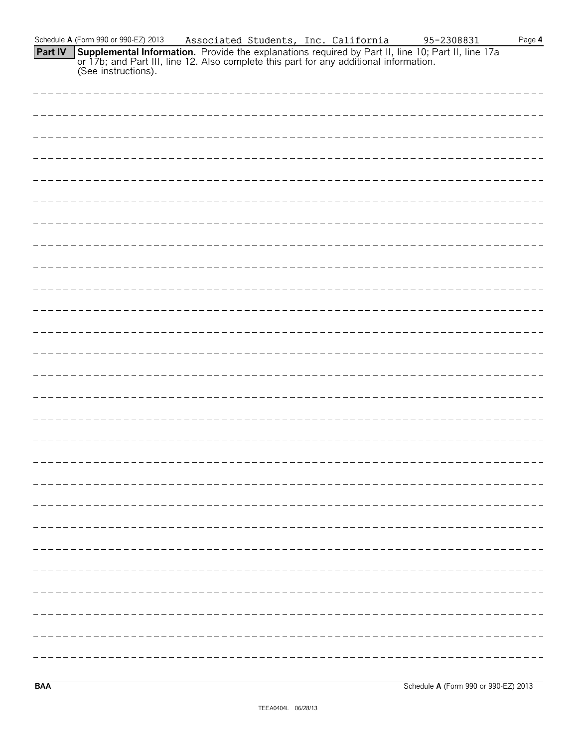|         | Schedule A (Form 990 or 990-EZ) 2013                                                                                                                                                                                       |  | Associated Students, Inc. California | 95-2308831 | Page $4$ |
|---------|----------------------------------------------------------------------------------------------------------------------------------------------------------------------------------------------------------------------------|--|--------------------------------------|------------|----------|
| Part IV | <b>Supplemental Information.</b> Provide the explanations required by Part II, line 10; Part II, line 17a<br>or 17b; and Part III, line 12. Also complete this part for any additional information.<br>(See instructions). |  |                                      |            |          |
|         |                                                                                                                                                                                                                            |  |                                      |            |          |
|         |                                                                                                                                                                                                                            |  |                                      |            |          |
|         |                                                                                                                                                                                                                            |  |                                      |            |          |
|         |                                                                                                                                                                                                                            |  |                                      |            |          |
|         |                                                                                                                                                                                                                            |  |                                      |            |          |
|         |                                                                                                                                                                                                                            |  |                                      |            |          |
|         |                                                                                                                                                                                                                            |  |                                      |            |          |
|         |                                                                                                                                                                                                                            |  |                                      |            |          |
|         |                                                                                                                                                                                                                            |  |                                      |            |          |
|         |                                                                                                                                                                                                                            |  |                                      |            |          |
|         |                                                                                                                                                                                                                            |  |                                      |            |          |
|         |                                                                                                                                                                                                                            |  |                                      |            |          |
|         |                                                                                                                                                                                                                            |  |                                      |            |          |
|         |                                                                                                                                                                                                                            |  |                                      |            |          |
|         |                                                                                                                                                                                                                            |  |                                      |            |          |
|         |                                                                                                                                                                                                                            |  |                                      |            |          |
|         |                                                                                                                                                                                                                            |  |                                      |            |          |
|         |                                                                                                                                                                                                                            |  |                                      |            |          |
|         |                                                                                                                                                                                                                            |  |                                      |            |          |
|         |                                                                                                                                                                                                                            |  |                                      |            |          |
|         |                                                                                                                                                                                                                            |  |                                      |            |          |
|         |                                                                                                                                                                                                                            |  |                                      |            |          |
|         |                                                                                                                                                                                                                            |  |                                      |            |          |
|         |                                                                                                                                                                                                                            |  |                                      |            |          |
|         |                                                                                                                                                                                                                            |  |                                      |            |          |
|         |                                                                                                                                                                                                                            |  |                                      |            |          |
|         |                                                                                                                                                                                                                            |  |                                      |            |          |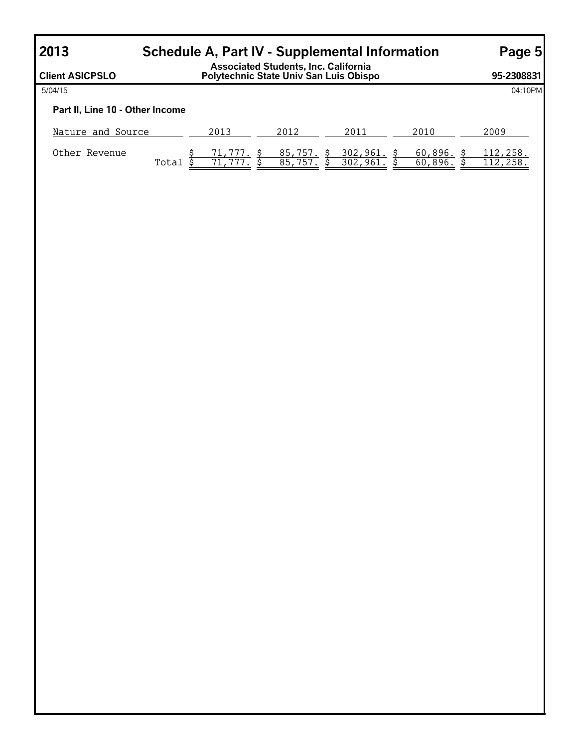# **2013 Schedule A, Part IV - Supplemental Information Page 5**

**Client ASICPSLO Associated Students, Inc. California Polytechnic State Univ San Luis Obispo 95-2308831** 5/04/15 04:10PM **Part II, Line 10 - Other Income** Nature and Source 2013 2012 2011 2010 2010 2009 Other Revenue \$ 71,777. \$ 85,757. \$ 302,961. \$ 60,896. \$ 112,258. Total \$ 71,777. \$ 85,757. \$ 302,961. \$ 60,896. \$ 112,258.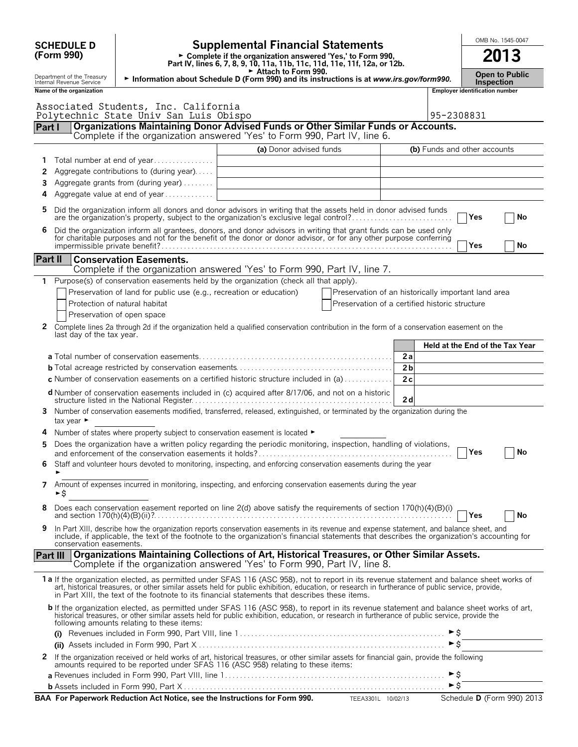|                                                                                                                                                                                                           | <b>SCHEDULE D</b>                                                                                                                                                                                           |                                                                               | <b>Supplemental Financial Statements</b>                                                                                                                                                                                                                                                                                                                                                       |                                                     |                |                              | OMB No. 1545-0047                          |  |    |  |
|-----------------------------------------------------------------------------------------------------------------------------------------------------------------------------------------------------------|-------------------------------------------------------------------------------------------------------------------------------------------------------------------------------------------------------------|-------------------------------------------------------------------------------|------------------------------------------------------------------------------------------------------------------------------------------------------------------------------------------------------------------------------------------------------------------------------------------------------------------------------------------------------------------------------------------------|-----------------------------------------------------|----------------|------------------------------|--------------------------------------------|--|----|--|
|                                                                                                                                                                                                           | (Form 990)                                                                                                                                                                                                  |                                                                               | ► Complete if the organization answered 'Yes,' to Form 990,<br>Part IV, lines 6, 7, 8, 9, 10, 11a, 11b, 11c, 11d, 11e, 11f, 12a, or 12b.                                                                                                                                                                                                                                                       |                                                     |                |                              | 2013                                       |  |    |  |
|                                                                                                                                                                                                           | Department of the Treasury<br>Internal Revenue Service                                                                                                                                                      |                                                                               | Attach to Form 990.<br>Information about Schedule D (Form 990) and its instructions is at www.irs.gov/form990.                                                                                                                                                                                                                                                                                 |                                                     |                |                              | <b>Open to Public</b><br><b>Inspection</b> |  |    |  |
|                                                                                                                                                                                                           | Name of the organization                                                                                                                                                                                    | Associated Students, Inc. California                                          |                                                                                                                                                                                                                                                                                                                                                                                                |                                                     |                |                              | <b>Employer identification number</b>      |  |    |  |
|                                                                                                                                                                                                           |                                                                                                                                                                                                             | Polytechnic State Univ San Luis Obispo                                        | Organizations Maintaining Donor Advised Funds or Other Similar Funds or Accounts.                                                                                                                                                                                                                                                                                                              |                                                     |                | 95-2308831                   |                                            |  |    |  |
| Part I                                                                                                                                                                                                    |                                                                                                                                                                                                             |                                                                               | Complete if the organization answered 'Yes' to Form 990, Part IV, line 6.                                                                                                                                                                                                                                                                                                                      |                                                     |                |                              |                                            |  |    |  |
|                                                                                                                                                                                                           |                                                                                                                                                                                                             |                                                                               | (a) Donor advised funds                                                                                                                                                                                                                                                                                                                                                                        |                                                     |                | (b) Funds and other accounts |                                            |  |    |  |
| 1                                                                                                                                                                                                         |                                                                                                                                                                                                             | Total number at end of year                                                   |                                                                                                                                                                                                                                                                                                                                                                                                |                                                     |                |                              |                                            |  |    |  |
| 2                                                                                                                                                                                                         |                                                                                                                                                                                                             | Aggregate contributions to (during year)                                      |                                                                                                                                                                                                                                                                                                                                                                                                |                                                     |                |                              |                                            |  |    |  |
| 3                                                                                                                                                                                                         | Aggregate grants from (during year)                                                                                                                                                                         |                                                                               |                                                                                                                                                                                                                                                                                                                                                                                                |                                                     |                |                              |                                            |  |    |  |
| 4                                                                                                                                                                                                         |                                                                                                                                                                                                             | Aggregate value at end of year                                                |                                                                                                                                                                                                                                                                                                                                                                                                |                                                     |                |                              |                                            |  |    |  |
| 5                                                                                                                                                                                                         | Did the organization inform all donors and donor advisors in writing that the assets held in donor advised funds<br>are the organization's property, subject to the organization's exclusive legal control? |                                                                               |                                                                                                                                                                                                                                                                                                                                                                                                |                                                     |                |                              |                                            |  |    |  |
| 6                                                                                                                                                                                                         |                                                                                                                                                                                                             |                                                                               | Did the organization inform all grantees, donors, and donor advisors in writing that grant funds can be used only<br>for charitable purposes and not for the benefit of the donor or donor advisor, or for any other purpose conferring                                                                                                                                                        |                                                     |                |                              |                                            |  |    |  |
|                                                                                                                                                                                                           |                                                                                                                                                                                                             |                                                                               |                                                                                                                                                                                                                                                                                                                                                                                                |                                                     |                |                              | Yes                                        |  | No |  |
| Part II                                                                                                                                                                                                   |                                                                                                                                                                                                             | <b>Conservation Easements.</b>                                                |                                                                                                                                                                                                                                                                                                                                                                                                |                                                     |                |                              |                                            |  |    |  |
|                                                                                                                                                                                                           |                                                                                                                                                                                                             |                                                                               | Complete if the organization answered 'Yes' to Form 990, Part IV, line 7.                                                                                                                                                                                                                                                                                                                      |                                                     |                |                              |                                            |  |    |  |
| 1                                                                                                                                                                                                         |                                                                                                                                                                                                             |                                                                               | Purpose(s) of conservation easements held by the organization (check all that apply).                                                                                                                                                                                                                                                                                                          |                                                     |                |                              |                                            |  |    |  |
|                                                                                                                                                                                                           |                                                                                                                                                                                                             | Preservation of land for public use (e.g., recreation or education)           |                                                                                                                                                                                                                                                                                                                                                                                                | Preservation of an historically important land area |                |                              |                                            |  |    |  |
|                                                                                                                                                                                                           |                                                                                                                                                                                                             | Protection of natural habitat                                                 |                                                                                                                                                                                                                                                                                                                                                                                                | Preservation of a certified historic structure      |                |                              |                                            |  |    |  |
| 2                                                                                                                                                                                                         |                                                                                                                                                                                                             | Preservation of open space                                                    |                                                                                                                                                                                                                                                                                                                                                                                                |                                                     |                |                              |                                            |  |    |  |
| Complete lines 2a through 2d if the organization held a qualified conservation contribution in the form of a conservation easement on the<br>last day of the tax year.<br>Held at the End of the Tax Year |                                                                                                                                                                                                             |                                                                               |                                                                                                                                                                                                                                                                                                                                                                                                |                                                     |                |                              |                                            |  |    |  |
|                                                                                                                                                                                                           |                                                                                                                                                                                                             |                                                                               |                                                                                                                                                                                                                                                                                                                                                                                                |                                                     | 2a             |                              |                                            |  |    |  |
|                                                                                                                                                                                                           |                                                                                                                                                                                                             |                                                                               |                                                                                                                                                                                                                                                                                                                                                                                                |                                                     | 2 <sub>b</sub> |                              |                                            |  |    |  |
|                                                                                                                                                                                                           |                                                                                                                                                                                                             |                                                                               | <b>c</b> Number of conservation easements on a certified historic structure included in (a)                                                                                                                                                                                                                                                                                                    |                                                     | 2c             |                              |                                            |  |    |  |
|                                                                                                                                                                                                           |                                                                                                                                                                                                             |                                                                               | <b>d</b> Number of conservation easements included in (c) acquired after 8/17/06, and not on a historic                                                                                                                                                                                                                                                                                        |                                                     | 2d             |                              |                                            |  |    |  |
| 3                                                                                                                                                                                                         | tax year $\blacktriangleright$                                                                                                                                                                              |                                                                               | Number of conservation easements modified, transferred, released, extinguished, or terminated by the organization during the                                                                                                                                                                                                                                                                   |                                                     |                |                              |                                            |  |    |  |
| 4                                                                                                                                                                                                         |                                                                                                                                                                                                             | Number of states where property subject to conservation easement is located ► |                                                                                                                                                                                                                                                                                                                                                                                                |                                                     |                |                              |                                            |  |    |  |
| 5                                                                                                                                                                                                         |                                                                                                                                                                                                             |                                                                               | Does the organization have a written policy regarding the periodic monitoring, inspection, handling of violations,                                                                                                                                                                                                                                                                             |                                                     |                |                              | Yes                                        |  | No |  |
| 6                                                                                                                                                                                                         |                                                                                                                                                                                                             |                                                                               | Staff and volunteer hours devoted to monitoring, inspecting, and enforcing conservation easements during the year                                                                                                                                                                                                                                                                              |                                                     |                |                              |                                            |  |    |  |
| 7                                                                                                                                                                                                         |                                                                                                                                                                                                             |                                                                               | Amount of expenses incurred in monitoring, inspecting, and enforcing conservation easements during the year                                                                                                                                                                                                                                                                                    |                                                     |                |                              |                                            |  |    |  |
|                                                                                                                                                                                                           | ►\$                                                                                                                                                                                                         |                                                                               |                                                                                                                                                                                                                                                                                                                                                                                                |                                                     |                |                              |                                            |  |    |  |
| 8                                                                                                                                                                                                         |                                                                                                                                                                                                             |                                                                               | Does each conservation easement reported on line 2(d) above satisfy the requirements of section 170(h)(4)(B)(i)                                                                                                                                                                                                                                                                                |                                                     |                |                              | Yes                                        |  | No |  |
| 9                                                                                                                                                                                                         | conservation easements.                                                                                                                                                                                     |                                                                               | In Part XIII, describe how the organization reports conservation easements in its revenue and expense statement, and balance sheet, and<br>include, if applicable, the text of the footnote to the organization's financial statements that describes the organization's accounting for                                                                                                        |                                                     |                |                              |                                            |  |    |  |
| <b>Part III</b>                                                                                                                                                                                           |                                                                                                                                                                                                             |                                                                               | Organizations Maintaining Collections of Art, Historical Treasures, or Other Similar Assets.<br>Complete if the organization answered 'Yes' to Form 990, Part IV, line 8.                                                                                                                                                                                                                      |                                                     |                |                              |                                            |  |    |  |
|                                                                                                                                                                                                           |                                                                                                                                                                                                             |                                                                               | 1a If the organization elected, as permitted under SFAS 116 (ASC 958), not to report in its revenue statement and balance sheet works of<br>art, historical treasures, or other similar assets held for public exhibition, education, or research in furtherance of public service, provide,<br>in Part XIII, the text of the footnote to its financial statements that describes these items. |                                                     |                |                              |                                            |  |    |  |
|                                                                                                                                                                                                           |                                                                                                                                                                                                             | following amounts relating to these items:                                    | b If the organization elected, as permitted under SFAS 116 (ASC 958), to report in its revenue statement and balance sheet works of art, historical treasures, or other similar assets held for public exhibition, education,                                                                                                                                                                  |                                                     |                |                              |                                            |  |    |  |
|                                                                                                                                                                                                           |                                                                                                                                                                                                             |                                                                               |                                                                                                                                                                                                                                                                                                                                                                                                |                                                     |                | ►s                           |                                            |  |    |  |
|                                                                                                                                                                                                           |                                                                                                                                                                                                             |                                                                               |                                                                                                                                                                                                                                                                                                                                                                                                |                                                     |                | ►క                           |                                            |  |    |  |
| $\mathbf{z}$                                                                                                                                                                                              |                                                                                                                                                                                                             |                                                                               | If the organization received or held works of art, historical treasures, or other similar assets for financial gain, provide the following<br>amounts required to be reported under SFAS 116 (ASC 958) relating to these items:                                                                                                                                                                |                                                     |                | ►Ŝ                           |                                            |  |    |  |
|                                                                                                                                                                                                           |                                                                                                                                                                                                             |                                                                               |                                                                                                                                                                                                                                                                                                                                                                                                |                                                     |                | ►Ś                           |                                            |  |    |  |
|                                                                                                                                                                                                           |                                                                                                                                                                                                             |                                                                               | BAA For Paperwork Reduction Act Notice, see the Instructions for Form 990.                                                                                                                                                                                                                                                                                                                     | TEEA3301L 10/02/13                                  |                |                              | Schedule D (Form 990) 2013                 |  |    |  |
|                                                                                                                                                                                                           |                                                                                                                                                                                                             |                                                                               |                                                                                                                                                                                                                                                                                                                                                                                                |                                                     |                |                              |                                            |  |    |  |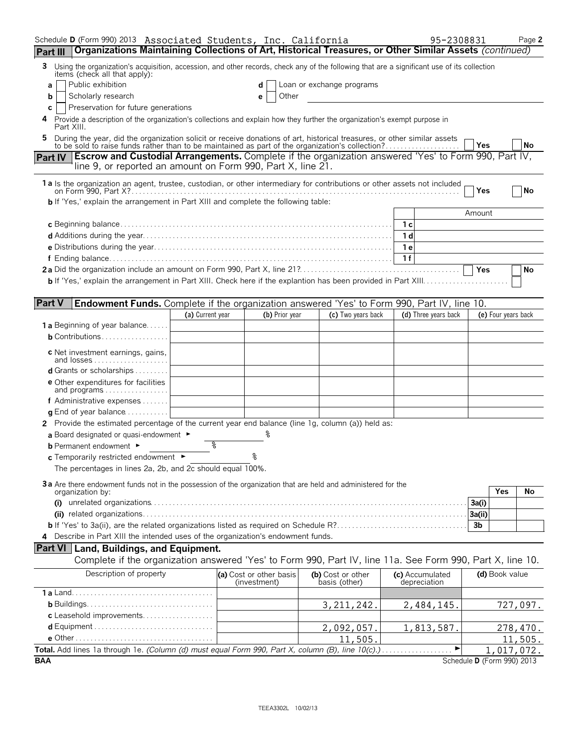| Schedule D (Form 990) 2013 Associated Students, Inc. California                                                                                                                                                                |                  |                                         |                                    | 95-2308831                      |                            | Page 2     |
|--------------------------------------------------------------------------------------------------------------------------------------------------------------------------------------------------------------------------------|------------------|-----------------------------------------|------------------------------------|---------------------------------|----------------------------|------------|
| Organizations Maintaining Collections of Art, Historical Treasures, or Other Similar Assets (continued)<br>Part III                                                                                                            |                  |                                         |                                    |                                 |                            |            |
| Using the organization's acquisition, accession, and other records, check any of the following that are a significant use of its collection<br>3<br>items (check all that apply):                                              |                  |                                         |                                    |                                 |                            |            |
| Public exhibition<br>a                                                                                                                                                                                                         |                  | d                                       | Loan or exchange programs          |                                 |                            |            |
| Scholarly research<br>b                                                                                                                                                                                                        |                  | Other<br>е                              |                                    |                                 |                            |            |
| Preservation for future generations<br>C<br>Provide a description of the organization's collections and explain how they further the organization's exempt purpose in<br>4                                                     |                  |                                         |                                    |                                 |                            |            |
| Part XIII.                                                                                                                                                                                                                     |                  |                                         |                                    |                                 |                            |            |
| During the year, did the organization solicit or receive donations of art, historical treasures, or other similar assets to be sold to raise funds rather than to be maintained as part of the organization's collection?<br>5 |                  |                                         |                                    |                                 | Yes                        | No         |
| <b>Escrow and Custodial Arrangements.</b> Complete if the organization answered 'Yes' to Form 990, Part IV,<br><b>Part IV</b><br>line 9, or reported an amount on Form 990, Part X, line 21.                                   |                  |                                         |                                    |                                 |                            |            |
| 1a Is the organization an agent, trustee, custodian, or other intermediary for contributions or other assets not included                                                                                                      |                  |                                         |                                    |                                 |                            |            |
|                                                                                                                                                                                                                                |                  |                                         |                                    |                                 | Yes                        | No         |
| <b>b</b> If 'Yes,' explain the arrangement in Part XIII and complete the following table:                                                                                                                                      |                  |                                         |                                    |                                 |                            |            |
|                                                                                                                                                                                                                                |                  |                                         |                                    | 1 с                             | Amount                     |            |
|                                                                                                                                                                                                                                |                  |                                         |                                    | 1 <sub>d</sub>                  |                            |            |
|                                                                                                                                                                                                                                |                  |                                         |                                    | 1 e                             |                            |            |
|                                                                                                                                                                                                                                |                  |                                         |                                    | 1f                              |                            |            |
|                                                                                                                                                                                                                                |                  |                                         |                                    |                                 | Yes                        | No         |
|                                                                                                                                                                                                                                |                  |                                         |                                    |                                 |                            |            |
|                                                                                                                                                                                                                                |                  |                                         |                                    |                                 |                            |            |
| <b>Part V</b><br><b>Endowment Funds.</b> Complete if the organization answered 'Yes' to Form 990, Part IV, line 10.                                                                                                            |                  |                                         |                                    |                                 |                            |            |
|                                                                                                                                                                                                                                | (a) Current year | (b) Prior year                          | (c) Two years back                 | (d) Three years back            | (e) Four years back        |            |
| <b>1 a</b> Beginning of year balance                                                                                                                                                                                           |                  |                                         |                                    |                                 |                            |            |
| <b>b</b> Contributions                                                                                                                                                                                                         |                  |                                         |                                    |                                 |                            |            |
| c Net investment earnings, gains,<br>and losses                                                                                                                                                                                |                  |                                         |                                    |                                 |                            |            |
| d Grants or scholarships                                                                                                                                                                                                       |                  |                                         |                                    |                                 |                            |            |
| <b>e</b> Other expenditures for facilities<br>and programs                                                                                                                                                                     |                  |                                         |                                    |                                 |                            |            |
| f Administrative expenses $\ldots \ldots$                                                                                                                                                                                      |                  |                                         |                                    |                                 |                            |            |
| <b>g</b> End of year balance $\ldots \ldots \ldots$                                                                                                                                                                            |                  |                                         |                                    |                                 |                            |            |
| 2 Provide the estimated percentage of the current year end balance (line 1g, column (a)) held as:                                                                                                                              |                  |                                         |                                    |                                 |                            |            |
| a Board designated or quasi-endowment $\blacktriangleright$                                                                                                                                                                    |                  |                                         |                                    |                                 |                            |            |
| <b>b</b> Permanent endowment ►                                                                                                                                                                                                 | ిం               |                                         |                                    |                                 |                            |            |
| c Temporarily restricted endowment ►                                                                                                                                                                                           |                  |                                         |                                    |                                 |                            |            |
| The percentages in lines 2a, 2b, and 2c should equal 100%.                                                                                                                                                                     |                  |                                         |                                    |                                 |                            |            |
| 3a Are there endowment funds not in the possession of the organization that are held and administered for the                                                                                                                  |                  |                                         |                                    |                                 | <b>Yes</b>                 |            |
| organization by:                                                                                                                                                                                                               |                  |                                         |                                    |                                 | 3a(i)                      | No         |
|                                                                                                                                                                                                                                |                  |                                         |                                    |                                 | 3a(ii)                     |            |
|                                                                                                                                                                                                                                |                  |                                         |                                    |                                 | 3b                         |            |
| Describe in Part XIII the intended uses of the organization's endowment funds.<br>4                                                                                                                                            |                  |                                         |                                    |                                 |                            |            |
| Part VI   Land, Buildings, and Equipment.                                                                                                                                                                                      |                  |                                         |                                    |                                 |                            |            |
| Complete if the organization answered 'Yes' to Form 990, Part IV, line 11a. See Form 990, Part X, line 10.                                                                                                                     |                  |                                         |                                    |                                 |                            |            |
| Description of property                                                                                                                                                                                                        |                  | (a) Cost or other basis<br>(investment) | (b) Cost or other<br>basis (other) | (c) Accumulated<br>depreciation | (d) Book value             |            |
|                                                                                                                                                                                                                                |                  |                                         |                                    |                                 |                            |            |
|                                                                                                                                                                                                                                |                  |                                         | 3, 211, 242.                       | 2,484,145.                      |                            | 727,097.   |
| c Leasehold improvements                                                                                                                                                                                                       |                  |                                         |                                    |                                 |                            |            |
|                                                                                                                                                                                                                                |                  |                                         | 2,092,057.                         | 1,813,587.                      |                            | 278,470.   |
|                                                                                                                                                                                                                                |                  |                                         | 11,505                             |                                 |                            | 11,505.    |
|                                                                                                                                                                                                                                |                  |                                         |                                    |                                 |                            | 1,017,072. |
| <b>BAA</b>                                                                                                                                                                                                                     |                  |                                         |                                    |                                 | Schedule D (Form 990) 2013 |            |

TEEA3302L 10/02/13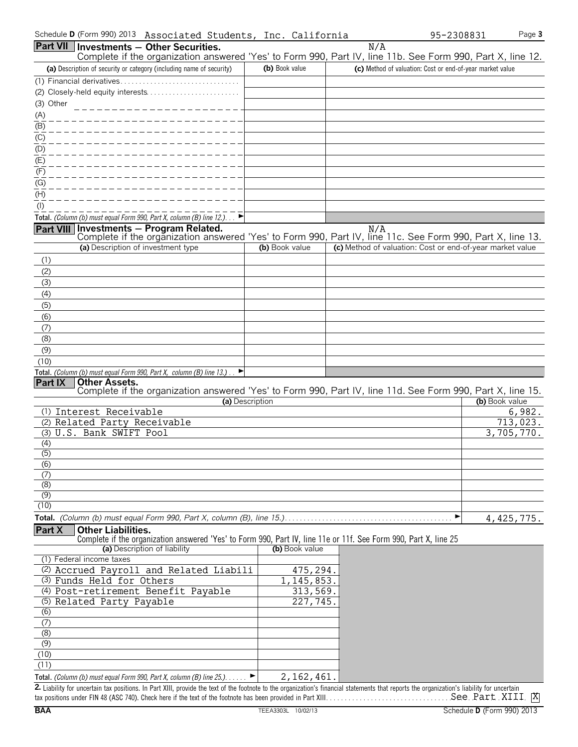| Part VII Investments - Other Securities.<br>N/A<br>Complete if the organization answered 'Yes' to Form 990, Part IV, line 11b. See Form 990, Part X, line 12.<br>(a) Description of security or category (including name of security)<br>(b) Book value<br>(c) Method of valuation: Cost or end-of-year market value<br>(3) Other<br>____________________<br>$\frac{(A)}{(B)}$<br>$\underline{(C)}$<br>$\frac{(D)}{(E)}$<br>(F)<br>(G)<br>(H)<br>$($ l $)$<br>Total. (Column (b) must equal Form 990, Part X, column (B) line 12.). $\Box$<br>Part VIII Investments - Program Related.<br>N/A<br>Complete if the organization answered 'Yes' to Form 990, Part IV, line 11c. See Form 990, Part X, line 13.<br>(a) Description of investment type<br>(c) Method of valuation: Cost or end-of-year market value<br>(b) Book value<br>(1)<br>(2)<br>(3)<br>(4)<br>(5)<br>(6)<br>(7)<br>(8)<br>(9)<br>(10)<br>Total. (Column (b) must equal Form 990, Part X, column (B) line 13.) $\Box$<br><b>Part IX</b><br><b>Other Assets.</b><br>Complete if the organization answered 'Yes' to Form 990, Part IV, line 11d. See Form 990, Part X, line 15.<br>(b) Book value<br>(a) Description<br>(1) Interest Receivable<br>6,982.<br>(2) Related Party Receivable<br>713,023.<br>(3) U.S. Bank SWIFT Pool<br>3,705,770.<br>(4)<br>(5)<br>(6)<br>(7)<br>(8)<br>$\overline{(9)}$<br>(10)<br>4, 425, 775.<br><b>Part X</b><br><b>Other Liabilities.</b><br>Complete if the organization answered 'Yes' to Form 990, Part IV, line 11e or 11f. See Form 990, Part X, line 25<br>(a) Description of liability<br>(b) Book value<br>(1) Federal income taxes<br>(2) Accrued Payroll and Related Liabili<br>475,294<br>1, 145, 853.<br>(3) Funds Held for Others<br>(4) Post-retirement Benefit Payable<br>313,569.<br>227,745.<br>(5) Related Party Payable<br>(6)<br>(7)<br>(8)<br>(9)<br>(10)<br>(11)<br>Total. (Column (b) must equal Form 990, Part X, column (B) line 25.).<br>2, 162, 461<br>▸ | Schedule D (Form 990) 2013 Associated Students, Inc. California |  | Page 3<br>95-2308831 |
|---------------------------------------------------------------------------------------------------------------------------------------------------------------------------------------------------------------------------------------------------------------------------------------------------------------------------------------------------------------------------------------------------------------------------------------------------------------------------------------------------------------------------------------------------------------------------------------------------------------------------------------------------------------------------------------------------------------------------------------------------------------------------------------------------------------------------------------------------------------------------------------------------------------------------------------------------------------------------------------------------------------------------------------------------------------------------------------------------------------------------------------------------------------------------------------------------------------------------------------------------------------------------------------------------------------------------------------------------------------------------------------------------------------------------------------------------------------------------------------------------------------------------------------------------------------------------------------------------------------------------------------------------------------------------------------------------------------------------------------------------------------------------------------------------------------------------------------------------------------------------------------------------------------------------------------------------------------------------------------|-----------------------------------------------------------------|--|----------------------|
|                                                                                                                                                                                                                                                                                                                                                                                                                                                                                                                                                                                                                                                                                                                                                                                                                                                                                                                                                                                                                                                                                                                                                                                                                                                                                                                                                                                                                                                                                                                                                                                                                                                                                                                                                                                                                                                                                                                                                                                       |                                                                 |  |                      |
|                                                                                                                                                                                                                                                                                                                                                                                                                                                                                                                                                                                                                                                                                                                                                                                                                                                                                                                                                                                                                                                                                                                                                                                                                                                                                                                                                                                                                                                                                                                                                                                                                                                                                                                                                                                                                                                                                                                                                                                       |                                                                 |  |                      |
|                                                                                                                                                                                                                                                                                                                                                                                                                                                                                                                                                                                                                                                                                                                                                                                                                                                                                                                                                                                                                                                                                                                                                                                                                                                                                                                                                                                                                                                                                                                                                                                                                                                                                                                                                                                                                                                                                                                                                                                       |                                                                 |  |                      |
|                                                                                                                                                                                                                                                                                                                                                                                                                                                                                                                                                                                                                                                                                                                                                                                                                                                                                                                                                                                                                                                                                                                                                                                                                                                                                                                                                                                                                                                                                                                                                                                                                                                                                                                                                                                                                                                                                                                                                                                       |                                                                 |  |                      |
|                                                                                                                                                                                                                                                                                                                                                                                                                                                                                                                                                                                                                                                                                                                                                                                                                                                                                                                                                                                                                                                                                                                                                                                                                                                                                                                                                                                                                                                                                                                                                                                                                                                                                                                                                                                                                                                                                                                                                                                       |                                                                 |  |                      |
|                                                                                                                                                                                                                                                                                                                                                                                                                                                                                                                                                                                                                                                                                                                                                                                                                                                                                                                                                                                                                                                                                                                                                                                                                                                                                                                                                                                                                                                                                                                                                                                                                                                                                                                                                                                                                                                                                                                                                                                       |                                                                 |  |                      |
|                                                                                                                                                                                                                                                                                                                                                                                                                                                                                                                                                                                                                                                                                                                                                                                                                                                                                                                                                                                                                                                                                                                                                                                                                                                                                                                                                                                                                                                                                                                                                                                                                                                                                                                                                                                                                                                                                                                                                                                       |                                                                 |  |                      |
|                                                                                                                                                                                                                                                                                                                                                                                                                                                                                                                                                                                                                                                                                                                                                                                                                                                                                                                                                                                                                                                                                                                                                                                                                                                                                                                                                                                                                                                                                                                                                                                                                                                                                                                                                                                                                                                                                                                                                                                       |                                                                 |  |                      |
|                                                                                                                                                                                                                                                                                                                                                                                                                                                                                                                                                                                                                                                                                                                                                                                                                                                                                                                                                                                                                                                                                                                                                                                                                                                                                                                                                                                                                                                                                                                                                                                                                                                                                                                                                                                                                                                                                                                                                                                       |                                                                 |  |                      |
|                                                                                                                                                                                                                                                                                                                                                                                                                                                                                                                                                                                                                                                                                                                                                                                                                                                                                                                                                                                                                                                                                                                                                                                                                                                                                                                                                                                                                                                                                                                                                                                                                                                                                                                                                                                                                                                                                                                                                                                       |                                                                 |  |                      |
|                                                                                                                                                                                                                                                                                                                                                                                                                                                                                                                                                                                                                                                                                                                                                                                                                                                                                                                                                                                                                                                                                                                                                                                                                                                                                                                                                                                                                                                                                                                                                                                                                                                                                                                                                                                                                                                                                                                                                                                       |                                                                 |  |                      |
|                                                                                                                                                                                                                                                                                                                                                                                                                                                                                                                                                                                                                                                                                                                                                                                                                                                                                                                                                                                                                                                                                                                                                                                                                                                                                                                                                                                                                                                                                                                                                                                                                                                                                                                                                                                                                                                                                                                                                                                       |                                                                 |  |                      |
|                                                                                                                                                                                                                                                                                                                                                                                                                                                                                                                                                                                                                                                                                                                                                                                                                                                                                                                                                                                                                                                                                                                                                                                                                                                                                                                                                                                                                                                                                                                                                                                                                                                                                                                                                                                                                                                                                                                                                                                       |                                                                 |  |                      |
|                                                                                                                                                                                                                                                                                                                                                                                                                                                                                                                                                                                                                                                                                                                                                                                                                                                                                                                                                                                                                                                                                                                                                                                                                                                                                                                                                                                                                                                                                                                                                                                                                                                                                                                                                                                                                                                                                                                                                                                       |                                                                 |  |                      |
|                                                                                                                                                                                                                                                                                                                                                                                                                                                                                                                                                                                                                                                                                                                                                                                                                                                                                                                                                                                                                                                                                                                                                                                                                                                                                                                                                                                                                                                                                                                                                                                                                                                                                                                                                                                                                                                                                                                                                                                       |                                                                 |  |                      |
|                                                                                                                                                                                                                                                                                                                                                                                                                                                                                                                                                                                                                                                                                                                                                                                                                                                                                                                                                                                                                                                                                                                                                                                                                                                                                                                                                                                                                                                                                                                                                                                                                                                                                                                                                                                                                                                                                                                                                                                       |                                                                 |  |                      |
|                                                                                                                                                                                                                                                                                                                                                                                                                                                                                                                                                                                                                                                                                                                                                                                                                                                                                                                                                                                                                                                                                                                                                                                                                                                                                                                                                                                                                                                                                                                                                                                                                                                                                                                                                                                                                                                                                                                                                                                       |                                                                 |  |                      |
|                                                                                                                                                                                                                                                                                                                                                                                                                                                                                                                                                                                                                                                                                                                                                                                                                                                                                                                                                                                                                                                                                                                                                                                                                                                                                                                                                                                                                                                                                                                                                                                                                                                                                                                                                                                                                                                                                                                                                                                       |                                                                 |  |                      |
|                                                                                                                                                                                                                                                                                                                                                                                                                                                                                                                                                                                                                                                                                                                                                                                                                                                                                                                                                                                                                                                                                                                                                                                                                                                                                                                                                                                                                                                                                                                                                                                                                                                                                                                                                                                                                                                                                                                                                                                       |                                                                 |  |                      |
|                                                                                                                                                                                                                                                                                                                                                                                                                                                                                                                                                                                                                                                                                                                                                                                                                                                                                                                                                                                                                                                                                                                                                                                                                                                                                                                                                                                                                                                                                                                                                                                                                                                                                                                                                                                                                                                                                                                                                                                       |                                                                 |  |                      |
|                                                                                                                                                                                                                                                                                                                                                                                                                                                                                                                                                                                                                                                                                                                                                                                                                                                                                                                                                                                                                                                                                                                                                                                                                                                                                                                                                                                                                                                                                                                                                                                                                                                                                                                                                                                                                                                                                                                                                                                       |                                                                 |  |                      |
|                                                                                                                                                                                                                                                                                                                                                                                                                                                                                                                                                                                                                                                                                                                                                                                                                                                                                                                                                                                                                                                                                                                                                                                                                                                                                                                                                                                                                                                                                                                                                                                                                                                                                                                                                                                                                                                                                                                                                                                       |                                                                 |  |                      |
|                                                                                                                                                                                                                                                                                                                                                                                                                                                                                                                                                                                                                                                                                                                                                                                                                                                                                                                                                                                                                                                                                                                                                                                                                                                                                                                                                                                                                                                                                                                                                                                                                                                                                                                                                                                                                                                                                                                                                                                       |                                                                 |  |                      |
|                                                                                                                                                                                                                                                                                                                                                                                                                                                                                                                                                                                                                                                                                                                                                                                                                                                                                                                                                                                                                                                                                                                                                                                                                                                                                                                                                                                                                                                                                                                                                                                                                                                                                                                                                                                                                                                                                                                                                                                       |                                                                 |  |                      |
|                                                                                                                                                                                                                                                                                                                                                                                                                                                                                                                                                                                                                                                                                                                                                                                                                                                                                                                                                                                                                                                                                                                                                                                                                                                                                                                                                                                                                                                                                                                                                                                                                                                                                                                                                                                                                                                                                                                                                                                       |                                                                 |  |                      |
|                                                                                                                                                                                                                                                                                                                                                                                                                                                                                                                                                                                                                                                                                                                                                                                                                                                                                                                                                                                                                                                                                                                                                                                                                                                                                                                                                                                                                                                                                                                                                                                                                                                                                                                                                                                                                                                                                                                                                                                       |                                                                 |  |                      |
|                                                                                                                                                                                                                                                                                                                                                                                                                                                                                                                                                                                                                                                                                                                                                                                                                                                                                                                                                                                                                                                                                                                                                                                                                                                                                                                                                                                                                                                                                                                                                                                                                                                                                                                                                                                                                                                                                                                                                                                       |                                                                 |  |                      |
|                                                                                                                                                                                                                                                                                                                                                                                                                                                                                                                                                                                                                                                                                                                                                                                                                                                                                                                                                                                                                                                                                                                                                                                                                                                                                                                                                                                                                                                                                                                                                                                                                                                                                                                                                                                                                                                                                                                                                                                       |                                                                 |  |                      |
|                                                                                                                                                                                                                                                                                                                                                                                                                                                                                                                                                                                                                                                                                                                                                                                                                                                                                                                                                                                                                                                                                                                                                                                                                                                                                                                                                                                                                                                                                                                                                                                                                                                                                                                                                                                                                                                                                                                                                                                       |                                                                 |  |                      |
|                                                                                                                                                                                                                                                                                                                                                                                                                                                                                                                                                                                                                                                                                                                                                                                                                                                                                                                                                                                                                                                                                                                                                                                                                                                                                                                                                                                                                                                                                                                                                                                                                                                                                                                                                                                                                                                                                                                                                                                       |                                                                 |  |                      |
|                                                                                                                                                                                                                                                                                                                                                                                                                                                                                                                                                                                                                                                                                                                                                                                                                                                                                                                                                                                                                                                                                                                                                                                                                                                                                                                                                                                                                                                                                                                                                                                                                                                                                                                                                                                                                                                                                                                                                                                       |                                                                 |  |                      |
|                                                                                                                                                                                                                                                                                                                                                                                                                                                                                                                                                                                                                                                                                                                                                                                                                                                                                                                                                                                                                                                                                                                                                                                                                                                                                                                                                                                                                                                                                                                                                                                                                                                                                                                                                                                                                                                                                                                                                                                       |                                                                 |  |                      |
|                                                                                                                                                                                                                                                                                                                                                                                                                                                                                                                                                                                                                                                                                                                                                                                                                                                                                                                                                                                                                                                                                                                                                                                                                                                                                                                                                                                                                                                                                                                                                                                                                                                                                                                                                                                                                                                                                                                                                                                       |                                                                 |  |                      |
|                                                                                                                                                                                                                                                                                                                                                                                                                                                                                                                                                                                                                                                                                                                                                                                                                                                                                                                                                                                                                                                                                                                                                                                                                                                                                                                                                                                                                                                                                                                                                                                                                                                                                                                                                                                                                                                                                                                                                                                       |                                                                 |  |                      |
|                                                                                                                                                                                                                                                                                                                                                                                                                                                                                                                                                                                                                                                                                                                                                                                                                                                                                                                                                                                                                                                                                                                                                                                                                                                                                                                                                                                                                                                                                                                                                                                                                                                                                                                                                                                                                                                                                                                                                                                       |                                                                 |  |                      |
|                                                                                                                                                                                                                                                                                                                                                                                                                                                                                                                                                                                                                                                                                                                                                                                                                                                                                                                                                                                                                                                                                                                                                                                                                                                                                                                                                                                                                                                                                                                                                                                                                                                                                                                                                                                                                                                                                                                                                                                       |                                                                 |  |                      |
|                                                                                                                                                                                                                                                                                                                                                                                                                                                                                                                                                                                                                                                                                                                                                                                                                                                                                                                                                                                                                                                                                                                                                                                                                                                                                                                                                                                                                                                                                                                                                                                                                                                                                                                                                                                                                                                                                                                                                                                       |                                                                 |  |                      |
|                                                                                                                                                                                                                                                                                                                                                                                                                                                                                                                                                                                                                                                                                                                                                                                                                                                                                                                                                                                                                                                                                                                                                                                                                                                                                                                                                                                                                                                                                                                                                                                                                                                                                                                                                                                                                                                                                                                                                                                       |                                                                 |  |                      |
|                                                                                                                                                                                                                                                                                                                                                                                                                                                                                                                                                                                                                                                                                                                                                                                                                                                                                                                                                                                                                                                                                                                                                                                                                                                                                                                                                                                                                                                                                                                                                                                                                                                                                                                                                                                                                                                                                                                                                                                       |                                                                 |  |                      |
|                                                                                                                                                                                                                                                                                                                                                                                                                                                                                                                                                                                                                                                                                                                                                                                                                                                                                                                                                                                                                                                                                                                                                                                                                                                                                                                                                                                                                                                                                                                                                                                                                                                                                                                                                                                                                                                                                                                                                                                       |                                                                 |  |                      |
|                                                                                                                                                                                                                                                                                                                                                                                                                                                                                                                                                                                                                                                                                                                                                                                                                                                                                                                                                                                                                                                                                                                                                                                                                                                                                                                                                                                                                                                                                                                                                                                                                                                                                                                                                                                                                                                                                                                                                                                       |                                                                 |  |                      |
|                                                                                                                                                                                                                                                                                                                                                                                                                                                                                                                                                                                                                                                                                                                                                                                                                                                                                                                                                                                                                                                                                                                                                                                                                                                                                                                                                                                                                                                                                                                                                                                                                                                                                                                                                                                                                                                                                                                                                                                       |                                                                 |  |                      |
|                                                                                                                                                                                                                                                                                                                                                                                                                                                                                                                                                                                                                                                                                                                                                                                                                                                                                                                                                                                                                                                                                                                                                                                                                                                                                                                                                                                                                                                                                                                                                                                                                                                                                                                                                                                                                                                                                                                                                                                       |                                                                 |  |                      |
|                                                                                                                                                                                                                                                                                                                                                                                                                                                                                                                                                                                                                                                                                                                                                                                                                                                                                                                                                                                                                                                                                                                                                                                                                                                                                                                                                                                                                                                                                                                                                                                                                                                                                                                                                                                                                                                                                                                                                                                       |                                                                 |  |                      |
|                                                                                                                                                                                                                                                                                                                                                                                                                                                                                                                                                                                                                                                                                                                                                                                                                                                                                                                                                                                                                                                                                                                                                                                                                                                                                                                                                                                                                                                                                                                                                                                                                                                                                                                                                                                                                                                                                                                                                                                       |                                                                 |  |                      |
|                                                                                                                                                                                                                                                                                                                                                                                                                                                                                                                                                                                                                                                                                                                                                                                                                                                                                                                                                                                                                                                                                                                                                                                                                                                                                                                                                                                                                                                                                                                                                                                                                                                                                                                                                                                                                                                                                                                                                                                       |                                                                 |  |                      |
|                                                                                                                                                                                                                                                                                                                                                                                                                                                                                                                                                                                                                                                                                                                                                                                                                                                                                                                                                                                                                                                                                                                                                                                                                                                                                                                                                                                                                                                                                                                                                                                                                                                                                                                                                                                                                                                                                                                                                                                       |                                                                 |  |                      |
|                                                                                                                                                                                                                                                                                                                                                                                                                                                                                                                                                                                                                                                                                                                                                                                                                                                                                                                                                                                                                                                                                                                                                                                                                                                                                                                                                                                                                                                                                                                                                                                                                                                                                                                                                                                                                                                                                                                                                                                       |                                                                 |  |                      |
|                                                                                                                                                                                                                                                                                                                                                                                                                                                                                                                                                                                                                                                                                                                                                                                                                                                                                                                                                                                                                                                                                                                                                                                                                                                                                                                                                                                                                                                                                                                                                                                                                                                                                                                                                                                                                                                                                                                                                                                       |                                                                 |  |                      |
|                                                                                                                                                                                                                                                                                                                                                                                                                                                                                                                                                                                                                                                                                                                                                                                                                                                                                                                                                                                                                                                                                                                                                                                                                                                                                                                                                                                                                                                                                                                                                                                                                                                                                                                                                                                                                                                                                                                                                                                       |                                                                 |  |                      |
|                                                                                                                                                                                                                                                                                                                                                                                                                                                                                                                                                                                                                                                                                                                                                                                                                                                                                                                                                                                                                                                                                                                                                                                                                                                                                                                                                                                                                                                                                                                                                                                                                                                                                                                                                                                                                                                                                                                                                                                       |                                                                 |  |                      |
|                                                                                                                                                                                                                                                                                                                                                                                                                                                                                                                                                                                                                                                                                                                                                                                                                                                                                                                                                                                                                                                                                                                                                                                                                                                                                                                                                                                                                                                                                                                                                                                                                                                                                                                                                                                                                                                                                                                                                                                       |                                                                 |  |                      |

**2.** Liability for uncertain tax positions. In Part XIII, provide the text of the footnote to the organization's financial statements that reports the organization's liability for uncertain tax positions under FIN 48 (ASC 740). Check here if the text of the footnote has been provided in Part XIII. . . . . . . . . . . . . . . . . . . . . . . . . . . . . . . . . . . . . . . . . . . . . . . . . . . . . . See Part XIII <mark>X</mark>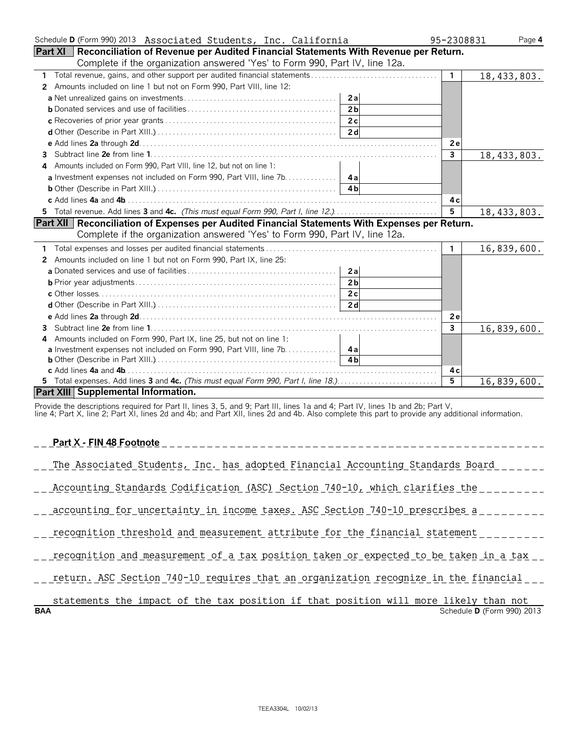| Schedule D (Form 990) 2013 Associated Students, Inc. California                                                               | 95-2308831     | Page 4        |
|-------------------------------------------------------------------------------------------------------------------------------|----------------|---------------|
| Part XI   Reconciliation of Revenue per Audited Financial Statements With Revenue per Return.                                 |                |               |
| Complete if the organization answered 'Yes' to Form 990, Part IV, line 12a.                                                   |                |               |
| 1                                                                                                                             | $\mathbf{1}$   | 18, 433, 803. |
| Amounts included on line 1 but not on Form 990, Part VIII, line 12:<br>$\mathbf{2}^{\prime}$                                  |                |               |
| 2a                                                                                                                            |                |               |
| 2 <sub>b</sub>                                                                                                                |                |               |
| 2c                                                                                                                            |                |               |
|                                                                                                                               |                |               |
|                                                                                                                               | 2e             |               |
| 3.                                                                                                                            | $\overline{3}$ | 18,433,803.   |
| 4 Amounts included on Form 990, Part VIII, line 12, but not on line 1:                                                        |                |               |
|                                                                                                                               |                |               |
| 4 <sub>b</sub>                                                                                                                |                |               |
|                                                                                                                               | 4 c            |               |
| 5 Total revenue. Add lines 3 and 4c. (This must equal Form 990, Part I, line 12.)                                             | 5              | 18,433,803.   |
| Part XII   Reconciliation of Expenses per Audited Financial Statements With Expenses per Return.                              |                |               |
| Complete if the organization answered 'Yes' to Form 990, Part IV, line 12a.                                                   |                |               |
| 1.                                                                                                                            | $\mathbf{1}$   | 16,839,600.   |
| Amounts included on line 1 but not on Form 990, Part IX, line 25:<br>2                                                        |                |               |
| 2al                                                                                                                           |                |               |
| 2 <sub>b</sub>                                                                                                                |                |               |
| 2c                                                                                                                            |                |               |
| 2d                                                                                                                            |                |               |
|                                                                                                                               | 2e             |               |
| 3.                                                                                                                            | $\mathbf{3}$   | 16,839,600.   |
| Amounts included on Form 990, Part IX, line 25, but not on line 1:<br>4                                                       |                |               |
| <b>a</b> Investment expenses not included on Form 990, Part VIII, line 7b. 4a                                                 |                |               |
|                                                                                                                               |                |               |
|                                                                                                                               | 4 c            |               |
|                                                                                                                               | $\overline{5}$ | 16,839,600.   |
| <b>Part XIII   Supplemental Information.</b>                                                                                  |                |               |
| Provide the descriptions required for Part II, lines 3, 5, and 9; Part III, lines 1a and 4; Part IV, lines 1b and 2b; Part V, |                |               |

line 4; Part X, line 2; Part XI, lines 2d and 4b; and Part XII, lines 2d and 4b. Also complete this part to provide any additional information.

#### **Part X - FIN 48 Footnote**

| The |               |  |  | l Students, Inc. has adopted Financial Accounting Standards ] |  |  |
|-----|---------------|--|--|---------------------------------------------------------------|--|--|
|     | _____________ |  |  |                                                               |  |  |

| ACCOUNTING | standards Codification ( | (ASC) | Section | 1 O<br>$140 - 7$<br>$\pm U \cdot$ | whi |  |  |
|------------|--------------------------|-------|---------|-----------------------------------|-----|--|--|
|            |                          |       |         |                                   |     |  |  |

|  | accounting for uncertainty in income taxes. ASC Section 740-10 prescribes a |  |  |  |  |  |  |
|--|-----------------------------------------------------------------------------|--|--|--|--|--|--|
|  |                                                                             |  |  |  |  |  |  |

\_\_ recognition threshold and measurement attribute for the financial statement \_\_\_\_\_\_\_\_\_

|  | recognition and measurement of a tax position taken or expected to be taken in a tax |  |  |  |  |  |  |  |
|--|--------------------------------------------------------------------------------------|--|--|--|--|--|--|--|
|  |                                                                                      |  |  |  |  |  |  |  |

| . ASL | ASC Section 740-10 requires that an organization recognize in the financial |  |
|-------|-----------------------------------------------------------------------------|--|
|       |                                                                             |  |

|            | statements the impact of the tax position if that position will more likely than not |  |  |  |  |  |                                   |  |
|------------|--------------------------------------------------------------------------------------|--|--|--|--|--|-----------------------------------|--|
| <b>BAA</b> |                                                                                      |  |  |  |  |  | Schedule <b>D</b> (Form 990) 2013 |  |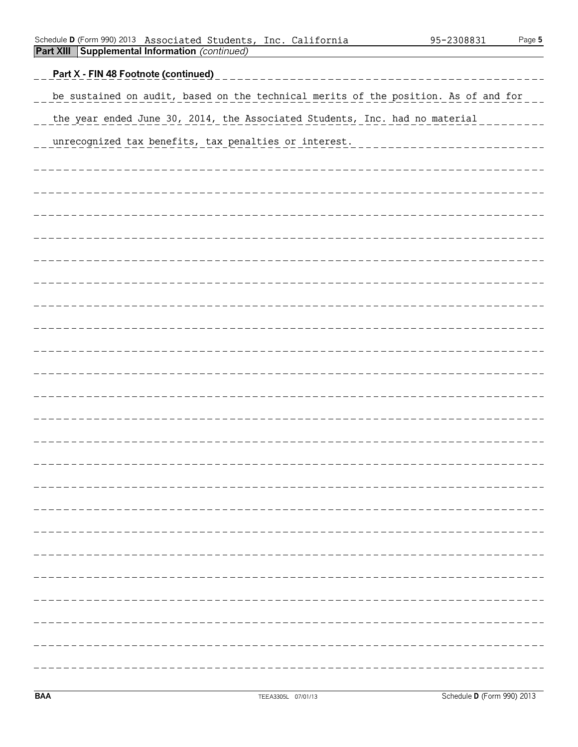|  | Schedule <b>D</b> (Form 990) 2013 Associated Students, Inc. California |  | 95-2308831 | Page 5 |
|--|------------------------------------------------------------------------|--|------------|--------|
|  | <b>Part XIII Supplemental Information (continued)</b>                  |  |            |        |

| <u>Part X - FIN 48 Footnote (continued)</u>                                         |
|-------------------------------------------------------------------------------------|
| be sustained on audit, based on the technical merits of the position. As of and for |
| the year ended June 30, 2014, the Associated Students, Inc. had no material         |
| unrecognized tax benefits, tax penalties or interest.                               |
|                                                                                     |
|                                                                                     |
|                                                                                     |
|                                                                                     |
|                                                                                     |
|                                                                                     |
|                                                                                     |
|                                                                                     |
|                                                                                     |
|                                                                                     |
|                                                                                     |
|                                                                                     |
|                                                                                     |
|                                                                                     |
|                                                                                     |
|                                                                                     |
|                                                                                     |
|                                                                                     |
|                                                                                     |
|                                                                                     |
|                                                                                     |
|                                                                                     |
|                                                                                     |
|                                                                                     |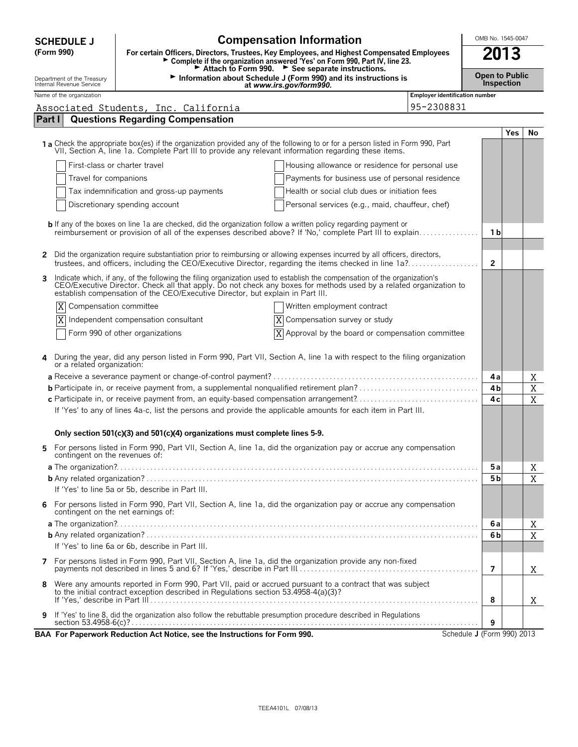| <b>Compensation Information</b><br>OMB No. 1545-0047<br><b>SCHEDULE J</b>                                                                                                                                                          |                            |                                                                                                                                                                                                                                          |                                       |                            |                   |             |  |
|------------------------------------------------------------------------------------------------------------------------------------------------------------------------------------------------------------------------------------|----------------------------|------------------------------------------------------------------------------------------------------------------------------------------------------------------------------------------------------------------------------------------|---------------------------------------|----------------------------|-------------------|-------------|--|
| (Form 990)                                                                                                                                                                                                                         |                            | For certain Officers, Directors, Trustees, Key Employees, and Highest Compensated Employees<br>Complete if the organization answered 'Yes' on Form 990, Part IV, line 23.<br>Attach to Form 990. See separate instructions.              |                                       |                            | 2013              |             |  |
| Department of the Treasury<br>Internal Revenue Service                                                                                                                                                                             |                            | Information about Schedule J (Form 990) and its instructions is<br>at www.irs.gov/form990.                                                                                                                                               |                                       | <b>Open to Public</b>      | <b>Inspection</b> |             |  |
| Name of the organization                                                                                                                                                                                                           |                            |                                                                                                                                                                                                                                          | <b>Employer identification number</b> |                            |                   |             |  |
|                                                                                                                                                                                                                                    |                            | Associated Students, Inc. California                                                                                                                                                                                                     | 95-2308831                            |                            |                   |             |  |
| Part I                                                                                                                                                                                                                             |                            | <b>Questions Regarding Compensation</b>                                                                                                                                                                                                  |                                       |                            |                   |             |  |
|                                                                                                                                                                                                                                    |                            |                                                                                                                                                                                                                                          |                                       |                            | <b>Yes</b>        | No          |  |
|                                                                                                                                                                                                                                    |                            | 1 a Check the appropriate box(es) if the organization provided any of the following to or for a person listed in Form 990, Part<br>VII, Section A, line 1a. Complete Part III to provide any relevant information regarding these items. |                                       |                            |                   |             |  |
|                                                                                                                                                                                                                                    |                            | First-class or charter travel<br>Housing allowance or residence for personal use                                                                                                                                                         |                                       |                            |                   |             |  |
|                                                                                                                                                                                                                                    | Travel for companions      | Payments for business use of personal residence                                                                                                                                                                                          |                                       |                            |                   |             |  |
|                                                                                                                                                                                                                                    |                            | Tax indemnification and gross-up payments<br>Health or social club dues or initiation fees                                                                                                                                               |                                       |                            |                   |             |  |
|                                                                                                                                                                                                                                    |                            | Personal services (e.g., maid, chauffeur, chef)<br>Discretionary spending account                                                                                                                                                        |                                       |                            |                   |             |  |
|                                                                                                                                                                                                                                    |                            |                                                                                                                                                                                                                                          |                                       |                            |                   |             |  |
| <b>b</b> If any of the boxes on line 1a are checked, did the organization follow a written policy regarding payment or<br>reimbursement or provision of all of the expenses described above? If 'No,' complete Part III to explain |                            |                                                                                                                                                                                                                                          |                                       |                            |                   |             |  |
|                                                                                                                                                                                                                                    |                            |                                                                                                                                                                                                                                          |                                       | 1 b                        |                   |             |  |
| 2                                                                                                                                                                                                                                  |                            | Did the organization require substantiation prior to reimbursing or allowing expenses incurred by all officers, directors,<br>trustees, and officers, including the CEO/Executive Director, regarding the items checked in line 1a?      |                                       | $\overline{2}$             |                   |             |  |
| 3                                                                                                                                                                                                                                  |                            | Indicate which, if any, of the following the filing organization used to establish the compensation of the organization's<br>CEO/Executive Director. Check all that apply. Do not check any boxes for methods used by a related o        |                                       |                            |                   |             |  |
|                                                                                                                                                                                                                                    |                            | establish compensation of the CEO/Executive Director, but explain in Part III.                                                                                                                                                           |                                       |                            |                   |             |  |
| X                                                                                                                                                                                                                                  |                            | Compensation committee<br>Written employment contract                                                                                                                                                                                    |                                       |                            |                   |             |  |
| Independent compensation consultant<br>Compensation survey or study                                                                                                                                                                |                            |                                                                                                                                                                                                                                          |                                       |                            |                   |             |  |
|                                                                                                                                                                                                                                    |                            | Form 990 of other organizations<br>$X$ Approval by the board or compensation committee                                                                                                                                                   |                                       |                            |                   |             |  |
|                                                                                                                                                                                                                                    |                            |                                                                                                                                                                                                                                          |                                       |                            |                   |             |  |
| 4                                                                                                                                                                                                                                  | or a related organization: | During the year, did any person listed in Form 990, Part VII, Section A, line 1a with respect to the filing organization                                                                                                                 |                                       |                            |                   |             |  |
|                                                                                                                                                                                                                                    |                            |                                                                                                                                                                                                                                          |                                       | 4a                         |                   | Χ           |  |
|                                                                                                                                                                                                                                    |                            |                                                                                                                                                                                                                                          |                                       | 4 <sub>b</sub>             |                   | $\mathbf X$ |  |
|                                                                                                                                                                                                                                    |                            | c Participate in, or receive payment from, an equity-based compensation arrangement?                                                                                                                                                     |                                       | 4c                         |                   | X           |  |
|                                                                                                                                                                                                                                    |                            | If 'Yes' to any of lines 4a-c, list the persons and provide the applicable amounts for each item in Part III.                                                                                                                            |                                       |                            |                   |             |  |
|                                                                                                                                                                                                                                    |                            |                                                                                                                                                                                                                                          |                                       |                            |                   |             |  |
|                                                                                                                                                                                                                                    |                            | Only section 501(c)(3) and 501(c)(4) organizations must complete lines 5-9.                                                                                                                                                              |                                       |                            |                   |             |  |
|                                                                                                                                                                                                                                    |                            | 5 For persons listed in Form 990, Part VII, Section A, line 1a, did the organization pay or accrue any compensation<br>contingent on the revenues of:                                                                                    |                                       |                            |                   |             |  |
|                                                                                                                                                                                                                                    |                            |                                                                                                                                                                                                                                          |                                       | 5 a                        |                   | Χ           |  |
|                                                                                                                                                                                                                                    |                            | If 'Yes' to line 5a or 5b, describe in Part III.                                                                                                                                                                                         |                                       | 5 b                        |                   | X           |  |
|                                                                                                                                                                                                                                    |                            |                                                                                                                                                                                                                                          |                                       |                            |                   |             |  |
| 6                                                                                                                                                                                                                                  |                            | For persons listed in Form 990, Part VII, Section A, line 1a, did the organization pay or accrue any compensation<br>contingent on the net earnings of:                                                                                  |                                       |                            |                   |             |  |
|                                                                                                                                                                                                                                    |                            |                                                                                                                                                                                                                                          |                                       | 6а                         |                   | X           |  |
|                                                                                                                                                                                                                                    |                            |                                                                                                                                                                                                                                          |                                       | 6b                         |                   | X           |  |
|                                                                                                                                                                                                                                    |                            | If 'Yes' to line 6a or 6b, describe in Part III.                                                                                                                                                                                         |                                       |                            |                   |             |  |
|                                                                                                                                                                                                                                    |                            |                                                                                                                                                                                                                                          |                                       | 7                          |                   | Χ           |  |
| 8                                                                                                                                                                                                                                  |                            | Were any amounts reported in Form 990, Part VII, paid or accrued pursuant to a contract that was subject                                                                                                                                 |                                       |                            |                   |             |  |
|                                                                                                                                                                                                                                    |                            | to the initial contract exception described in Regulations section 53.4958-4(a)(3)?                                                                                                                                                      |                                       | 8                          |                   | X           |  |
| If 'Yes' to line 8, did the organization also follow the rebuttable presumption procedure described in Regulations                                                                                                                 |                            |                                                                                                                                                                                                                                          |                                       |                            |                   |             |  |
| 9                                                                                                                                                                                                                                  |                            |                                                                                                                                                                                                                                          |                                       | 9                          |                   |             |  |
|                                                                                                                                                                                                                                    |                            | BAA For Paperwork Reduction Act Notice, see the Instructions for Form 990.                                                                                                                                                               |                                       | Schedule J (Form 990) 2013 |                   |             |  |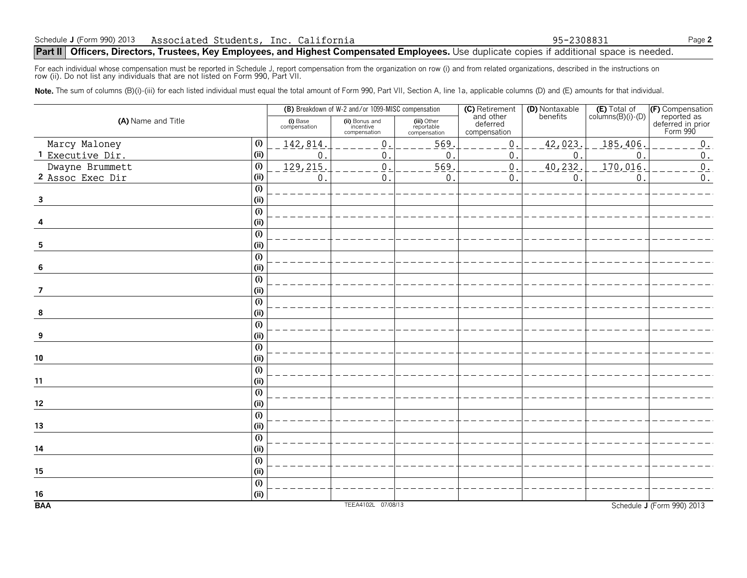#### **Part II** Officers, Directors, Trustees, Key Employees, and Highest Compensated Employees. Use duplicate copies if additional space is needed.

For each individual whose compensation must be reported in Schedule J, report compensation from the organization on row (i) and from related organizations, described in the instructions on<br>row (ii). Do not list any individ

Note. The sum of columns (B)(i)-(iii) for each listed individual must equal the total amount of Form 990, Part VII, Section A, line 1a, applicable columns (D) and (E) amounts for that individual.

|                         |                           |                          | (B) Breakdown of W-2 and/or 1099-MISC compensation |                                           | (C) Retirement                        | (D) Nontaxable | $(E)$ Total of<br>columns $(B)(i)$ - $(D)$ |                                                                  |
|-------------------------|---------------------------|--------------------------|----------------------------------------------------|-------------------------------------------|---------------------------------------|----------------|--------------------------------------------|------------------------------------------------------------------|
| (A) Name and Title      |                           | (i) Base<br>compensation | (ii) Bonus and<br>incentive<br>compensation        | (iii) Other<br>reportable<br>compensation | and other<br>deferred<br>compensation | benefits       |                                            | (F) Compensation<br>reported as<br>deferred in prior<br>Form 990 |
| Marcy Maloney           | (i)                       | 142,814                  | $\mathbf 0$                                        | 569                                       | $\boldsymbol{0}$                      | 42,023.        | 185,406                                    | $0$ .                                                            |
| 1 Executive Dir.        | (i)                       | 0                        | 0                                                  | $\mathbf 0$ .                             | $\mathbf 0$                           | $\mathbf 0$ .  | $\mathbf{0}$                               | $\boldsymbol{0}$ .                                               |
| Dwayne Brummett         | (i)                       | 129, 215                 | $\mathsf{0}$                                       | 569                                       | $\,0\,$                               | 40, 232.       | 170,016                                    | $0$ .                                                            |
| 2 Assoc Exec Dir        | (i)                       | 0                        | $\mathbf 0$                                        | 0                                         | $\mathsf 0$                           | $\mathbf{0}$   | 0                                          | $\boldsymbol{0}$ .                                               |
|                         | (i)                       |                          |                                                    |                                           |                                       |                |                                            |                                                                  |
| $\overline{\mathbf{3}}$ | (i)                       |                          |                                                    |                                           |                                       |                |                                            |                                                                  |
|                         | $\overline{(\mathsf{i})}$ |                          |                                                    |                                           |                                       |                |                                            |                                                                  |
|                         | (i)                       |                          |                                                    |                                           |                                       |                |                                            |                                                                  |
|                         | (i)                       |                          |                                                    |                                           |                                       |                |                                            |                                                                  |
| 5                       | (i)                       |                          |                                                    |                                           |                                       |                |                                            |                                                                  |
|                         | (i)                       |                          |                                                    |                                           |                                       |                |                                            |                                                                  |
| 6                       | (i)                       |                          |                                                    |                                           |                                       |                |                                            |                                                                  |
|                         | (i)                       |                          |                                                    |                                           |                                       |                |                                            |                                                                  |
| 7                       | (i)                       |                          |                                                    |                                           |                                       |                |                                            |                                                                  |
|                         | (i)                       |                          |                                                    |                                           |                                       |                |                                            |                                                                  |
| 8                       | (i)                       |                          |                                                    |                                           |                                       |                |                                            |                                                                  |
|                         | (i)                       |                          |                                                    |                                           |                                       |                |                                            |                                                                  |
| 9                       | (i)                       |                          |                                                    |                                           |                                       |                |                                            |                                                                  |
|                         | (i)                       |                          |                                                    |                                           |                                       |                |                                            |                                                                  |
| $10$                    | (i)                       |                          |                                                    |                                           |                                       |                |                                            |                                                                  |
|                         | (i)                       |                          |                                                    |                                           |                                       |                |                                            |                                                                  |
| 11                      | (ii)                      |                          |                                                    |                                           |                                       |                |                                            |                                                                  |
|                         | (i)                       |                          |                                                    |                                           |                                       |                |                                            |                                                                  |
| 12                      | (i)                       |                          |                                                    |                                           |                                       |                |                                            |                                                                  |
|                         | (i)                       |                          |                                                    |                                           |                                       |                |                                            |                                                                  |
| 13                      | (ii)                      |                          |                                                    |                                           |                                       |                |                                            |                                                                  |
|                         | (i)                       |                          |                                                    |                                           |                                       |                |                                            |                                                                  |
| 14                      | (i)                       |                          |                                                    |                                           |                                       |                |                                            |                                                                  |
|                         | (i)                       |                          |                                                    |                                           |                                       |                |                                            |                                                                  |
| 15                      | (i)                       |                          |                                                    |                                           |                                       |                |                                            |                                                                  |
|                         | (i)                       |                          |                                                    |                                           |                                       |                |                                            |                                                                  |
| 16                      | (i)                       |                          |                                                    |                                           |                                       |                |                                            |                                                                  |
| <b>BAA</b>              |                           |                          | TEEA4102L 07/08/13                                 |                                           |                                       |                |                                            | Schedule J (Form 990) 2013                                       |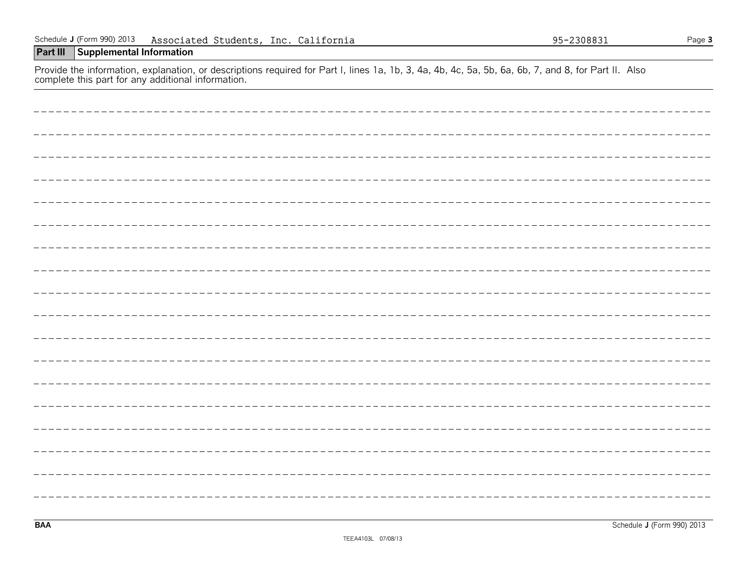| complete and part for any additional imormation. |
|--------------------------------------------------|
|                                                  |
|                                                  |
|                                                  |
|                                                  |
|                                                  |
|                                                  |
|                                                  |
|                                                  |
|                                                  |
|                                                  |
|                                                  |
|                                                  |
|                                                  |
|                                                  |
|                                                  |
|                                                  |
|                                                  |
|                                                  |

#### Schedule **J** (Form 990) 2013 Page **3** Associated Students, Inc. California 95-2308831

#### **Part III Supplemental Information**

Provide the information, explanation, or descriptions required for Part I, lines 1a, 1b, 3, 4a, 4b, 4c, 5a, 5b, 6a, 6b, 7, and 8, for Part II. Also complete this part for any additional information.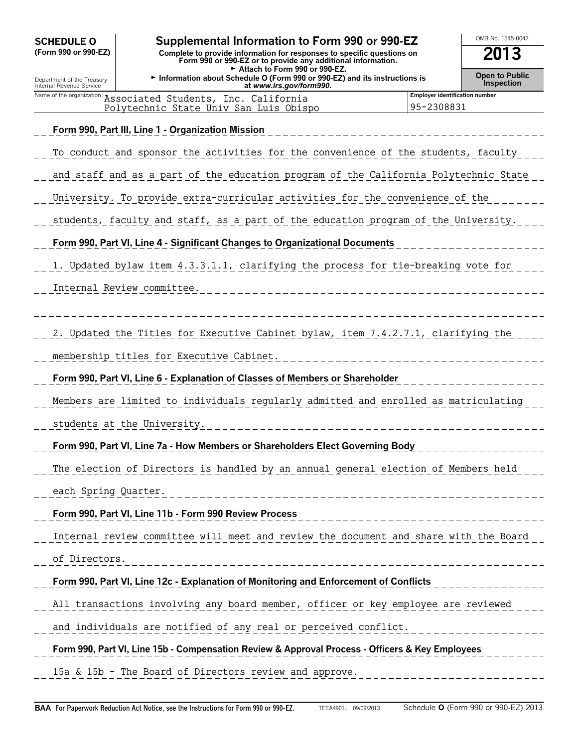| <b>SCHEDULE O</b>                                      | Supplemental Information to Form 990 or 990-EZ                                                                                                 |                                              | OMB No. 1545-0047                   |  |  |  |  |  |  |
|--------------------------------------------------------|------------------------------------------------------------------------------------------------------------------------------------------------|----------------------------------------------|-------------------------------------|--|--|--|--|--|--|
| (Form 990 or 990-EZ)                                   | 2013<br>Complete to provide information for responses to specific questions on<br>Form 990 or 990-EZ or to provide any additional information. |                                              |                                     |  |  |  |  |  |  |
| Department of the Treasury<br>Internal Revenue Service | Attach to Form 990 or 990-EZ.<br>Information about Schedule O (Form 990 or 990-EZ) and its instructions is<br>at www.irs.gov/form990.          |                                              | <b>Open to Public</b><br>Inspection |  |  |  |  |  |  |
| Name of the organization                               | Associated Students, Inc. California<br>Polytechnic State Univ San Luis Obispo                                                                 | Employer identification number<br>95-2308831 |                                     |  |  |  |  |  |  |
|                                                        | Form 990, Part III, Line 1 - Organization Mission                                                                                              |                                              |                                     |  |  |  |  |  |  |
|                                                        | To conduct and sponsor the activities for the convenience of the students, faculty                                                             |                                              |                                     |  |  |  |  |  |  |
|                                                        |                                                                                                                                                |                                              |                                     |  |  |  |  |  |  |
|                                                        | and staff and as a part of the education program of the California Polytechnic State                                                           |                                              |                                     |  |  |  |  |  |  |
|                                                        | University. To provide extra-curricular activities for the convenience of the                                                                  |                                              |                                     |  |  |  |  |  |  |
|                                                        | students, faculty and staff, as a part of the education program of the University.                                                             |                                              |                                     |  |  |  |  |  |  |
|                                                        | Form 990, Part VI, Line 4 - Significant Changes to Organizational Documents                                                                    |                                              |                                     |  |  |  |  |  |  |
|                                                        | 1. Updated bylaw item 4.3.3.1.1, clarifying the process for tie-breaking vote for                                                              |                                              |                                     |  |  |  |  |  |  |
|                                                        | Internal Review committee.                                                                                                                     |                                              |                                     |  |  |  |  |  |  |
|                                                        |                                                                                                                                                |                                              |                                     |  |  |  |  |  |  |
|                                                        | 2. Updated the Titles for Executive Cabinet bylaw, item 7.4.2.7.1, clarifying the                                                              |                                              |                                     |  |  |  |  |  |  |
|                                                        | membership titles for Executive Cabinet.                                                                                                       |                                              |                                     |  |  |  |  |  |  |
|                                                        | Form 990, Part VI, Line 6 - Explanation of Classes of Members or Shareholder                                                                   |                                              |                                     |  |  |  |  |  |  |
|                                                        | Members are limited to individuals regularly admitted and enrolled as matriculating                                                            |                                              |                                     |  |  |  |  |  |  |
|                                                        | students at the University.                                                                                                                    |                                              |                                     |  |  |  |  |  |  |
|                                                        | Form 990, Part VI, Line 7a - How Members or Shareholders Elect Governing Body                                                                  |                                              |                                     |  |  |  |  |  |  |
|                                                        | The election of Directors is handled by an annual general election of Members held                                                             |                                              |                                     |  |  |  |  |  |  |
| each Spring Quarter.                                   | ______________________________                                                                                                                 |                                              |                                     |  |  |  |  |  |  |
|                                                        | Form 990, Part VI, Line 11b - Form 990 Review Process                                                                                          |                                              |                                     |  |  |  |  |  |  |
|                                                        | Internal review committee will meet and review the document and share with the Board                                                           |                                              |                                     |  |  |  |  |  |  |
| of Directors.                                          | __________________________                                                                                                                     |                                              |                                     |  |  |  |  |  |  |
|                                                        | Form 990, Part VI, Line 12c - Explanation of Monitoring and Enforcement of Conflicts                                                           |                                              |                                     |  |  |  |  |  |  |
|                                                        | All transactions involving any board member, officer or key employee are reviewed                                                              |                                              |                                     |  |  |  |  |  |  |
|                                                        | and individuals are notified of any real or perceived conflict.                                                                                |                                              |                                     |  |  |  |  |  |  |
|                                                        | Form 990, Part VI, Line 15b - Compensation Review & Approval Process - Officers & Key Employees                                                |                                              |                                     |  |  |  |  |  |  |
|                                                        |                                                                                                                                                |                                              |                                     |  |  |  |  |  |  |

15a & 15b - The Board of Directors review and approve.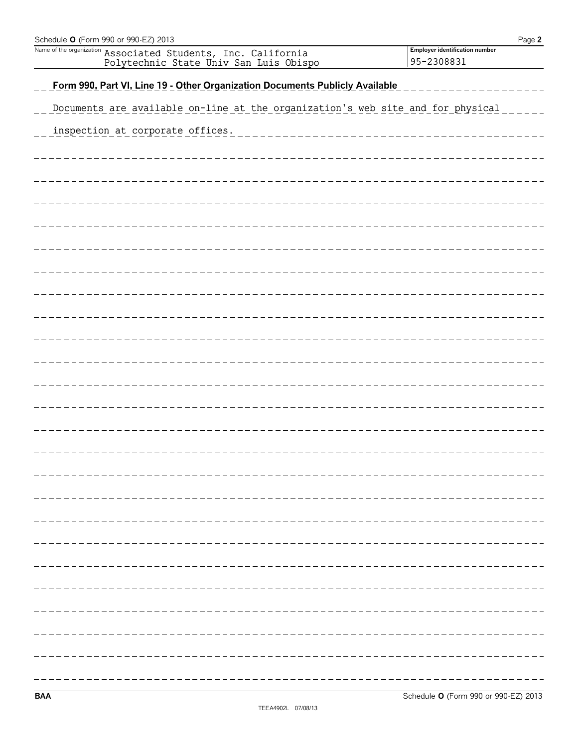| Schedule <b>O</b> (Form 990 or 990-EZ) 2013                                                             | Page 2                                       |
|---------------------------------------------------------------------------------------------------------|----------------------------------------------|
| Name of the organization Associated Students, Inc. California<br>Polytechnic State Univ San Luis Obispo | Employer identification number<br>95-2308831 |
|                                                                                                         |                                              |
| Form 990, Part VI, Line 19 - Other Organization Documents Publicly Available                            |                                              |
| Documents are available on-line at the organization's web site and for physical                         |                                              |
| inspection at corporate offices.                                                                        |                                              |
|                                                                                                         |                                              |
|                                                                                                         |                                              |
|                                                                                                         |                                              |
|                                                                                                         |                                              |
|                                                                                                         |                                              |
|                                                                                                         |                                              |
|                                                                                                         |                                              |
|                                                                                                         |                                              |
|                                                                                                         |                                              |
|                                                                                                         |                                              |
|                                                                                                         |                                              |
|                                                                                                         |                                              |
|                                                                                                         |                                              |
|                                                                                                         |                                              |
|                                                                                                         |                                              |
|                                                                                                         |                                              |
|                                                                                                         |                                              |
|                                                                                                         |                                              |
|                                                                                                         |                                              |
|                                                                                                         |                                              |
|                                                                                                         |                                              |
|                                                                                                         |                                              |
|                                                                                                         |                                              |
|                                                                                                         |                                              |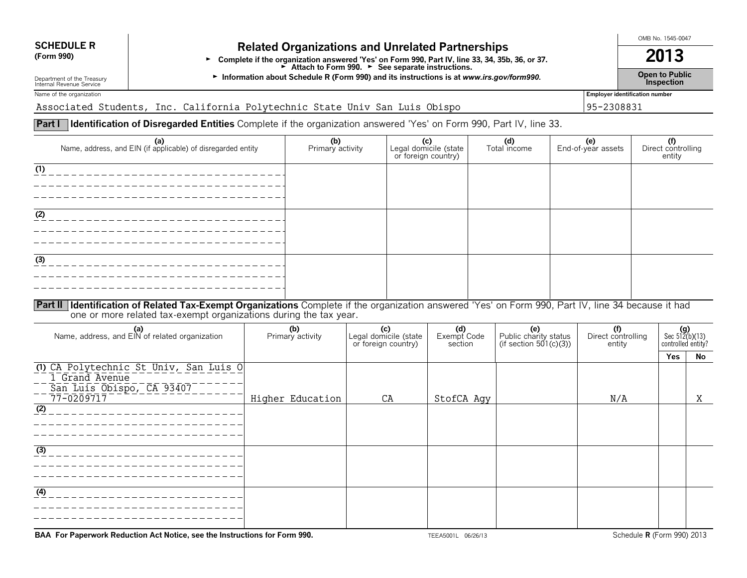# **SCHEDULE R Related Organizations and Unrelated Partnerships**<br>(Form 990) **Related Organization arguered "Yes' on Form 990, Bart IV, line 32, 24, 25h**

Form 990)<br>Form 990, Part IV, line 33, 34, 35b, 36, or 37.<br>Attach to Form 990. P See separate instructions.

G **Open to Public** Department of the Treasury **Information about Schedule R (Form 990) and its instructions is at** *www.irs.gov/form990.* Internal Revenue Service **Inspection**

Name of the organization **Employer identification number** 

Associated Students, Inc. California Polytechnic State Univ San Luis Obispo 95-2308831

#### **Part I Identification of Disregarded Entities** Complete if the organization answered 'Yes' on Form 990, Part IV, line 33.

| (a)<br>Name, address, and EIN (if applicable) of disregarded entity                                                                                        | (b)<br>Primary activity | (c)<br>or foreign country)                          | Legal domicile (state         | (d)<br>Total income                                                                              |  | (e)<br>End-of-year assets                     | (f)<br>Direct controlling<br>entity |    |
|------------------------------------------------------------------------------------------------------------------------------------------------------------|-------------------------|-----------------------------------------------------|-------------------------------|--------------------------------------------------------------------------------------------------|--|-----------------------------------------------|-------------------------------------|----|
| (1)                                                                                                                                                        |                         |                                                     |                               |                                                                                                  |  |                                               |                                     |    |
| (2)                                                                                                                                                        |                         |                                                     |                               |                                                                                                  |  |                                               |                                     |    |
| (3)                                                                                                                                                        |                         |                                                     |                               |                                                                                                  |  |                                               |                                     |    |
| <b>Part II Identification of Related Tax-Exempt Organizations</b> Complete if the organization answered 'Yes' on Form 990, Part IV, line 34 because it had |                         |                                                     |                               |                                                                                                  |  |                                               |                                     |    |
| one or more related tax-exempt organizations during the tax year.                                                                                          |                         |                                                     |                               |                                                                                                  |  |                                               |                                     |    |
| (a)<br>Name, address, and EIN of related organization                                                                                                      | (b)<br>Primary activity | (c)<br>Legal domicile (state<br>or foreign country) | (d)<br>Exempt Code<br>section | (e)<br>Public charity status<br>(f)<br>Direct controlling<br>(if section $501(c)(3)$ )<br>entity |  | (g)<br>Sec $512(b)(13)$<br>controlled entity? |                                     |    |
| (1) CA Polytechnic St Univ, San Luis O                                                                                                                     |                         |                                                     |                               |                                                                                                  |  |                                               | Yes                                 | No |
|                                                                                                                                                            |                         |                                                     |                               |                                                                                                  |  |                                               |                                     |    |

| 1 Grand Avenue            |                  |    |            |     |   |
|---------------------------|------------------|----|------------|-----|---|
| San Luis Obispo, CA 93407 |                  |    |            |     |   |
| 77-0209717                | Higher Education | CA | StofCA Agy | N/A | Χ |
| $\overline{(2)}$          |                  |    |            |     |   |
|                           |                  |    |            |     |   |
|                           |                  |    |            |     |   |
|                           |                  |    |            |     |   |
| $\overline{3}$            |                  |    |            |     |   |
|                           |                  |    |            |     |   |
|                           |                  |    |            |     |   |
|                           |                  |    |            |     |   |
| (4)                       |                  |    |            |     |   |
|                           |                  |    |            |     |   |
|                           |                  |    |            |     |   |
|                           |                  |    |            |     |   |

**BAA For Paperwork Reduction Act Notice, see the Instructions for Form 990.** TEEA5001L 06/26/13 Schedule **R** (Form 990) 2013

OMB No. 1545-0047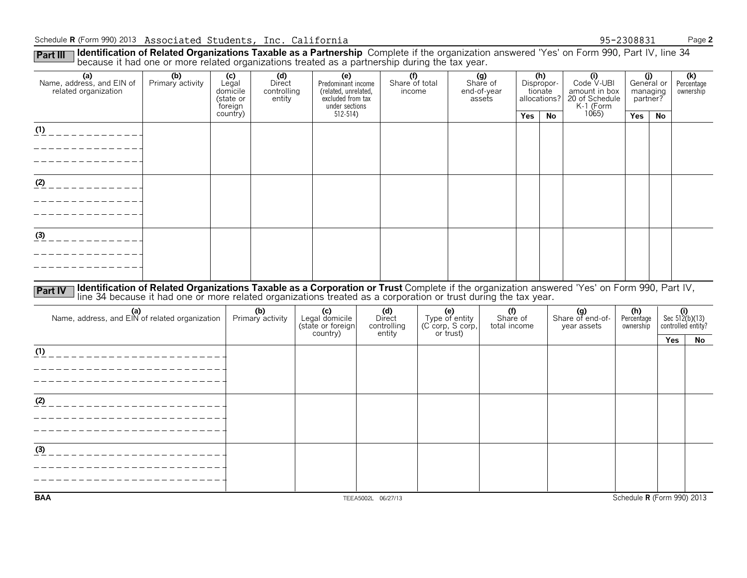#### Schedule **R** (Form 990) 2013 Associated Students, Inc. California 95-2308831 Page 2

Part III Identification of Related Organizations Taxable as a Partnership Complete if the organization answered 'Yes' on Form 990, Part IV, line 34<br>because it had one or more related organizations treated as a partnership

|                                                                    |                                                                                                                                                                                                                               | ີ                                                |                                        |  |                                                                                          |  |                                                     | ັ |                                           |                                 |            |                                              |                                                                   |                                |                               |                                               |
|--------------------------------------------------------------------|-------------------------------------------------------------------------------------------------------------------------------------------------------------------------------------------------------------------------------|--------------------------------------------------|----------------------------------------|--|------------------------------------------------------------------------------------------|--|-----------------------------------------------------|---|-------------------------------------------|---------------------------------|------------|----------------------------------------------|-------------------------------------------------------------------|--------------------------------|-------------------------------|-----------------------------------------------|
| (a)<br>Name, address, and EIN of<br>related organization           | (b)<br>Primary activity                                                                                                                                                                                                       | (c)<br>Legal<br>domicile<br>(state or<br>foreign | (d)<br>Direct<br>controlling<br>entity |  | (e)<br>Predominant income<br>(related, unrelated,<br>excluded from tax<br>under sections |  | $\overline{(\text{f})}$<br>Share of total<br>income |   | (g)<br>Share of<br>end-of-year<br>assets  |                                 |            | (h)<br>Dispropor-<br>tionate<br>allocations? | (i)<br>Code V-UBI<br>amount in box<br>20 of Schedule<br>K-1 (Form | partner?                       | (j)<br>General or<br>managing | (k)<br>Percentage<br>ownership                |
|                                                                    |                                                                                                                                                                                                                               | country)                                         |                                        |  | $512 - 514$                                                                              |  |                                                     |   |                                           |                                 | <b>Yes</b> | No                                           | 1065                                                              | Yes                            | No                            |                                               |
| (1)<br>_ _ _ _ _ _ _ _ _ _ .<br>- - - - - - - - - -<br>$        -$ |                                                                                                                                                                                                                               |                                                  |                                        |  |                                                                                          |  |                                                     |   |                                           |                                 |            |                                              |                                                                   |                                |                               |                                               |
| $\frac{(2)}{2}$ - - - - - - - - - - - -                            |                                                                                                                                                                                                                               |                                                  |                                        |  |                                                                                          |  |                                                     |   |                                           |                                 |            |                                              |                                                                   |                                |                               |                                               |
| (3)                                                                |                                                                                                                                                                                                                               |                                                  |                                        |  |                                                                                          |  |                                                     |   |                                           |                                 |            |                                              |                                                                   |                                |                               |                                               |
|                                                                    |                                                                                                                                                                                                                               |                                                  |                                        |  |                                                                                          |  |                                                     |   |                                           |                                 |            |                                              |                                                                   |                                |                               |                                               |
| <b>Part IV</b>                                                     | Identification of Related Organizations Taxable as a Corporation or Trust Complete if the organization answered 'Yes' on Form 990, Part IV, line 34 because it had one or more related organizations treated as a corporation |                                                  |                                        |  |                                                                                          |  |                                                     |   |                                           |                                 |            |                                              |                                                                   |                                |                               |                                               |
| (a)<br>Name, address, and EIN of related organization              |                                                                                                                                                                                                                               |                                                  | (b)<br>Primary activity                |  | (c)<br>Legal domicile<br>(state or foreign                                               |  | (d)<br>Direct<br>controlling                        |   | (e)<br>Type of entity<br>(C corp, S corp, | (f)<br>Share of<br>total income |            |                                              | (g)<br>Share of end-of-<br>year assets                            | (h)<br>Percentage<br>ownership |                               | $(i)$<br>Sec 512(b)(13)<br>controlled entity? |
|                                                                    |                                                                                                                                                                                                                               |                                                  |                                        |  | country)                                                                                 |  | entity                                              |   | or trust)                                 |                                 |            |                                              |                                                                   |                                |                               | Yes<br>No                                     |
| (1)<br>________________________                                    |                                                                                                                                                                                                                               |                                                  |                                        |  |                                                                                          |  |                                                     |   |                                           |                                 |            |                                              |                                                                   |                                |                               |                                               |
|                                                                    |                                                                                                                                                                                                                               |                                                  |                                        |  |                                                                                          |  |                                                     |   |                                           |                                 |            |                                              |                                                                   |                                |                               |                                               |
| (2)                                                                |                                                                                                                                                                                                                               |                                                  |                                        |  |                                                                                          |  |                                                     |   |                                           |                                 |            |                                              |                                                                   |                                |                               |                                               |
|                                                                    |                                                                                                                                                                                                                               |                                                  |                                        |  |                                                                                          |  |                                                     |   |                                           |                                 |            |                                              |                                                                   |                                |                               |                                               |
| (3)                                                                |                                                                                                                                                                                                                               |                                                  |                                        |  |                                                                                          |  |                                                     |   |                                           |                                 |            |                                              |                                                                   |                                |                               |                                               |
|                                                                    |                                                                                                                                                                                                                               |                                                  |                                        |  |                                                                                          |  |                                                     |   |                                           |                                 |            |                                              |                                                                   |                                |                               |                                               |
| <b>BAA</b>                                                         |                                                                                                                                                                                                                               |                                                  |                                        |  |                                                                                          |  | TEEA5002L 06/27/13                                  |   |                                           |                                 |            |                                              |                                                                   |                                |                               | Schedule R (Form 990) 2013                    |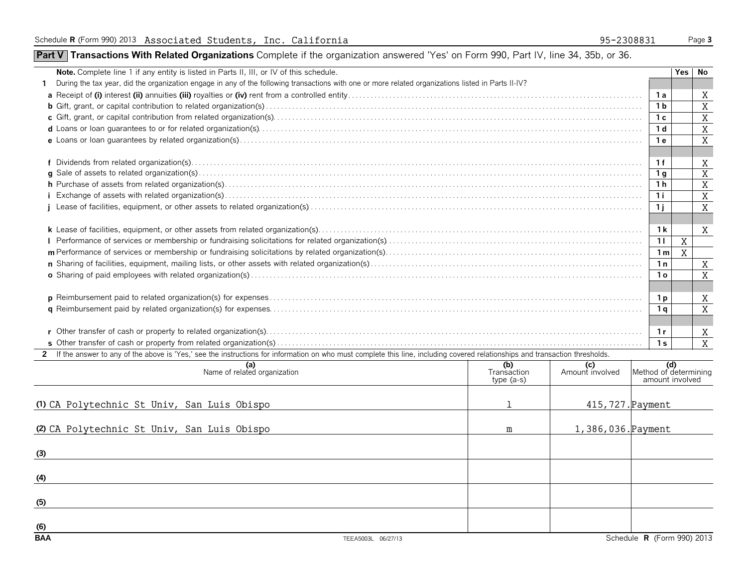### **Part V Transactions With Related Organizations** Complete if the organization answered 'Yes' on Form 990, Part IV, line 34, 35b, or 36.

| During the tax year, did the organization engage in any of the following transactions with one or more related organizations listed in Parts II-IV?<br>1 a<br>1 b<br>1c<br>1 <sub>d</sub><br>1е<br>1f<br>1 g<br>1 h<br>1i.<br>1 i<br>1 <sub>k</sub><br>X<br>11<br>X<br>1 <sub>m</sub><br>1n<br>1 ດ<br>1 p<br>1 <sub>q</sub> | No             |
|-----------------------------------------------------------------------------------------------------------------------------------------------------------------------------------------------------------------------------------------------------------------------------------------------------------------------------|----------------|
|                                                                                                                                                                                                                                                                                                                             |                |
|                                                                                                                                                                                                                                                                                                                             | X              |
|                                                                                                                                                                                                                                                                                                                             | X              |
|                                                                                                                                                                                                                                                                                                                             | X              |
|                                                                                                                                                                                                                                                                                                                             | X              |
|                                                                                                                                                                                                                                                                                                                             | X              |
|                                                                                                                                                                                                                                                                                                                             |                |
|                                                                                                                                                                                                                                                                                                                             | X              |
|                                                                                                                                                                                                                                                                                                                             | $\overline{X}$ |
|                                                                                                                                                                                                                                                                                                                             | X              |
|                                                                                                                                                                                                                                                                                                                             | X              |
|                                                                                                                                                                                                                                                                                                                             | X              |
|                                                                                                                                                                                                                                                                                                                             |                |
|                                                                                                                                                                                                                                                                                                                             | X              |
|                                                                                                                                                                                                                                                                                                                             |                |
|                                                                                                                                                                                                                                                                                                                             |                |
|                                                                                                                                                                                                                                                                                                                             | X              |
|                                                                                                                                                                                                                                                                                                                             | X              |
|                                                                                                                                                                                                                                                                                                                             |                |
|                                                                                                                                                                                                                                                                                                                             | X              |
|                                                                                                                                                                                                                                                                                                                             | X              |
|                                                                                                                                                                                                                                                                                                                             |                |
| 1 r                                                                                                                                                                                                                                                                                                                         | X              |
| 1 <sub>s</sub>                                                                                                                                                                                                                                                                                                              | X              |
| 2 If the answer to any of the above is 'Yes,' see the instructions for information on who must complete this line, including covered relationships and transaction thresholds.                                                                                                                                              |                |
| (b)<br>Transaction<br>$\left  \right $ Method of determining<br>(a)<br>Name of related organization<br>(c)<br>Amount involved                                                                                                                                                                                               |                |
| amount involved<br>type $(a-s)$                                                                                                                                                                                                                                                                                             |                |
|                                                                                                                                                                                                                                                                                                                             |                |
| 415, 727. Payment<br>(1) CA Polytechnic St Univ, San Luis Obispo                                                                                                                                                                                                                                                            |                |

| (2) CA Polytechnic St Univ, San Luis Obispo | m | 1,386,036. Payment |                            |
|---------------------------------------------|---|--------------------|----------------------------|
| (3)                                         |   |                    |                            |
| (4)                                         |   |                    |                            |
| (5)                                         |   |                    |                            |
| (6)                                         |   |                    |                            |
| <b>BAA</b><br>TEEA5003L 06/27/13            |   |                    | Schedule R (Form 990) 2013 |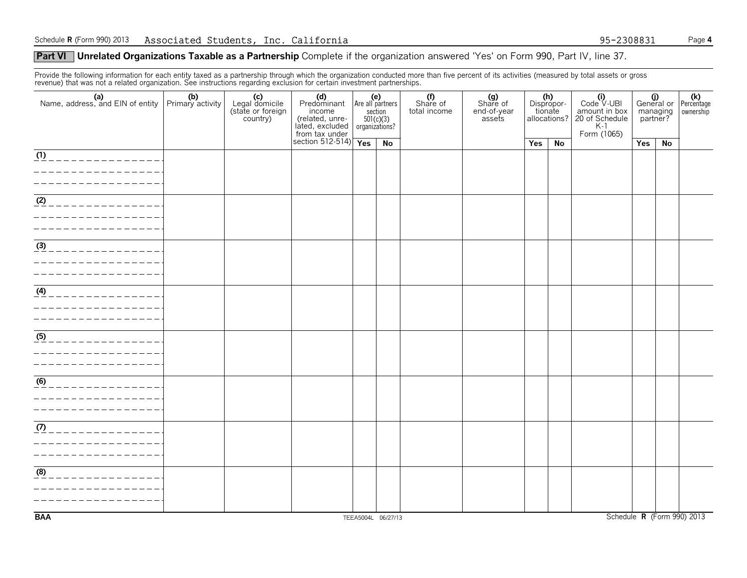#### **Part VI** Unrelated Organizations Taxable as a Partnership Complete if the organization answered 'Yes' on Form 990, Part IV, line 37.

Provide the following information for each entity taxed as a partnership through which the organization conducted more than five percent of its activities (measured by total assets or gross revenue) that was not a related organization. See instructions regarding exclusion for certain investment partnerships.

|                                        | (c)<br>Legal domicile<br>(state or foreign<br>country) | (d) (e)<br>Predominant Are all partners<br>income<br>The Collection of the Collection<br>Interaction State Collection<br>Section 512-514)<br>Tes | $501(c)(3)$<br>organizations? | section | (f)<br>Share of<br>total income | (g)<br>Share of<br>end-of-year<br>assets | (h)<br>Dispropor-<br>tionate<br>allocations? |    | $(i)$<br>Code $\vee$ UBI<br>amount in box<br>20 of Schedule<br>K-1<br>Form (1065) | $\begin{array}{c c} \textbf{(j)} & \textbf{(k)} \\ \textbf{General or } \textbf{Percentage} \end{array}$<br>managing<br>partner? |    | ownership                  |
|----------------------------------------|--------------------------------------------------------|--------------------------------------------------------------------------------------------------------------------------------------------------|-------------------------------|---------|---------------------------------|------------------------------------------|----------------------------------------------|----|-----------------------------------------------------------------------------------|----------------------------------------------------------------------------------------------------------------------------------|----|----------------------------|
|                                        |                                                        |                                                                                                                                                  |                               | No      |                                 |                                          | Yes                                          | No |                                                                                   | Yes                                                                                                                              | No |                            |
| (1)<br>_____________                   |                                                        |                                                                                                                                                  |                               |         |                                 |                                          |                                              |    |                                                                                   |                                                                                                                                  |    |                            |
| $\overline{(2)}$<br>_____________      |                                                        |                                                                                                                                                  |                               |         |                                 |                                          |                                              |    |                                                                                   |                                                                                                                                  |    |                            |
| $\frac{3}{\sqrt{3}}$<br>______________ |                                                        |                                                                                                                                                  |                               |         |                                 |                                          |                                              |    |                                                                                   |                                                                                                                                  |    |                            |
| (4)<br>_____________                   |                                                        |                                                                                                                                                  |                               |         |                                 |                                          |                                              |    |                                                                                   |                                                                                                                                  |    |                            |
| (5)                                    |                                                        |                                                                                                                                                  |                               |         |                                 |                                          |                                              |    |                                                                                   |                                                                                                                                  |    |                            |
| $\overline{(6)}$                       |                                                        |                                                                                                                                                  |                               |         |                                 |                                          |                                              |    |                                                                                   |                                                                                                                                  |    |                            |
| (7)<br>______________                  |                                                        |                                                                                                                                                  |                               |         |                                 |                                          |                                              |    |                                                                                   |                                                                                                                                  |    |                            |
| (8)                                    |                                                        |                                                                                                                                                  |                               |         |                                 |                                          |                                              |    |                                                                                   |                                                                                                                                  |    |                            |
| <b>BAA</b>                             |                                                        |                                                                                                                                                  | TEEA5004L 06/27/13            |         |                                 |                                          |                                              |    |                                                                                   |                                                                                                                                  |    | Schedule R (Form 990) 2013 |